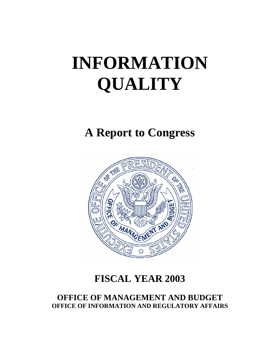# **INFORMATION QUALITY**

**A Report to Congress** 



# **FISCAL YEAR 2003**

# **OFFICE OF MANAGEMENT AND BUDGET OFFICE OF INFORMATION AND REGULATORY AFFAIRS**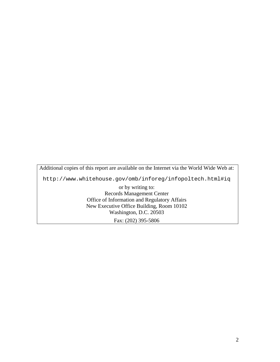Additional copies of this report are available on the Internet via the World Wide Web at:

http://www.whitehouse.gov/omb/inforeg/infopoltech.html#iq

or by writing to: Records Management Center Office of Information and Regulatory Affairs New Executive Office Building, Room 10102 Washington, D.C. 20503

Fax: (202) 395-5806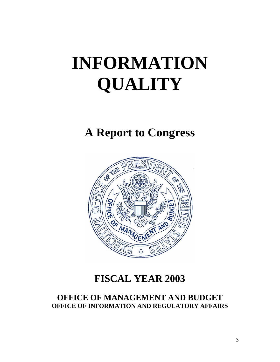# **INFORMATION QUALITY**

# **A Report to Congress**



# **FISCAL YEAR 2003**

# **OFFICE OF MANAGEMENT AND BUDGET OFFICE OF INFORMATION AND REGULATORY AFFAIRS**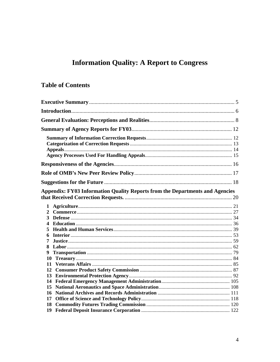# **Information Quality: A Report to Congress**

# **Table of Contents**

|              | Appendix: FY03 Information Quality Reports from the Departments and Agencies |  |
|--------------|------------------------------------------------------------------------------|--|
| $\mathbf{1}$ |                                                                              |  |
| 2            |                                                                              |  |
| 3            |                                                                              |  |
| 4            |                                                                              |  |
|              |                                                                              |  |
| 6            |                                                                              |  |
| 7            |                                                                              |  |
| 8            |                                                                              |  |
| 9            |                                                                              |  |
| 10           |                                                                              |  |
|              |                                                                              |  |
| 12           |                                                                              |  |
|              |                                                                              |  |
|              |                                                                              |  |
| 15           |                                                                              |  |
| 16           |                                                                              |  |
| 17           |                                                                              |  |
| 18           |                                                                              |  |
|              |                                                                              |  |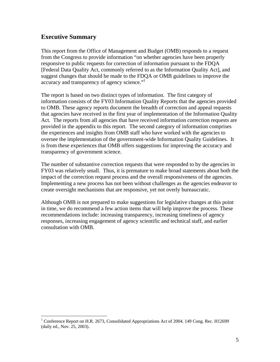#### <span id="page-4-0"></span>**Executive Summary**

1

This report from the Office of Management and Budget (OMB) responds to a request from the Congress to provide information "on whether agencies have been properly responsive to public requests for correction of information pursuant to the FDQA [Federal Data Quality Act, commonly referred to as the Information Quality Act], and suggest changes that should be made to the FDQA or OMB guidelines to improve the accuracy and transparency of agency science."

The report is based on two distinct types of information. The first category of information consists of the FY03 Information Quality Reports that the agencies provided to OMB. These agency reports document the breadth of correction and appeal requests that agencies have received in the first year of implementation of the Information Quality Act. The reports from all agencies that have received information correction requests are provided in the appendix to this report. The second category of information comprises the experiences and insights from OMB staff who have worked with the agencies to oversee the implementation of the government-wide Information Quality Guidelines. It is from these experiences that OMB offers suggestions for improving the accuracy and transparency of government science.

The number of substantive correction requests that were responded to by the agencies in FY03 was relatively small. Thus, it is premature to make broad statements about both the impact of the correction request process and the overall responsiveness of the agencies. Implementing a new process has not been without challenges as the agencies endeavor to create oversight mechanisms that are responsive, yet not overly bureaucratic.

Although OMB is not prepared to make suggestions for legislative changes at this point in time, we do recommend a few action items that will help improve the process. These recommendations include: increasing transparency, increasing timeliness of agency responses, increasing engagement of agency scientific and technical staff, and earlier consultation with OMB.

<span id="page-4-1"></span><sup>&</sup>lt;sup>1</sup> Conference Report on H.R. 2673, Consolidated Appropriations Act of 2004. 149 Cong. Rec. H12699 (daily ed., Nov. 25, 2003).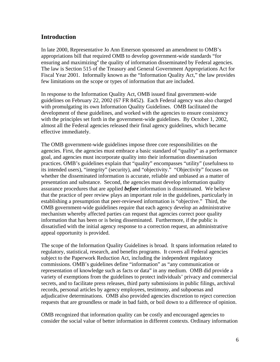#### <span id="page-5-0"></span>**Introduction**

In late 2000, Representative Jo Ann Emerson sponsored an amendment to OMB's appropriations bill that required OMB to develop government-wide standards "for ensuring and maximizing" the quality of information disseminated by Federal agencies. The law is Section 515 of the Treasury and General Government Appropriations Act for Fiscal Year 2001. Informally known as the "Information Quality Act," the law provides few limitations on the scope or types of information that are included.

In response to the Information Quality Act, OMB issued final government-wide guidelines on February 22, 2002 (67 FR 8452). Each Federal agency was also charged with promulgating its own Information Quality Guidelines. OMB facilitated the development of these guidelines, and worked with the agencies to ensure consistency with the principles set forth in the government-wide guidelines. By October 1, 2002, almost all the Federal agencies released their final agency guidelines, which became effective immediately.

The OMB government-wide guidelines impose three core responsibilities on the agencies. First, the agencies must embrace a basic standard of "quality" as a performance goal, and agencies must incorporate quality into their information dissemination practices. OMB's guidelines explain that "quality" encompasses "utility" (usefulness to its intended users), "integrity" (security), and "objectivity." "Objectivity" focuses on whether the disseminated information is accurate, reliable and unbiased as a matter of presentation and substance. Second, the agencies must develop information quality assurance procedures that are applied *before* information is disseminated. We believe that the practice of peer review plays an important role in the guidelines, particularly in establishing a presumption that peer-reviewed information is "objective." Third, the OMB government-wide guidelines require that each agency develop an administrative mechanism whereby affected parties can request that agencies correct poor quality information that has been or is being disseminated. Furthermore, if the public is dissatisfied with the initial agency response to a correction request, an administrative appeal opportunity is provided.

The scope of the Information Quality Guidelines is broad. It spans information related to regulatory, statistical, research, and benefits programs. It covers all Federal agencies subject to the Paperwork Reduction Act, including the independent regulatory commissions. OMB's guidelines define "information" as "any communication or representation of knowledge such as facts or data" in any medium. OMB did provide a variety of exemptions from the guidelines to protect individuals' privacy and commercial secrets, and to facilitate press releases, third party submissions in public filings, archival records, personal articles by agency employees, testimony, and subpoenas and adjudicative determinations. OMB also provided agencies discretion to reject correction requests that are groundless or made in bad faith, or boil down to a difference of opinion.

OMB recognized that information quality can be costly and encouraged agencies to consider the social value of better information in different contexts. Ordinary information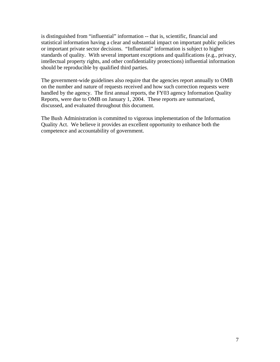is distinguished from "influential" information -- that is, scientific, financial and statistical information having a clear and substantial impact on important public policies or important private sector decisions. "Influential" information is subject to higher standards of quality. With several important exceptions and qualifications (e.g., privacy, intellectual property rights, and other confidentiality protections) influential information should be reproducible by qualified third parties.

The government-wide guidelines also require that the agencies report annually to OMB on the number and nature of requests received and how such correction requests were handled by the agency. The first annual reports, the FY03 agency Information Quality Reports, were due to OMB on January 1, 2004. These reports are summarized, discussed, and evaluated throughout this document.

The Bush Administration is committed to vigorous implementation of the Information Quality Act. We believe it provides an excellent opportunity to enhance both the competence and accountability of government.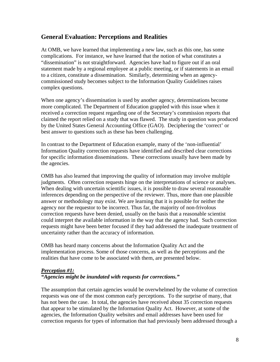#### <span id="page-7-0"></span>**General Evaluation: Perceptions and Realities**

At OMB, we have learned that implementing a new law, such as this one, has some complications. For instance, we have learned that the notion of what constitutes a "dissemination" is not straightforward. Agencies have had to figure out if an oral statement made by a regional employee at a public meeting, or if statements in an email to a citizen, constitute a dissemination. Similarly, determining when an agencycommissioned study becomes subject to the Information Quality Guidelines raises complex questions.

When one agency's dissemination is used by another agency, determinations become more complicated. The Department of Education grappled with this issue when it received a correction request regarding one of the Secretary's commission reports that claimed the report relied on a study that was flawed. The study in question was produced by the United States General Accounting Office (GAO). Deciphering the 'correct' or best answer to questions such as these has been challenging.

In contrast to the Department of Education example, many of the 'non-influential' Information Quality correction requests have identified and described clear corrections for specific information disseminations. These corrections usually have been made by the agencies.

OMB has also learned that improving the quality of information may involve multiple judgments. Often correction requests hinge on the interpretations of science or analyses. When dealing with uncertain scientific issues, it is possible to draw several reasonable inferences depending on the perspective of the reviewer. Thus, more than one plausible answer or methodology may exist. We are learning that it is possible for neither the agency nor the requestor to be incorrect. Thus far, the majority of non-frivolous correction requests have been denied, usually on the basis that a reasonable scientist could interpret the available information in the way that the agency had. Such correction requests might have been better focused if they had addressed the inadequate treatment of uncertainty rather than the accuracy of information.

OMB has heard many concerns about the Information Quality Act and the implementation process. Some of those concerns, as well as the perceptions and the realities that have come to be associated with them, are presented below.

#### *Perception #1: "Agencies might be inundated with requests for corrections."*

The assumption that certain agencies would be overwhelmed by the volume of correction requests was one of the most common early perceptions. To the surprise of many, that has not been the case. In total, the agencies have received about 35 correction requests that appear to be stimulated by the Information Quality Act. However, at some of the agencies, the Information Quality websites and email addresses have been used for correction requests for types of information that had previously been addressed through a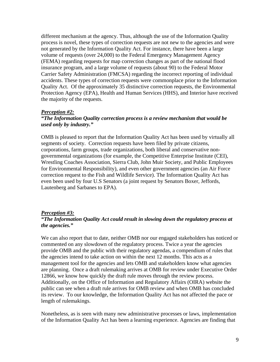different mechanism at the agency. Thus, although the use of the Information Quality process is novel, these types of correction requests are not new to the agencies and were not generated by the Information Quality Act. For instance, there have been a large volume of requests (over 24,000) to the Federal Emergency Management Agency (FEMA) regarding requests for map correction changes as part of the national flood insurance program, and a large volume of requests (about 90) to the Federal Motor Carrier Safety Administration (FMCSA) regarding the incorrect reporting of individual accidents. These types of correction requests were commonplace prior to the Information Quality Act. Of the approximately 35 distinctive correction requests, the Environmental Protection Agency (EPA), Health and Human Services (HHS), and Interior have received the majority of the requests.

#### *Perception #2:*

#### *"The Information Quality correction process is a review mechanism that would be used only by industry."*

OMB is pleased to report that the Information Quality Act has been used by virtually all segments of society. Correction requests have been filed by private citizens, corporations, farm groups, trade organizations, both liberal and conservative nongovernmental organizations (for example, the Competitive Enterprise Institute (CEI), Wrestling Coaches Association, Sierra Club, John Muir Society, and Public Employees for Environmental Responsibility), and even other government agencies (an Air Force correction request to the Fish and Wildlife Service). The Information Quality Act has even been used by four U.S Senators (a joint request by Senators Boxer, Jeffords, Lautenberg and Sarbanes to EPA).

#### *Perception #3:*

#### *"The Information Quality Act could result in slowing down the regulatory process at the agencies."*

We can also report that to date, neither OMB nor our engaged stakeholders has noticed or commented on any slowdown of the regulatory process. Twice a year the agencies provide OMB and the public with their regulatory agendas, a compendium of rules that the agencies intend to take action on within the next 12 months. This acts as a management tool for the agencies and lets OMB and stakeholders know what agencies are planning. Once a draft rulemaking arrives at OMB for review under Executive Order 12866, we know how quickly the draft rule moves through the review process. Additionally, on the Office of Information and Regulatory Affairs (OIRA) website the public can see when a draft rule arrives for OMB review and when OMB has concluded its review. To our knowledge, the Information Quality Act has not affected the pace or length of rulemakings.

Nonetheless, as is seen with many new administrative processes or laws, implementation of the Information Quality Act has been a learning experience. Agencies are finding that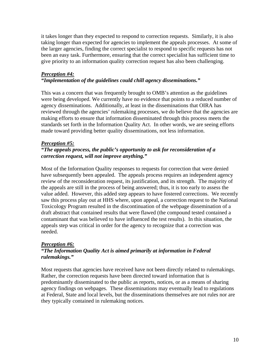it takes longer than they expected to respond to correction requests. Similarly, it is also taking longer than expected for agencies to implement the appeals processes. At some of the larger agencies, finding the correct specialist to respond to specific requests has not been an easy task. Furthermore, ensuring that the correct specialist has sufficient time to give priority to an information quality correction request has also been challenging.

#### *Perception #4: "Implementation of the guidelines could chill agency disseminations."*

This was a concern that was frequently brought to OMB's attention as the guidelines were being developed. We currently have no evidence that points to a reduced number of agency disseminations. Additionally, at least in the disseminations that OIRA has reviewed through the agencies' rulemaking processes, we do believe that the agencies are making efforts to ensure that information disseminated through this process meets the standards set forth in the Information Quality Act. In other words, we are seeing efforts made toward providing better quality disseminations, not less information.

#### *Perception #5:*

#### *"The appeals process, the public's opportunity to ask for reconsideration of a correction request, will not improve anything."*

Most of the Information Quality responses to requests for correction that were denied have subsequently been appealed. The appeals process requires an independent agency review of the reconsideration request, its justification, and its strength. The majority of the appeals are still in the process of being answered; thus, it is too early to assess the value added. However, this added step appears to have fostered corrections. We recently saw this process play out at HHS where, upon appeal, a correction request to the National Toxicology Program resulted in the discontinuation of the webpage dissemination of a draft abstract that contained results that were flawed (the compound tested contained a contaminant that was believed to have influenced the test results). In this situation, the appeals step was critical in order for the agency to recognize that a correction was needed.

#### *Perception #6:*

#### *"The Information Quality Act is aimed primarily at information in Federal rulemakings."*

Most requests that agencies have received have not been directly related to rulemakings. Rather, the correction requests have been directed toward information that is predominantly disseminated to the public as reports, notices, or as a means of sharing agency findings on webpages. These disseminations may eventually lead to regulations at Federal, State and local levels, but the disseminations themselves are not rules nor are they typically contained in rulemaking notices.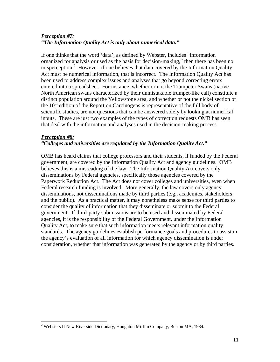#### *Perception #7: "The Information Quality Act is only about numerical data."*

If one thinks that the word 'data', as defined by Webster, includes "information organized for analysis or used as the basis for decision-making," then there has been no misperception.<sup>2</sup>However, if one believes that data covered by the Information Quality Act must be numerical information, that is incorrect. The Information Quality Act has been used to address complex issues and analyses that go beyond correcting errors entered into a spreadsheet. For instance, whether or not the Trumpeter Swans (native North American swans characterized by their unmistakable trumpet-like call) constitute a distinct population around the Yellowstone area, and whether or not the nickel section of the  $10<sup>th</sup>$  edition of the Report on Carcinogens is representative of the full body of scientific studies, are not questions that can be answered solely by looking at numerical inputs. These are just two examples of the types of correction requests OMB has seen that deal with the information and analyses used in the decision-making process.

#### *Perception #8: "Colleges and universities are regulated by the Information Quality Act."*

OMB has heard claims that college professors and their students, if funded by the Federal government, are covered by the Information Quality Act and agency guidelines. OMB believes this is a misreading of the law. The Information Quality Act covers only disseminations by Federal agencies, specifically those agencies covered by the Paperwork Reduction Act. The Act does not cover colleges and universities, even when Federal research funding is involved. More generally, the law covers only agency disseminations, not disseminations made by third parties (e.g., academics, stakeholders and the public). As a practical matter, it may nonetheless make sense for third parties to consider the quality of information that they disseminate or submit to the Federal government. If third-party submissions are to be used and disseminated by Federal agencies, it is the responsibility of the Federal Government, under the Information Quality Act, to make sure that such information meets relevant information quality standards. The agency guidelines establish performance goals and procedures to assist in the agency's evaluation of all information for which agency dissemination is under consideration, whether that information was generated by the agency or by third parties.

 $\overline{a}$ 

<span id="page-10-0"></span><sup>&</sup>lt;sup>2</sup> Websters II New Riverside Dictionary, Houghton Mifflin Company, Boston MA, 1984.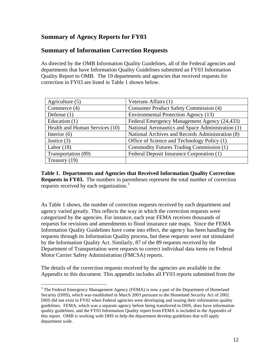### <span id="page-11-0"></span>**Summary of Agency Reports for FY03**

#### **Summary of Information Correction Requests**

As directed by the OMB Information Quality Guidelines, all of the Federal agencies and departments that have Information Quality Guidelines submitted an FY03 Information Quality Report to OMB.The 19 departments and agencies that received requests for correction in FY03 are listed in Table 1 shown below.

| Agriculture (5)                | Veterans Affairs (1)                              |
|--------------------------------|---------------------------------------------------|
| Commerce $(4)$                 | <b>Consumer Product Safety Commission (4)</b>     |
| Defense $(1)$                  | Environmental Protection Agency (13)              |
| Education $(1)$                | Federal Emergency Management Agency (24,433)      |
| Health and Human Services (10) | National Aeronautics and Space Administration (1) |
| Interior $(6)$                 | National Archives and Records Administration (8)  |
| Justice $(3)$                  | Office of Science and Technology Policy (1)       |
| Labor $(18)$                   | Commodity Futures Trading Commission (1)          |
| Transportation (89)            | Federal Deposit Insurance Corporation (1)         |
| Treasury (19)                  |                                                   |

**Table 1. Departments and Agencies that Received Information Quality Correction Requests in FY03.** The numbers in parentheses represent the total number of correction requests received by each organization.<sup>[3](#page-11-1)</sup>

As Table 1 shows, the number of correction requests received by each department and agency varied greatly. This reflects the way in which the correction requests were categorized by the agencies. For instance, each year FEMA receives thousands of requests for revisions and amendments to flood insurance rate maps. Since the FEMA Information Quality Guidelines have come into effect, the agency has been handling the requests through its Information Quality process, but these requests were not stimulated by the Information Quality Act. Similarly, 87 of the 89 requests received by the Department of Transportation were requests to correct individual data items on Federal Motor Carrier Safety Administration (FMCSA) reports.

The details of the correction requests received by the agencies are available in the Appendix to this document. This appendix includes all FY03 reports submitted from the

 $\overline{a}$ 

<span id="page-11-1"></span> $3$  The Federal Emergency Management Agency (FEMA) is now a part of the Department of Homeland Security (DHS), which was established in March 2003 pursuant to the Homeland Security Act of 2002. DHS did not exist in FY02 when Federal agencies were developing and issuing their information quality guidelines. FEMA, which was a separate agency before being transferred to DHS, does have information quality guidelines, and the FY03 Information Quality report from FEMA is included in the Appendix of this report. OMB is working with DHS to help the department develop guidelines that will apply department wide.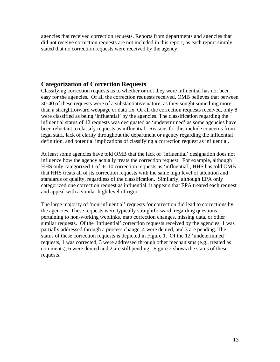<span id="page-12-0"></span>agencies that received correction requests. Reports from departments and agencies that did not receive correction requests are not included in this report, as each report simply stated that no correction requests were received by the agency.

#### **Categorization of Correction Requests**

Classifying correction requests as to whether or not they were influential has not been easy for the agencies. Of all the correction requests received, OMB believes that between 30-40 of these requests were of a substantiative nature, as they sought something more than a straightforward webpage or data fix. Of all the correction requests received, only 8 were classified as being 'influential' by the agencies. The classification regarding the influential status of 12 requests was designated as 'undetermined' as some agencies have been reluctant to classify requests as influential. Reasons for this include concerns from legal staff, lack of clarity throughout the department or agency regarding the influential definition, and potential implications of classifying a correction request as influential.

At least some agencies have told OMB that the lack of 'influential' designation does not influence how the agency actually treats the correction request. For example, although HHS only categorized 1 of its 10 correction requests as 'influential', HHS has told OMB that HHS treats all of its correction requests with the same high level of attention and standards of quality, regardless of the classification. Similarly, although EPA only categorized one correction request as influential, it appears that EPA treated each request and appeal with a similar high level of rigor.

The large majority of 'non-influential' requests for correction did lead to corrections by the agencies. These requests were typically straightforward, regarding questions pertaining to non-working weblinks, map correction changes, missing data, or other similar requests. Of the 'influential' correction requests received by the agencies, 1 was partially addressed through a process change, 4 were denied, and 3 are pending. The status of these correction requests is depicted in Figure 1. Of the 12 'undetermined' requests, 1 was corrected, 3 were addressed through other mechanisms (e.g., treated as comments), 6 were denied and 2 are still pending. Figure 2 shows the status of these requests.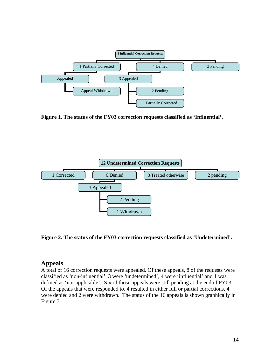<span id="page-13-0"></span>

**Figure 1. The status of the FY03 correction requests classified as 'Influential'.** 



**Figure 2. The status of the FY03 correction requests classified as 'Undetermined'.** 

#### **Appeals**

A total of 16 correction requests were appealed. Of these appeals, 8 of the requests were classified as 'non-influential', 3 were 'undetermined', 4 were 'influential' and 1 was defined as 'not-applicable'. Six of those appeals were still pending at the end of FY03. Of the appeals that were responded to, 4 resulted in either full or partial corrections, 4 were denied and 2 were withdrawn. The status of the 16 appeals is shown graphically in Figure 3.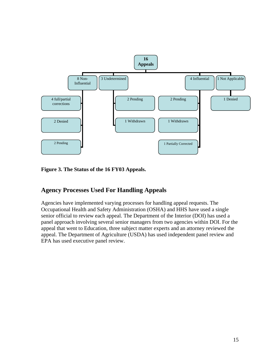<span id="page-14-0"></span>

**Figure 3. The Status of the 16 FY03 Appeals.** 

#### **Agency Processes Used For Handling Appeals**

Agencies have implemented varying processes for handling appeal requests. The Occupational Health and Safety Administration (OSHA) and HHS have used a single senior official to review each appeal. The Department of the Interior (DOI) has used a panel approach involving several senior managers from two agencies within DOI. For the appeal that went to Education, three subject matter experts and an attorney reviewed the appeal. The Department of Agriculture (USDA) has used independent panel review and EPA has used executive panel review.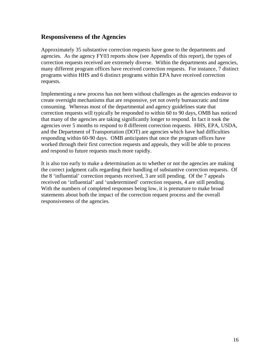#### <span id="page-15-0"></span>**Responsiveness of the Agencies**

Approximately 35 substantive correction requests have gone to the departments and agencies. As the agency FY03 reports show (see Appendix of this report), the types of correction requests received are extremely diverse. Within the departments and agencies, many different program offices have received correction requests. For instance, 7 distinct programs within HHS and 6 distinct programs within EPA have received correction requests.

Implementing a new process has not been without challenges as the agencies endeavor to create oversight mechanisms that are responsive, yet not overly bureaucratic and time consuming. Whereas most of the departmental and agency guidelines state that correction requests will typically be responded to within 60 to 90 days, OMB has noticed that many of the agencies are taking significantly longer to respond. In fact it took the agencies over 5 months to respond to 8 different correction requests. HHS, EPA, USDA, and the Department of Transportation (DOT) are agencies which have had difficulties responding within 60-90 days. OMB anticipates that once the program offices have worked through their first correction requests and appeals, they will be able to process and respond to future requests much more rapidly.

It is also too early to make a determination as to whether or not the agencies are making the correct judgment calls regarding their handling of substantive correction requests. Of the 8 'influential' correction requests received, 3 are still pending. Of the 7 appeals received on 'influential' and 'undetermined' correction requests, 4 are still pending. With the numbers of completed responses being low, it is premature to make broad statements about both the impact of the correction request process and the overall responsiveness of the agencies.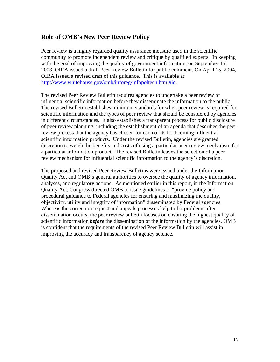#### <span id="page-16-0"></span>**Role of OMB's New Peer Review Policy**

Peer review is a highly regarded quality assurance measure used in the scientific community to promote independent review and critique by qualified experts. In keeping with the goal of improving the quality of government information, on September 15, 2003, OIRA issued a draft Peer Review Bulletin for public comment. On April 15, 2004, OIRA issued a revised draft of this guidance. This is available at: <http://www.whitehouse.gov/omb/inforeg/infopoltech.html#iq>.

The revised Peer Review Bulletin requires agencies to undertake a peer review of influential scientific information before they disseminate the information to the public. The revised Bulletin establishes minimum standards for when peer review is required for scientific information and the types of peer review that should be considered by agencies in different circumstances. It also establishes a transparent process for public disclosure of peer review planning, including the establishment of an agenda that describes the peer review process that the agency has chosen for each of its forthcoming influential scientific information products. Under the revised Bulletin, agencies are granted discretion to weigh the benefits and costs of using a particular peer review mechanism for a particular information product. The revised Bulletin leaves the selection of a peer review mechanism for influential scientific information to the agency's discretion.

The proposed and revised Peer Review Bulletins were issued under the Information Quality Act and OMB's general authorities to oversee the quality of agency information, analyses, and regulatory actions. As mentioned earlier in this report, in the Information Quality Act, Congress directed OMB to issue guidelines to "provide policy and procedural guidance to Federal agencies for ensuring and maximizing the quality, objectivity, utility and integrity of information" disseminated by Federal agencies. Whereas the correction request and appeals processes help to fix problems after dissemination occurs, the peer review bulletin focuses on ensuring the highest quality of scientific information *before* the dissemination of the information by the agencies. OMB is confident that the requirements of the revised Peer Review Bulletin will assist in improving the accuracy and transparency of agency science.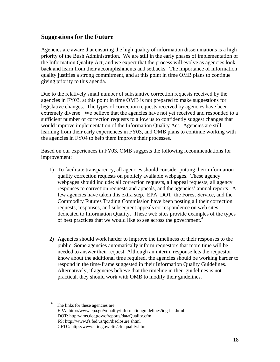#### <span id="page-17-0"></span>**Suggestions for the Future**

Agencies are aware that ensuring the high quality of information disseminations is a high priority of the Bush Administration. We are still in the early phases of implementation of the Information Quality Act, and we expect that the process will evolve as agencies look back and learn from their accomplishments and setbacks. The importance of information quality justifies a strong commitment, and at this point in time OMB plans to continue giving priority to this agenda.

Due to the relatively small number of substantive correction requests received by the agencies in FY03, at this point in time OMB is not prepared to make suggestions for legislative changes. The types of correction requests received by agencies have been extremely diverse. We believe that the agencies have not yet received and responded to a sufficient number of correction requests to allow us to confidently suggest changes that would improve implementation of the Information Quality Act. Agencies are still learning from their early experiences in FY03, and OMB plans to continue working with the agencies in FY04 to help them improve their processes.

Based on our experiences in FY03, OMB suggests the following recommendations for improvement:

- 1) To facilitate transparency, all agencies should consider putting their information quality correction requests on publicly available webpages. These agency webpages should include: all correction requests, all appeal requests, all agency responses to correction requests and appeals, and the agencies' annual reports. A few agencies have taken this extra step. EPA, DOT, the Forest Service, and the Commodity Futures Trading Commission have been posting all their correction requests, responses, and subsequent appeals correspondence on web sites dedicated to Information Quality. These web sites provide examples of the types ofbest practices that we would like to see across the government.<sup>4</sup>
- 2) Agencies should work harder to improve the timeliness of their responses to the public. Some agencies automatically inform requestors that more time will be needed to answer their request. Although an interim response lets the requestor know about the additional time required, the agencies should be working harder to respond in the time-frame suggested in their Information Quality Guidelines. Alternatively, if agencies believe that the timeline in their guidelines is not practical, they should work with OMB to modify their guidelines.

<span id="page-17-1"></span> $\overline{4}$  The links for these agencies are: EPA: http://www.epa.go/vquality/informationguidelines/iqg-list.html DOT: http://dms.dot.gov/cfreports/dataQuality.cfm FS:<http://www.fs.fed.us/qoi/disclosure.shtml> CFTC:<http://www.cftc.gov/cftc/cftcquality.htm>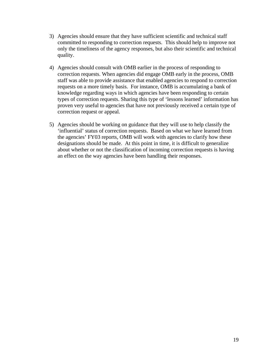- 3) Agencies should ensure that they have sufficient scientific and technical staff committed to responding to correction requests. This should help to improve not only the timeliness of the agency responses, but also their scientific and technical quality.
- 4) Agencies should consult with OMB earlier in the process of responding to correction requests. When agencies did engage OMB early in the process, OMB staff was able to provide assistance that enabled agencies to respond to correction requests on a more timely basis. For instance, OMB is accumulating a bank of knowledge regarding ways in which agencies have been responding to certain types of correction requests. Sharing this type of 'lessons learned' information has proven very useful to agencies that have not previously received a certain type of correction request or appeal.
- 5) Agencies should be working on guidance that they will use to help classify the 'influential' status of correction requests. Based on what we have learned from the agencies' FY03 reports, OMB will work with agencies to clarify how these designations should be made. At this point in time, it is difficult to generalize about whether or not the classification of incoming correction requests is having an effect on the way agencies have been handling their responses.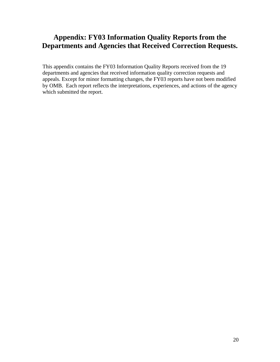# <span id="page-19-0"></span>**Appendix: FY03 Information Quality Reports from the Departments and Agencies that Received Correction Requests.**

This appendix contains the FY03 Information Quality Reports received from the 19 departments and agencies that received information quality correction requests and appeals. Except for minor formatting changes, the FY03 reports have not been modified by OMB. Each report reflects the interpretations, experiences, and actions of the agency which submitted the report.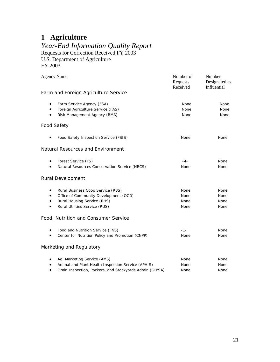# <span id="page-20-0"></span>**1 Agriculture**

### *Year-End Information Quality Report*

Requests for Correction Received FY 2003 U.S. Department of Agriculture FY 2003

| <b>Agency Name</b> |                                                                   | Number of<br>Requests<br>Received | Number<br>Designated as<br>Influential |
|--------------------|-------------------------------------------------------------------|-----------------------------------|----------------------------------------|
|                    | Farm and Foreign Agriculture Service                              |                                   |                                        |
| ٠                  | Farm Service Agency (FSA)                                         | <b>None</b>                       | None                                   |
| ٠                  | Foreign Agriculture Service (FAS)<br>Risk Management Agency (RMA) | <b>None</b><br>None               | <b>None</b><br>None                    |
|                    | <b>Food Safety</b>                                                |                                   |                                        |
|                    |                                                                   |                                   |                                        |
|                    | Food Safety Inspection Service (FSIS)                             | None                              | None                                   |
|                    | Natural Resources and Environment                                 |                                   |                                        |
|                    | Forest Service (FS)                                               | $-4-$                             | None                                   |
|                    | Natural Resources Conservation Service (NRCS)                     | <b>None</b>                       | <b>None</b>                            |
|                    | Rural Development                                                 |                                   |                                        |
| ٠                  | Rural Business Coop Service (RBS)                                 | None                              | <b>None</b>                            |
| $\bullet$          | Office of Community Development (OCD)                             | None                              | None                                   |
| $\bullet$          | Rural Housing Service (RHS)<br>Rural Utilities Service (RUS)      | None<br>None                      | None<br>None                           |
|                    | Food, Nutrition and Consumer Service                              |                                   |                                        |
|                    | Food and Nutrition Service (FNS)                                  | $-1-$                             | <b>None</b>                            |
| ٠                  | Center for Nutrition Policy and Promotion (CNPP)                  | None                              | None                                   |
|                    | Marketing and Regulatory                                          |                                   |                                        |
|                    | Ag. Marketing Service (AMS)                                       | None                              | None                                   |
|                    | Animal and Plant Health Inspection Service (APHIS)                | None                              | None                                   |
|                    | Grain Inspection, Packers, and Stockyards Admin (GIPSA)           | None                              | None                                   |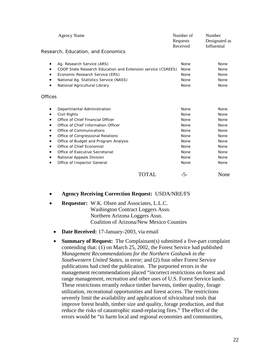|                                 | <b>Agency Name</b>                                                                                                                                                                                                                                                                                                                                            |       | Number of<br>Requests<br>Received                                                                                | Number<br>Designated as<br>Influential                                                                                                              |
|---------------------------------|---------------------------------------------------------------------------------------------------------------------------------------------------------------------------------------------------------------------------------------------------------------------------------------------------------------------------------------------------------------|-------|------------------------------------------------------------------------------------------------------------------|-----------------------------------------------------------------------------------------------------------------------------------------------------|
|                                 | Research, Education, and Economics                                                                                                                                                                                                                                                                                                                            |       |                                                                                                                  |                                                                                                                                                     |
| ٠<br>٠<br>٠                     | Ag. Research Service (ARS)<br>COOP State Research Education and Extension service (CSREES)<br>Economic Research Service (ERS)<br>National Ag. Statistics Service (NASS)<br>National Agricultural Library                                                                                                                                                      |       | None<br>None<br>None<br><b>None</b><br>None                                                                      | <b>None</b><br>None<br><b>None</b><br><b>None</b><br>None                                                                                           |
| Offices                         |                                                                                                                                                                                                                                                                                                                                                               |       |                                                                                                                  |                                                                                                                                                     |
| ٠<br>٠<br>٠<br>٠<br>٠<br>٠<br>٠ | Departmental Administration<br>Civil Rights<br>Office of Chief Financial Officer<br>Office of Chief Information Officer<br>Office of Communications<br>Office of Congressional Relations<br>Office of Budget and Program Analysis<br>Office of Chief Economist<br>Office of Executive Secretariat<br>National Appeals Division<br>Office of Inspector General |       | <b>None</b><br>None<br><b>None</b><br>None<br><b>None</b><br>None<br><b>None</b><br>None<br>None<br>None<br>None | <b>None</b><br>None<br><b>None</b><br><b>None</b><br><b>None</b><br><b>None</b><br><b>None</b><br><b>None</b><br><b>None</b><br><b>None</b><br>None |
|                                 |                                                                                                                                                                                                                                                                                                                                                               | TOTAL | -5-                                                                                                              | None                                                                                                                                                |

- **Agency Receiving Correction Request:** USDA/NRE/FS
- **Requestor:** W.K. Olsen and Associates, L.L.C. Washington Contract Loggers Assn. Northern Arizona Loggers Assn. Coalition of Arizona/New Mexico Counties
	- **Date Received:** 17-January-2003, via email
	- **Summary of Request:** The Complainant(s) submitted a five-part complaint contending that: (1) on March 25, 2002, the Forest Service had published *Management Recommendations for the Northern Goshawk in the Southwestern United States*, in error; and (2) four other Forest Service publications had cited the publication. The purported errors in the management recommendations placed "incorrect restrictions on forest and range management, recreation and other uses of U.S. Forest Service lands. These restrictions errantly reduce timber harvests, timber quality, forage utilization, recreational opportunities and forest access. The restrictions severely limit the availability and application of silvicultural tools that improve forest health, timber size and quality, forage production, and that reduce the risks of catastrophic stand-replacing fires." The effect of the errors would be "to harm local and regional economies and communities,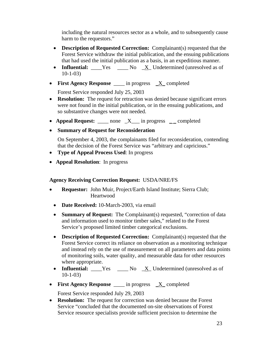including the natural resources sector as a whole, and to subsequently cause harm to the requestors."

- **Description of Requested Correction:** Complainant(s) requested that the Forest Service withdraw the initial publication, and the ensuing publications that had used the initial publication as a basis, in an expeditious manner.
- **Influential:** Yes \_\_\_\_ No \_X\_ Undetermined (unresolved as of 10-1-03)
- **First Agency Response** \_\_\_\_ in progress  $X$  completed

Forest Service responded July 25, 2003

- **Resolution:** The request for retraction was denied because significant errors were not found in the initial publication, or in the ensuing publications, and so substantive changes were not needed.
- **Appeal Request:** \_\_\_\_ none \_X\_\_\_ in progress \_\_ completed
- **Summary of Request for Reconsideration**

On September 4, 2003, the complainants filed for reconsideration, contending that the decision of the Forest Service was "arbitrary and capricious."

- **Type of Appeal Process Used**: In progress
- **Appeal Resolution**: In progress

#### **Agency Receiving Correction Request:** USDA/NRE/FS

- **Requestor:** John Muir, Project/Earth Island Institute; Sierra Club; Heartwood
	- **Date Received:** 10-March-2003, via email
	- **Summary of Request:** The Complainant(s) requested, "correction of data and information used to monitor timber sales," related to the Forest Service's proposed limited timber categorical exclusions.
	- **Description of Requested Correction:** Complainant(s) requested that the Forest Service correct its reliance on observation as a monitoring technique and instead rely on the use of measurement on all parameters and data points of monitoring soils, water quality, and measurable data for other resources where appropriate.
	- **Influential:** Yes \_\_\_\_ No <u>X</u> Undetermined (unresolved as of 10-1-03)
- **First Agency Response** \_\_\_\_ in progress  $X$  completed

Forest Service responded July 29, 2003

• **Resolution:** The request for correction was denied because the Forest Service "concluded that the documented on-site observations of Forest Service resource specialists provide sufficient precision to determine the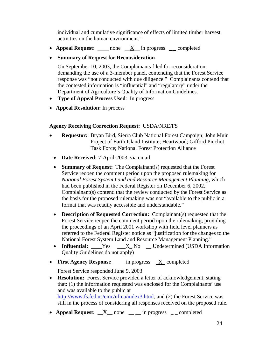individual and cumulative significance of effects of limited timber harvest activities on the human environment."

- **Appeal Request:** \_\_\_\_ none \_\_<u>X\_</u> in progress \_\_\_ completed
- **Summary of Request for Reconsideration**

On September 10, 2003, the Complainants filed for reconsideration, demanding the use of a 3-member panel, contending that the Forest Service response was "not conducted with due diligence." Complainants contend that the contested information is "influential" and "regulatory" under the Department of Agriculture's Quality of Information Guidelines.

- **Type of Appeal Process Used**: In progress
- **Appeal Resolution:** In process

#### **Agency Receiving Correction Request:** USDA/NRE/FS

- **Requestor:** Bryan Bird, Sierra Club National Forest Campaign; John Muir Project of Earth Island Institute; Heartwood; Gifford Pinchot Task Force; National Forest Protection Alliance
	- **Date Received:** 7-April-2003, via email
	- **Summary of Request:** The Complainant(s) requested that the Forest Service reopen the comment period upon the proposed rulemaking for *National Forest System Land and Resource Management Planning*, which had been published in the Federal Register on December 6, 2002. Complainant(s) contend that the review conducted by the Forest Service as the basis for the proposed rulemaking was not "available to the public in a format that was readily accessible and understandable."
	- **Description of Requested Correction:** Complainant(s) requested that the Forest Service reopen the comment period upon the rulemaking, providing the proceedings of an April 2001 workshop with field level planners as referred to the Federal Register notice as "justification for the changes to the National Forest System Land and Resource Management Planning."
	- **Influential:** Yes X No Undetermined (USDA Information Quality Guidelines do not apply)
- **First Agency Response** \_\_\_\_\_ in progress \_X\_ completed

Forest Service responded June 9, 2003

- **Resolution:** Forest Service provided a letter of acknowledgement, stating that: (1) the information requested was enclosed for the Complainants' use and was available to the public at [http://www.fs.fed.us/emc/nfma/index3.html;](http://www.fs.fed.us/emc/nfma/index3.html) and (2) the Forest Service was still in the process of considering all responses received on the proposed rule.
- **Appeal Request:** <u>X</u> none \_\_\_ in progress \_\_ completed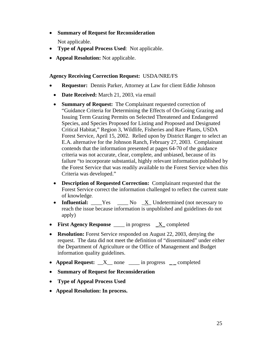• **Summary of Request for Reconsideration**

Not applicable.

- **Type of Appeal Process Used**: Not applicable.
- **Appeal Resolution:** Not applicable.

#### **Agency Receiving Correction Request:** USDA/NRE/FS

- **Requestor:** Dennis Parker, Attorney at Law for client Eddie Johnson
	- **Date Received:** March 21, 2003, via email
	- **Summary of Request:** The Complainant requested correction of "Guidance Criteria for Determining the Effects of On-Going Grazing and Issuing Term Grazing Permits on Selected Threatened and Endangered Species, and Species Proposed for Listing and Proposed and Designated Critical Habitat," Region 3, Wildlife, Fisheries and Rare Plants, USDA Forest Service, April 15, 2002. Relied upon by District Ranger to select an E.A. alternative for the Johnson Ranch, February 27, 2003. Complainant contends that the information presented at pages 64-70 of the guidance criteria was not accurate, clear, complete, and unbiased, because of its failure "to incorporate substantial, highly relevant information published by the Forest Service that was readily available to the Forest Service when this Criteria was developed."
	- **Description of Requested Correction:** Complainant requested that the Forest Service correct the information challenged to reflect the current state of knowledge.
- **Influential:** Yes \_\_\_\_ No \_X\_ Undetermined (not necessary to reach the issue because information is unpublished and guidelines do not apply)
- **First Agency Response** \_\_\_\_ in progress  $X$  completed
- **Resolution:** Forest Service responded on August 22, 2003, denying the request. The data did not meet the definition of "disseminated" under either the Department of Agriculture or the Office of Management and Budget information quality guidelines.
- **Appeal Request:**  $X$  none \_\_\_\_ in progress \_\_ completed
- **Summary of Request for Reconsideration**
- **Type of Appeal Process Used**
- **Appeal Resolution: In process.**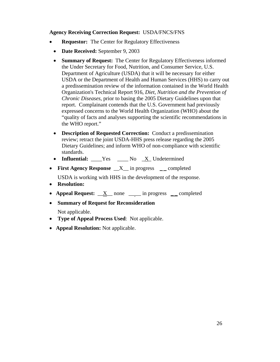#### **Agency Receiving Correction Request:** USDA/FNCS/FNS

- **Requestor:** The Center for Regulatory Effectiveness
- **Date Received:** September 9, 2003
- **Summary of Request:** The Center for Regulatory Effectiveness informed the Under Secretary for Food, Nutrition, and Consumer Service, U.S. Department of Agriculture (USDA) that it will be necessary for either USDA or the Department of Health and Human Services (HHS) to carry out a predissemination review of the information contained in the World Health Organization's Technical Report 916, *Diet, Nutrition and the Prevention of Chronic Diseases*, prior to basing the 2005 Dietary Guidelines upon that report. Complainant contends that the U.S. Government had previously expressed concerns to the World Health Organization (WHO) about the "quality of facts and analyses supporting the scientific recommendations in the WHO report."
- **Description of Requested Correction:** Conduct a predissemination review; retract the joint USDA-HHS press release regarding the 2005 Dietary Guidelines; and inform WHO of non-compliance with scientific standards.
- **Influential:** Yes No X Undetermined
- **First Agency Response**  $X$  in progress \_ completed

USDA is working with HHS in the development of the response.

- **Resolution:**
- **Appeal Request:**  $\_\_X\_\_$  none  $\_\_$  in progress  $\_\_$  completed
- **Summary of Request for Reconsideration**

Not applicable.

- **Type of Appeal Process Used**: Not applicable.
- **Appeal Resolution:** Not applicable.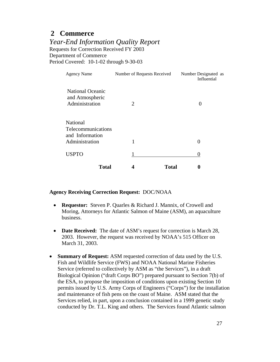# <span id="page-26-0"></span>**2 Commerce**

*Year-End Information Quality Report*  Requests for Correction Received FY 2003 Department of Commerce Period Covered: 10-1-02 through 9-30-03

| <b>Agency Name</b>                                           | Number of Requests Received | Number Designated as<br>Influential |
|--------------------------------------------------------------|-----------------------------|-------------------------------------|
| <b>National Oceanic</b><br>and Atmospheric<br>Administration | $\mathcal{D}_{\mathcal{A}}$ |                                     |
| <b>National</b><br>Telecommunications<br>and Information     |                             |                                     |
| Administration                                               |                             | 0                                   |
| <b>USPTO</b>                                                 |                             |                                     |
| <b>Total</b>                                                 |                             | <b>Total</b><br>0                   |

#### **Agency Receiving Correction Request:** DOC/NOAA

- **Requestor:** Steven P. Quarles & Richard J. Mannix, of Crowell and Moring, Attorneys for Atlantic Salmon of Maine (ASM), an aquaculture business.
- **Date Received:** The date of ASM's request for correction is March 28, 2003. However, the request was received by NOAA's 515 Officer on March 31, 2003.
- **Summary of Request:** ASM requested correction of data used by the U.S. Fish and Wildlife Service (FWS) and NOAA National Marine Fisheries Service (referred to collectively by ASM as "the Services"), in a draft Biological Opinion ("draft Corps BO") prepared pursuant to Section 7(b) of the ESA, to propose the imposition of conditions upon existing Section 10 permits issued by U.S. Army Corps of Engineers ("Corps") for the installation and maintenance of fish pens on the coast of Maine. ASM stated that the Services relied, in part, upon a conclusion contained in a 1999 genetic study conducted by Dr. T.L. King and others. The Services found Atlantic salmon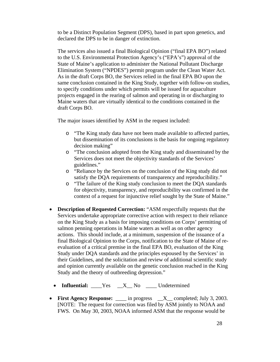to be a Distinct Population Segment (DPS), based in part upon genetics, and declared the DPS to be in danger of extinction.

The services also issued a final Biological Opinion ("final EPA BO") related to the U.S. Environmental Protection Agency's ("EPA's") approval of the State of Maine's application to administer the National Pollutant Discharge Elimination System ("NPDES") permit program under the Clean Water Act. As in the draft Corps BO, the Services relied in the final EPA BO upon the same conclusion contained in the King Study, together with follow-on studies, to specify conditions under which permits will be issued for aquaculture projects engaged in the rearing of salmon and operating in or discharging to Maine waters that are virtually identical to the conditions contained in the draft Corps BO.

The major issues identified by ASM in the request included:

- o "The King study data have not been made available to affected parties, but dissemination of its conclusions is the basis for ongoing regulatory decision making"
- o "The conclusion adopted from the King study and disseminated by the Services does not meet the objectivity standards of the Services' guidelines."
- o "Reliance by the Services on the conclusion of the King study did not satisfy the DQA requirements of transparency and reproducibility."
- o "The failure of the King study conclusion to meet the DQA standards for objectivity, transparency, and reproducibility was confirmed in the context of a request for injunctive relief sought by the State of Maine."
- **Description of Requested Correction:** "ASM respectfully requests that the Services undertake appropriate corrective action with respect to their reliance on the King Study as a basis for imposing conditions on Corps' permitting of salmon penning operations in Maine waters as well as on other agency actions. This should include, at a minimum, suspension of the issuance of a final Biological Opinion to the Corps, notification to the State of Maine of reevaluation of a critical premise in the final EPA BO, evaluation of the King Study under DQA standards and the principles espoused by the Services' in their Guidelines, and the solicitation and review of additional scientific study and opinion currently available on the genetic conclusion reached in the King Study and the theory of outbreeding depression."
	- **Influential:** Yes  $X$  No  $\qquad$  Undetermined
- **First Agency Response:** \_\_\_\_ in progress \_\_X\_\_ completed; July 3, 2003. [NOTE: The request for correction was filed by ASM jointly to NOAA and FWS. On May 30, 2003, NOAA informed ASM that the response would be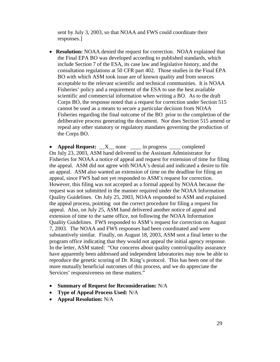sent by July 3, 2003, so that NOAA and FWS could coordinate their responses.]

• **Resolution:** NOAA denied the request for correction. NOAA explained that the Final EPA BO was developed according to published standards, which include Section 7 of the ESA, its case law and legislative history, and the consultation regulations at 50 CFR part 402. Those studies in the Final EPA BO with which ASM took issue are of known quality and from sources acceptable to the relevant scientific and technical communities. It is NOAA Fisheries' policy and a requirement of the ESA to use the best available scientific and commercial information when writing a BO. As to the draft Corps BO, the response noted that a request for correction under Section 515 cannot be used as a means to secure a particular decision from NOAA Fisheries regarding the final outcome of the BO prior to the completion of the deliberative process generating the document. Nor does Section 515 amend or repeal any other statutory or regulatory mandates governing the production of the Corps BO.

• **Appeal Request:**  $X$  none <u>\_\_\_\_</u> in progress \_\_\_\_ completed On July 23, 2003, ASM hand delivered to the Assistant Administrator for Fisheries for NOAA a notice of appeal and request for extension of time for filing the appeal. ASM did not agree with NOAA's denial and indicated a desire to file an appeal. ASM also wanted an extension of time on the deadline for filing an appeal, since FWS had not yet responded to ASM's request for correction. However, this filing was not accepted as a formal appeal by NOAA because the request was not submitted in the manner required under the NOAA Information Quality Guidelines. On July 25, 2003, NOAA responded to ASM and explained the appeal process, pointing out the correct procedure for filing a request for appeal. Also, on July 25, ASM hand delivered another notice of appeal and extension of time to the same office, not following the NOAA Information Quality Guidelines. FWS responded to ASM's request for correction on August 7, 2003. The NOAA and FWS responses had been coordinated and were substantively similar. Finally, on August 18, 2003, ASM sent a final letter to the program office indicating that they would not appeal the initial agency response. In the letter, ASM stated: "Our concerns about quality control/quality assurance have apparently been addressed and independent laboratories may now be able to reproduce the genetic scoring of Dr. King's protocol. This has been one of the more mutually beneficial outcomes of this process, and we do appreciate the Services' responsiveness on these matters."

- **Summary of Request for Reconsideration:** N/A
- **Type of Appeal Process Used:** N/A
- **Appeal Resolution:** N/A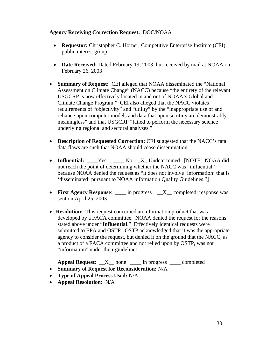#### **Agency Receiving Correction Request:** DOC/NOAA

- **Requestor:** Christopher C. Horner; Competitive Enterprise Institute (CEI); public interest group
- **Date Received:** Dated February 19, 2003, but received by mail at NOAA on February 26, 2003
- **Summary of Request:** CEI alleged that NOAA disseminated the "National Assessment on Climate Change" (NACC) because "the entirety of the relevant USGCRP is now effectively located in and out of NOAA's Global and Climate Change Program." CEI also alleged that the NACC violates requirements of "objectivity" and "utility" by the "inappropriate use of and reliance upon computer models and data that upon scrutiny are demonstrably meaningless" and that USGCRP "failed to perform the necessary science underlying regional and sectoral analyses."
- **Description of Requested Correction:** CEI suggested that the NACC's fatal data flaws are such that NOAA should cease dissemination.
- **Influential:** \_\_\_\_Yes \_\_\_\_ No \_X\_ Undetermined. [NOTE: NOAA did not reach the point of determining whether the NACC was "influential" because NOAA denied the request as "it does not involve 'information' that is 'disseminated' pursuant to NOAA information Quality Guidelines."]
- **First Agency Response:** \_\_\_\_ in progress \_\_X\_\_ completed; response was sent on April 25, 2003
- **Resolution:** This request concerned an information product that was developed by a FACA committee. NOAA denied the request for the reasons stated above under "**Influential**." Effectively identical requests were submitted to EPA and OSTP. OSTP acknowledged that it was the appropriate agency to consider the request, but denied it on the ground that the NACC, as a product of a FACA committee and not relied upon by OSTP, was not "information" under their guidelines.

**Appeal Request:** \_\_X\_\_ none \_\_\_\_ in progress \_\_\_\_ completed

- **Summary of Request for Reconsideration:** N/A
- **Type of Appeal Process Used:** N/A
- **Appeal Resolution:** N/A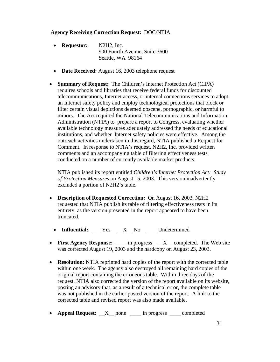#### **Agency Receiving Correction Request:** DOC/NTIA

- **Requestor:** N2H2, Inc. 900 Fourth Avenue, Suite 3600 Seattle, WA 98164
- **Date Received:** August 16, 2003 telephone request
- **Summary of Request:** The Children's Internet Protection Act (CIPA) requires schools and libraries that receive federal funds for discounted telecommunications, Internet access, or internal connections services to adopt an Internet safety policy and employ technological protections that block or filter certain visual depictions deemed obscene, pornographic, or harmful to minors. The Act required the National Telecommunications and Information Administration (NTIA) to prepare a report to Congress, evaluating whether available technology measures adequately addressed the needs of educational institutions, and whether Internet safety policies were effective. Among the outreach activities undertaken in this regard, NTIA published a Request for Comment. In response to NTIA's request, N2H2, Inc. provided written comments and an accompanying table of filtering effectiveness tests conducted on a number of currently available market products.

NTIA published its report entitled *Children's Internet Protection Act: Study of Protection Measures* on August 15, 2003. This version inadvertently excluded a portion of N2H2's table.

- **Description of Requested Correction:** On August 16, 2003, N2H2 requested that NTIA publish its table of filtering effectiveness tests in its entirety, as the version presented in the report appeared to have been truncated.
	- **Influential:** Yes X No Undetermined
- **First Agency Response:** \_\_\_\_ in progress \_\_X\_\_ completed. The Web site was corrected August 19, 2003 and the hardcopy on August 23, 2003.
- **Resolution:** NTIA reprinted hard copies of the report with the corrected table within one week. The agency also destroyed all remaining hard copies of the original report containing the erroneous table. Within three days of the request, NTIA also corrected the version of the report available on its website, posting an advisory that, as a result of a technical error, the complete table was not published in the earlier posted version of the report. A link to the corrected table and revised report was also made available.
- **Appeal Request:**  $X$  none \_\_\_\_ in progress \_\_\_\_ completed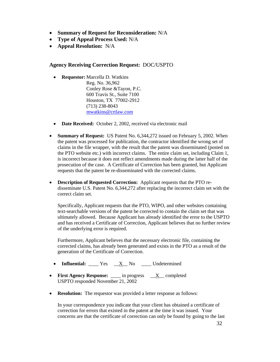- **Summary of Request for Reconsideration:** N/A
- **Type of Appeal Process Used:** N/A
- **Appeal Resolution:** N/A

#### **Agency Receiving Correction Request:** DOC/USPTO

- **Requestor:** Marcella D. Watkins Reg. No. 36,962 Conley Rose &Tayon, P.C. 600 Travis St., Suite 7100 Houston, TX 77002-2912 (713) 238-8043 [mwatkins@crtlaw.com](mailto:mwatkins@crtlaw.com)
- **Date Received:** October 2, 2002, received via electronic mail
- **Summary of Request:** US Patent No. 6,344,272 issued on February 5, 2002. When the patent was processed for publication, the contractor identified the wrong set of claims in the file wrapper, with the result that the patent was disseminated (posted on the PTO website etc.) with incorrect claims. The entire claim set, including Claim 1, is incorrect because it does not reflect amendments made during the latter half of the prosecution of the case. A Certificate of Correction has been granted, but Applicant requests that the patent be re-disseminated with the corrected claims.
- **Description of Requested Correction:** Applicant requests that the PTO redisseminate U.S. Patent No. 6,344,272 after replacing the incorrect claim set with the correct claim set.

Specifically, Applicant requests that the PTO, WIPO, and other websites containing text-searchable versions of the patent be corrected to contain the claim set that was ultimately allowed. Because Applicant has already identified the error to the USPTO and has received a Certificate of Correction, Applicant believes that no further review of the underlying error is required.

Furthermore, Applicant believes that the necessary electronic file, containing the corrected claims, has already been generated and exists in the PTO as a result of the generation of the Certificate of Correction.

- **Influential:** Yes <u>X</u> No \_\_\_ Undetermined
- **First Agency Response:** \_\_\_\_ in progress \_\_<u>X\_</u> completed USPTO responded November 21, 2002
- **Resolution:** The requestor was provided a letter response as follows:

In your correspondence you indicate that your client has obtained a certificate of correction for errors that existed in the patent at the time it was issued. Your concerns are that the certificate of correction can only be found by going to the last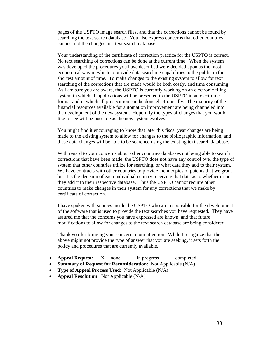pages of the USPTO image search files, and that the corrections cannot be found by searching the text search database. You also express concerns that other countries cannot find the changes in a text search database.

Your understanding of the certificate of correction practice for the USPTO is correct. No text searching of corrections can be done at the current time. When the system was developed the procedures you have described were decided upon as the most economical way in which to provide data searching capabilities to the public in the shortest amount of time. To make changes to the existing system to allow for text searching of the corrections that are made would be both costly, and time consuming. As I am sure you are aware, the USPTO is currently working on an electronic filing system in which all applications will be presented to the USPTO in an electronic format and in which all prosecution can be done electronically. The majority of the financial resources available for automation improvement are being channeled into the development of the new system. Hopefully the types of changes that you would like to see will be possible as the new system evolves.

You might find it encouraging to know that later this fiscal year changes are being made to the existing system to allow for changes to the bibliographic information, and these data changes will be able to be searched using the existing text search database.

With regard to your concerns about other countries databases not being able to search corrections that have been made, the USPTO does not have any control over the type of system that other countries utilize for searching, or what data they add to their system. We have contracts with other countries to provide them copies of patents that we grant but it is the decision of each individual country receiving that data as to whether or not they add it to their respective database. Thus the USPTO cannot require other countries to make changes in their system for any corrections that we make by certificate of correction.

I have spoken with sources inside the USPTO who are responsible for the development of the software that is used to provide the text searches you have requested. They have assured me that the concerns you have expressed are known, and that future modifications to allow for changes to the text search database are being considered.

Thank you for bringing your concern to our attention. While I recognize that the above might not provide the type of answer that you are seeking, it sets forth the policy and procedures that are currently available.

- **Appeal Request:** <u>X</u> none \_\_\_ in progress \_\_\_ completed
- **Summary of Request for Reconsideration:** Not Applicable (N/A)
- **Type of Appeal Process Used:** Not Applicable (N/A)
- **Appeal Resolution:** Not Applicable (N/A)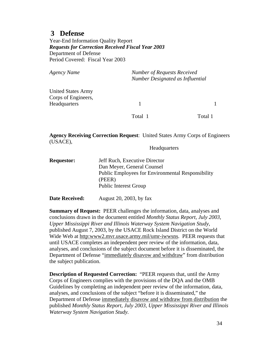## <span id="page-33-0"></span>**3 Defense**

Year-End Information Quality Report *Requests for Correction Received Fiscal Year 2003* Department of Defense Period Covered: Fiscal Year 2003

| Agency Name                 | <b>Number of Requests Received</b><br>Number Designated as Influential |
|-----------------------------|------------------------------------------------------------------------|
| <b>I</b> Inited States Army |                                                                        |

United States Army Corps of Engineers, Headquarters 1 1

Total 1 Total 1

**Agency Receiving Correction Request**: United States Army Corps of Engineers (USACE),

Headquarters

**Requestor:** Jeff Ruch, Executive Director Dan Meyer, General Counsel Public Employees for Environmental Responsibility (PEER) Public Interest Group

**Date Received:** August 20, 2003, by fax

**Summary of Request:** PEER challenges the information, data, analyses and conclusions drawn in the document entitled *Monthly Status Report, July 2003, Upper Mississippi River and Illinois Waterway System Navigation Study,* published August 7, 2003, by the USACE Rock Island District on the World Wide Web at http:www2.mvr.usace.army.mil/umr-iwwsns. PEER requests that until USACE completes an independent peer review of the information, data, analyses, and conclusions of the subject document before it is disseminated, the Department of Defense "immediately disavow and withdraw" from distribution the subject publication.

**Description of Requested Correction:** "PEER requests that, until the Army Corps of Engineers complies with the provisions of the DQA and the OMB Guidelines by completing an independent peer review of the information, data, analyses, and conclusions of the subject "before it is disseminated," the Department of Defense immediately disavow and withdraw from distribution the published *Monthly Status Report, July 2003, Upper Mississippi River and Illinois Waterway System Navigation Study.*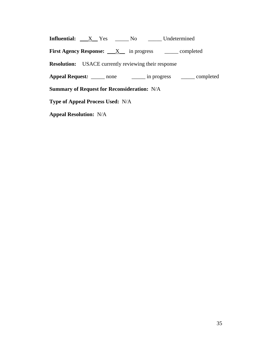**Influential:** <u>X</u> Yes \_\_\_\_\_ No \_\_\_\_\_ Undetermined

**First Agency Response:** \_\_<u>X\_\_</u> in progress \_\_\_\_\_ completed

**Resolution:** USACE currently reviewing their response

**Appeal Request:** \_\_\_\_\_\_ none \_\_\_\_\_\_ in progress \_\_\_\_\_\_ completed

**Summary of Request for Reconsideration:** N/A

**Type of Appeal Process Used:** N/A

**Appeal Resolution:** N/A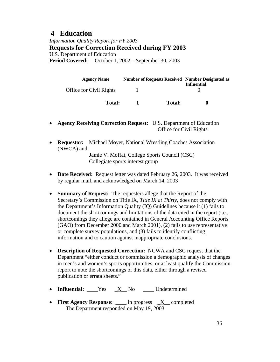## <span id="page-35-0"></span>**4 Education**

*Information Quality Report for FY 2003* **Requests for Correction Received during FY 2003**  U.S. Department of Education **Period Covered:** October 1, 2002 – September 30, 2003

| <b>Agency Name</b>      |               | <b>Number of Requests Received Number Designated as</b><br><b>Influential</b> |
|-------------------------|---------------|-------------------------------------------------------------------------------|
| Office for Civil Rights |               |                                                                               |
| Total:                  | <b>Total:</b> |                                                                               |

- **Agency Receiving Correction Request:** U.S. Department of Education Office for Civil Rights
- **Requestor:** Michael Moyer, National Wrestling Coaches Association (NWCA) and

 Jamie V. Moffat, College Sports Council (CSC) Collegiate sports interest group

- **Date Received:** Request letter was dated February 26, 2003. It was received by regular mail, and acknowledged on March 14, 2003
- **Summary of Request:** The requesters allege that the Report of the Secretary's Commission on Title IX, *Title IX at Thirty*, does not comply with the Department's Information Quality (IQ) Guidelines because it (1) fails to document the shortcomings and limitations of the data cited in the report (i.e., shortcomings they allege are contained in General Accounting Office Reports (GAO) from December 2000 and March 2001), (2) fails to use representative or complete survey populations, and (3) fails to identify conflicting information and to caution against inappropriate conclusions.
- **Description of Requested Correction:** NCWA and CSC request that the Department "either conduct or commission a demographic analysis of changes in men's and women's sports opportunities, or at least qualify the Commission report to note the shortcomings of this data, either through a revised publication or errata sheets."
- **Influential:** Yes X No Undetermined
- **First Agency Response:** in progress X completed The Department responded on May 19, 2003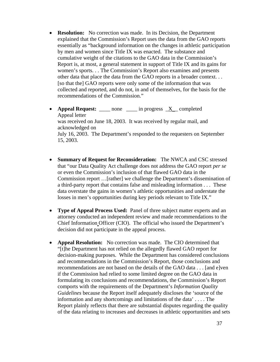- **Resolution:** No correction was made. In its Decision, the Department explained that the Commission's Report uses the data from the GAO reports essentially as "background information on the changes in athletic participation by men and women since Title IX was enacted. The substance and cumulative weight of the citations to the GAO data in the Commission's Report is, at most, a general statement in support of Title IX and its gains for women's sports. . . The Commission's Report also examines and presents other data that place the data from the GAO reports in a broader context. . . [so that the] GAO reports were only some of the information that was collected and reported, and do not, in and of themselves, for the basis for the recommendations of the Commission."
- **Appeal Request:** \_\_\_\_ none \_\_\_\_ in progress  $X$  completed Appeal letter was received on June 18, 2003. It was received by regular mail, and acknowledged on July 16, 2003. The Department's responded to the requesters on September 15, 2003.
- **Summary of Request for Reconsideration:** The NWCA and CSC stressed that "our Data Quality Act challenge does not address the GAO report *per se* or even the Commission's inclusion of that flawed GAO data in the Commission report …[rather] we challenge the Department's dissemination of a third-party report that contains false and misleading information . . . These data overstate the gains in women's athletic opportunities and understate the losses in men's opportunities during key periods relevant to Title IX."
- **Type of Appeal Process Used:** Panel of three subject matter experts and an attorney conducted an independent review and made recommendations to the Chief Information Officer (CIO). The official who issued the Department's decision did not participate in the appeal process.
- **Appeal Resolution:** No correction was made. The CIO determined that "[t]he Department has not relied on the allegedly flawed GAO report for decision-making purposes. While the Department has considered conclusions and recommendations in the Commission's Report, those conclusions and recommendations are not based on the details of the GAO data . . . [and e]ven if the Commission had relied to some limited degree on the GAO data in formulating its conclusions and recommendations, the Commission's Report comports with the requirements of the Department's *Information Quality Guidelines* because the Report itself adequately discloses the 'source of the information and any shortcomings and limitations of the data' . . . . The Report plainly reflects that there are substantial disputes regarding the quality of the data relating to increases and decreases in athletic opportunities and sets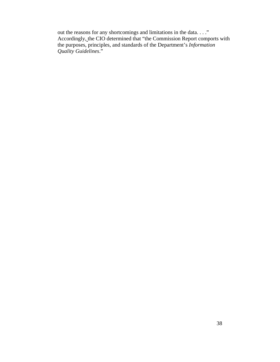out the reasons for any shortcomings and limitations in the data. . . ." Accordingly, the CIO determined that "the Commission Report comports with the purposes, principles, and standards of the Department's *Information Quality Guidelines*."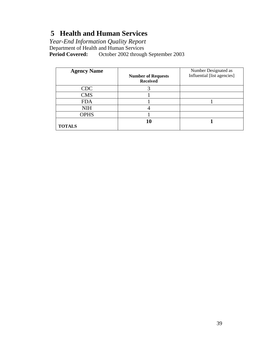# **5 Health and Human Services**

*Year-End Information Quality Report*  Department of Health and Human Services<br>Period Covered: October 2002 through October 2002 through September 2003

| <b>Agency Name</b> | <b>Number of Requests</b><br><b>Received</b> | Number Designated as<br>Influential [list agencies] |
|--------------------|----------------------------------------------|-----------------------------------------------------|
| <b>CDC</b>         |                                              |                                                     |
| <b>CMS</b>         |                                              |                                                     |
| <b>FDA</b>         |                                              |                                                     |
| <b>NIH</b>         |                                              |                                                     |
| <b>OPHS</b>        |                                              |                                                     |
| <b>TOTALS</b>      |                                              |                                                     |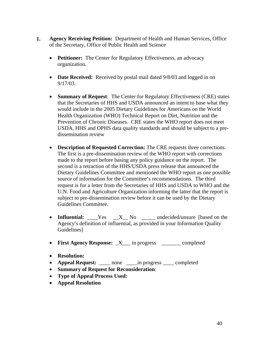- **Agency Receiving Petition:** Department of Health and Human Services, Office of the Secretary, Office of Public Health and Science **1.** 
	- **Petitioner:** The Center for Regulatory Effectiveness, an advocacy organization.
	- **Date Received:** Received by postal mail dated  $9/8/03$  and logged in on 9/17/03.
	- **Summary of Request**: The Center for Regulatory Effectiveness (CRE) states that the Secretaries of HHS and USDA announced an intent to base what they would include in the 2005 Dietary Guidelines for Americans on the World Health Organization (WHO) Technical Report on Diet, Nutrition and the Prevention of Chronic Diseases. CRE states the WHO report does not meet USDA, HHS and OPHS data quality standards and should be subject to a predissemination review
	- **Description of Requested Correction:** The CRE requests three corrections. The first is a pre-dissemination review of the WHO report with corrections made to the report before basing any policy guidance on the report. The second is a retraction of the HHS/USDA press release that announced the Dietary Guidelines Committee and mentioned the WHO report as one possible source of information for the Committee's recommendations. The third request is for a letter from the Secretaries of HHS and USDA to WHO and the U.N. Food and Agriculture Organization informing the latter that the report is subject to pre-dissemination review before it can be used by the Dietary Guidelines Committee.
	- **Influential:** <u>Yes X</u> No <u>equilibration</u> undecided/unsure [based on the Agency's definition of influential, as provided in your Information Quality Guidelines]
	- **First Agency Response:** \_X\_\_\_ in progress \_\_\_\_\_\_\_ completed
	- **Resolution:**
	- **Appeal Request:** \_\_\_\_ none \_\_\_\_in progress \_\_\_\_ completed
	- **Summary of Request for Reconsideration**:
	- **Type of Appeal Process Used:**
	- **Appeal Resolution**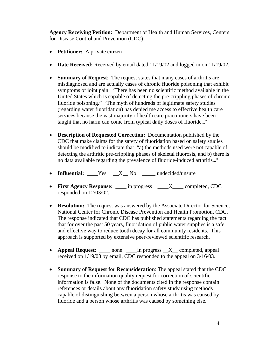**Agency Receiving Petition:** Department of Health and Human Services, Centers for Disease Control and Prevention (CDC)

- **Petitioner:** A private citizen
- **Date Received:** Received by email dated 11/19/02 and logged in on 11/19/02.
- **Summary of Request**: The request states that many cases of arthritis are misdiagnosed and are actually cases of chronic fluoride poisoning that exhibit symptoms of joint pain. "There has been no scientific method available in the United States which is capable of detecting the pre-crippling phases of chronic fluoride poisoning." "The myth of hundreds of legitimate safety studies (regarding water fluoridation) has denied me access to effective health care services because the vast majority of health care practitioners have been taught that no harm can come from typical daily doses of fluoride..."
- **Description of Requested Correction:** Documentation published by the CDC that make claims for the safety of fluoridation based on safety studies should be modified to indicate that "a) the methods used were not capable of detecting the arthritic pre-crippling phases of skeletal fluorosis, and b) there is no data available regarding the prevalence of fluoride-induced arthritis..."
- **Influential:** <u>\_\_\_Yes \_\_X</u>\_No \_\_\_\_ undecided/unsure
- **First Agency Response:** \_\_\_\_ in progress \_\_\_\_X\_\_\_\_ completed, CDC responded on 12/03/02.
- **Resolution:** The request was answered by the Associate Director for Science, National Center for Chronic Disease Prevention and Health Promotion, CDC. The response indicated that CDC has published statements regarding the fact that for over the past 50 years, fluoridation of public water supplies is a safe and effective way to reduce tooth decay for all community residents. This approach is supported by extensive peer-reviewed scientific research.
- **Appeal Request:** \_\_\_\_\_ none \_\_\_\_\_in progress \_\_X\_\_ completed, appeal received on 1/19/03 by email, CDC responded to the appeal on 3/16/03.
- **Summary of Request for Reconsideration**: The appeal stated that the CDC response to the information quality request for correction of scientific information is false. None of the documents cited in the response contain references or details about any fluoridation safety study using methods capable of distinguishing between a person whose arthritis was caused by fluoride and a person whose arthritis was caused by something else.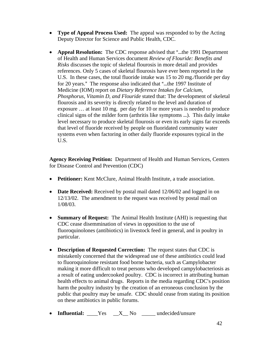- **Type of Appeal Process Used:** The appeal was responded to by the Acting Deputy Director for Science and Public Health, CDC.
- **Appeal Resolution:** The CDC response advised that "...the 1991 Department of Health and Human Services document *Review of Flouride: Benefits and Risks* discusses the topic of skeletal flourosis in more detail and provides references. Only 5 cases of skeletal flourosis have ever been reported in the U.S. In these cases, the total fluoride intake was 15 to 20 mg./fluoride per day for 20 years." The response also indicated that "...the 1997 Institute of Medicine (IOM) report on *Dietary Reference Intakes for Calcium, Phosphorus, Vitamin D, and Flouride* stated that: The development of skeletal flourosis and its severity is directly related to the level and duration of exposure … at least 10 mg. per day for 10 or more years is needed to produce clinical signs of the milder form (arthritis like symptoms ...). This daily intake level necessary to produce skeletal flourosis or even its early signs far exceeds that level of fluoride received by people on fluoridated community water systems even when factoring in other daily fluoride exposures typical in the U.S.

**Agency Receiving Petition:** Department of Health and Human Services, Centers for Disease Control and Prevention (CDC)

- **Petitioner:** Kent McClure, Animal Health Institute, a trade association.
- **Date Received:** Received by postal mail dated 12/06/02 and logged in on 12/13/02. The amendment to the request was received by postal mail on 1/08/03.
- **Summary of Request:** The Animal Health Institute (AHI) is requesting that CDC cease disemmination of views in opposition to the use of fluoroquinolones (antibiotics) in livestock feed in general, and in poultry in particular.
- **Description of Requested Correction:** The request states that CDC is mistakenly concerned that the widespread use of these antibiotics could lead to fluoroquinolone resistant food borne bacteria, such as Campylobacter making it more difficult to treat persons who developed campylobacteriosis as a result of eating undercooked poultry. CDC is incorrect in attributing human health effects to animal drugs. Reports in the media regarding CDC's position harm the poultry industry by the creation of an erroneous conclusion by the public that poultry may be unsafe. CDC should cease from stating its position on these antibiotics in public forums.
- **Influential:** Yes  $X$  No \_\_\_\_ undecided/unsure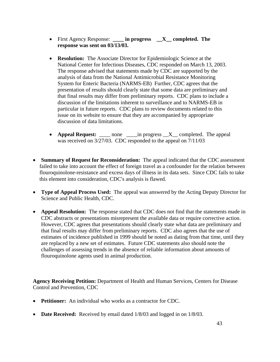- First Agency Response: **\_\_\_\_ in progress \_\_X\_\_ completed. The response was sent on 03/13/03.**
- **Resolution:** The Associate Director for Epidemiologic Science at the National Center for Infectious Diseases, CDC responded on March 13, 2003. The response advised that statements made by CDC are supported by the analysis of data from the National Antimicrobial Resistance Monitoring System for Enteric Bacteria (NARMS-EB) Further, CDC agrees that the presentation of results should clearly state that some data are preliminary and that final results may differ from preliminary reports. CDC plans to include a discussion of the limitations inherent to surveillance and to NARMS-EB in particular in future reports. CDC plans to review documents related to this issue on its website to ensure that they are accompanied by appropriate discussion of data limitations.
- **Appeal Request:** \_\_\_\_\_ none \_\_\_\_\_in progress \_\_X\_\_\_ completed. The appeal was received on 3/27/03. CDC responded to the appeal on 7/11/03
- **Summary of Request for Reconsideration:** The appeal indicated that the CDC assessment failed to take into account the effect of foreign travel as a confounder for the relation between flouroquinolone-resistance and excess days of illness in its data sets. Since CDC fails to take this element into consideration, CDC's analysis is flawed.
- **Type of Appeal Process Used:** The appeal was answered by the Acting Deputy Director for Science and Public Health, CDC.
- **Appeal Resolution:** The response stated that CDC does not find that the statements made in CDC abstracts or presentations misrepresent the available data or require corrective action. However, CDC agrees that presentations should clearly state what data are preliminary and that final results may differ from preliminary reports. CDC also agrees that the use of estimates of incidence published in 1999 should be noted as dating from that time, until they are replaced by a new set of estimates. Future CDC statements also should note the challenges of assessing trends in the absence of reliable information about amounts of flouroquinolone agents used in animal production.

**Agency Receiving Petition:** Department of Health and Human Services, Centers for Disease Control and Prevention, CDC

- **Petitioner:** An individual who works as a contractor for CDC.
- **Date Received:** Received by email dated 1/8/03 and logged in on 1/8/03.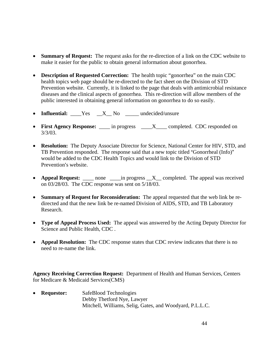- **Summary of Request:** The request asks for the re-direction of a link on the CDC website to make it easier for the public to obtain general information about gonorrhea.
- **Description of Requested Correction:** The health topic "gonorrhea" on the main CDC health topics web page should be re-directed to the fact sheet on the Division of STD Prevention website. Currently, it is linked to the page that deals with antimicrobial resistance diseases and the clinical aspects of gonorrhea. This re-direction will allow members of the public interested in obtaining general information on gonorrhea to do so easily.
- **Influential:** Yes X No \_\_\_\_ undecided/unsure
- **First Agency Response:** \_\_\_\_ in progress \_\_\_\_X\_\_\_ completed. CDC responded on 3/3/03.
- **Resolution:** The Deputy Associate Director for Science, National Center for HIV, STD, and TB Prevention responded. The response said that a new topic titled "Gonorrheal (Info)" would be added to the CDC Health Topics and would link to the Division of STD Prevention's website.
- **Appeal Request:** \_\_\_\_\_ none \_\_\_\_\_in progress \_\_X\_\_\_ completed. The appeal was received on 03/28/03. The CDC response was sent on 5/18/03.
- **Summary of Request for Reconsideration:** The appeal requested that the web link be redirected and that the new link be re-named Division of AIDS, STD, and TB Laboratory Research.
- **Type of Appeal Process Used:** The appeal was answered by the Acting Deputy Director for Science and Public Health, CDC .
- **Appeal Resolution:** The CDC response states that CDC review indicates that there is no need to re-name the link.

**Agency Receiving Correction Request:** Department of Health and Human Services, Centers for Medicare & Medicaid Services(CMS)

• **Requestor:** SafeBlood Technologies Debby Thetford Nye, Lawyer Mitchell, Williams, Selig, Gates, and Woodyard, P.L.L.C.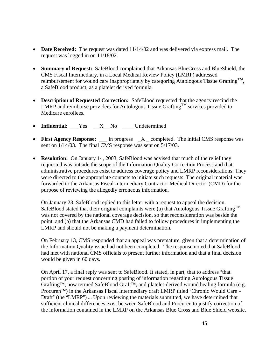- **Date Received:** The request was dated  $11/14/02$  and was delivered via express mail. The request was logged in on 11/18/02.
- **Summary of Request:** SafeBlood complained that Arkansas BlueCross and BlueShield, the CMS Fiscal Intermediary, in a Local Medical Review Policy (LMRP) addressed reimbursement for wound care inappropriately by categoring Autologous Tissue Grafting<sup>TM</sup>, a SafeBlood product, as a platelet derived formula.
- **Description of Requested Correction:** SafeBlood requested that the agency rescind the LMRP and reimburse providers for Autologous Tissue  $G$ rafting<sup>TM</sup> services provided to Medicare enrollees.
- **Influential:** Yes X No Undetermined
- **First Agency Response:** in progress X completed. The initial CMS response was sent on 1/14/03. The final CMS response was sent on 5/17/03.
- **Resolution:** On January 14, 2003, SafeBlood was advised that much of the relief they requested was outside the scope of the Information Quality Correction Process and that administrative procedures exist to address coverage policy and LMRP reconsiderations. They were directed to the appropriate contacts to initiate such requests. The original material was forwarded to the Arkansas Fiscal Intermediary Contractor Medical Director (CMD) for the purpose of reviewing the allegedly erroneous information.

On January 23, SafeBlood replied to this letter with a request to appeal the decision. SafeBlood stated that their original complaints were (a) that Autologous Tissue Grafting<sup>TM</sup> was not covered by the national coverage decision, so that reconsideration was beside the point, and (b) that the Arkansas CMD had failed to follow procedures in implementing the LMRP and should not be making a payment determination.

On February 13, CMS responded that an appeal was premature, given that a determination of the Information Quality issue had not been completed. The response noted that SafeBlood had met with national CMS officials to present further information and that a final decision would be given in 60 days.

On April 17, a final reply was sent to SafeBlood. It stated, in part, that to address "that portion of your request concerning posting of information regarding Autologous Tissue  $G$ rafting<sup>TM</sup>, now termed SafeBlood  $G$ raft<sup>TM</sup>, and platelet-derived wound healing formula (e.g. Procuren<sup>TM</sup>) in the Arkansas Fiscal Intermediary draft LMRP titled "Chronic Would Care  $-$ Draft" (the "LMRP") ... Upon reviewing the materials submitted, we have determined that sufficient clinical differences exist between SafeBlood and Procuren to justify correction of the information contained in the LMRP on the Arkansas Blue Cross and Blue Shield website.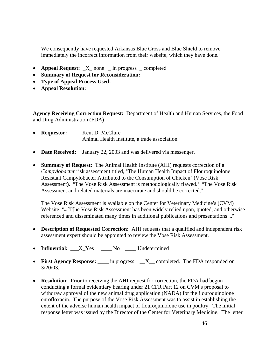We consequently have requested Arkansas Blue Cross and Blue Shield to remove immediately the incorrect information from their website, which they have done."

- **Appeal Request:** X none in progress completed
- **Summary of Request for Reconsideration:**
- **Type of Appeal Process Used:**
- **Appeal Resolution:**

**Agency Receiving Correction Request:** Department of Health and Human Services, the Food and Drug Administration (FDA)

- **Requestor:** Kent D. McClure Animal Health Institute, a trade association
- **Date Received:** January 22, 2003 and was delivered via messenger.
- **Summary of Request:** The Animal Health Institute (AHI) requests correction of a *Campylobacter* risk assessment titled, "The Human Health Impact of Flouroquinolone Resistant Campylobacter Attributed to the Consumption of Chicken" (Vose Risk Assessment). "The Vose Risk Assessment is methodologically flawed." "The Vose Risk Assessment and related materials are inaccurate and should be corrected."

The Vose Risk Assessment is available on the Center for Veterinary Medicine's (CVM) Website. "...[T]he Vose Risk Assessment has been widely relied upon, quoted, and otherwise referenced and disseminated many times in additional publications and presentations ..."

- **Description of Requested Correction:** AHI requests that a qualified and independent risk assessment expert should be appointed to review the Vose Risk Assessment.
- **Influential:** X\_Yes \_\_\_\_ No \_\_\_\_ Undetermined
- **First Agency Response:** \_\_\_\_\_ in progress \_\_X\_\_ completed. The FDA responded on 3/20/03.
- **Resolution:** Prior to receiving the AHI request for correction, the FDA had begun conducting a formal evidentiary hearing under 21 CFR Part 12 on CVM's proposal to withdraw approval of the new animal drug application (NADA) for the flouroquinolone enrofloxacin. The purpose of the Vose Risk Assessment was to assist in establishing the extent of the adverse human health impact of flouroquinolone use in poultry. The initial response letter was issued by the Director of the Center for Veterinary Medicine. The letter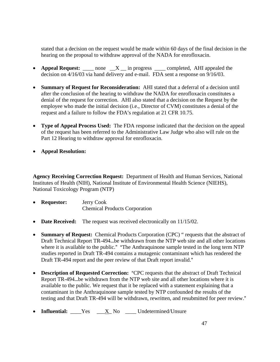stated that a decision on the request would be made within 60 days of the final decision in the hearing on the proposal to withdraw approval of the NADA for enrofloxacin.

- **Appeal Request:** none X in progress completed, AHI appealed the decision on 4/16/03 via hand delivery and e-mail. FDA sent a response on 9/16/03.
- **Summary of Request for Reconsideration:** AHI stated that a deferral of a decision until after the conclusion of the hearing to withdraw the NADA for enrofloxacin constitutes a denial of the request for correction. AHI also stated that a decision on the Request by the employee who made the initial decision (i.e., Director of CVM) constitutes a denial of the request and a failure to follow the FDA's regulation at 21 CFR 10.75.
- **Type of Appeal Process Used:** The FDA response indicated that the decision on the appeal of the request has been referred to the Administrative Law Judge who also will rule on the Part 12 Hearing to withdraw approval for enrofloxacin.
- **Appeal Resolution:**

**Agency Receiving Correction Request:** Department of Health and Human Services, National Institutes of Health (NIH), National Institute of Environmental Health Science (NIEHS), National Toxicology Program (NTP)

- **Requestor:** Jerry Cook Chemical Products Corporation
- **Date Received:** The request was received electronically on 11/15/02.
- **Summary of Request:** Chemical Products Corporation (CPC) " requests that the abstract of Draft Technical Report TR-494, be withdrawn from the NTP web site and all other locations where it is available to the public." "The Anthraquinone sample tested in the long term NTP studies reported in Draft TR-494 contains a mutagenic contaminant which has rendered the Draft TR-494 report and the peer review of that Draft report invalid."
- **Description of Requested Correction:** "CPC requests that the abstract of Draft Technical Report TR-494...be withdrawn from the NTP web site and all other locations where it is available to the public. We request that it be replaced with a statement explaining that a contaminant in the Anthraquinone sample tested by NTP confounded the results of the testing and that Draft TR-494 will be withdrawn, rewritten, and resubmitted for peer review."
- **Influential:** Yes <u>X</u> No \_\_\_\_ Undetermined/Unsure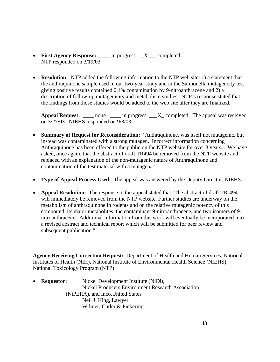- **First Agency Response:** \_\_\_\_ in progress \_X\_\_\_ completed NTP responded on 3/19/03.
- **Resolution:** NTP added the following information to the NTP web site: 1) a statement that the anthraquinone sample used in our two-year study and in the Salmonella mutagencity test giving positive results contained 0.1% contamination by 9-nitroanthracene and 2) a description of follow-up mutagenicity and metabolism studies. NTP's response stated that the findings from those studies would be added to the web site after they are finalized."

**Appeal Request: \_\_\_\_** none **\_\_\_\_** in progress **\_\_\_**X**\_** completed. The appeal was received on 3/27/03. NIEHS responded on 9/8/03.

- Summary of Request for Reconsideration: "Anthraquinone, was itself not mutagenic, but instead was contaminated with a strong mutagen. Incorrect information concerning Anthraquinone has been offered to the public on the NTP website for over 3 years... We have asked, once again, that the abstract of draft TR494 be removed from the NTP website and replaced with an explanation of the non-mutagenic nature of Anthraquinone and contamination of the test material with a mutagen..."
- **Type of Appeal Process Used:** The appeal was answered by the Deputy Director, NIEHS.
- **Appeal Resolution:** The response to the appeal stated that "The abstract of draft TR-494" will immediately be removed from the NTP website. Further studies are underway on the metabolism of anthraquinone in rodents and on the relative mutagenic potency of this compound, its major metabolites, the contaminant 9-nitroanthracene, and two isomers of 9 nitroanthracene. Additional information from this work will eventually be incorporated into a revised abstract and technical report which will be submitted for peer review and subsequent publication."

**Agency Receiving Correction Request:** Department of Health and Human Services, National Institutes of Health (NIH), National Institute of Environmental Health Science (NIEHS), National Toxicology Program (NTP)

• **Requestor:** Nickel Development Institute (NiDi), Nickel Producers Environment Research Association (NiPERA), and Inco,United States Neil J. King, Lawyer Wilmer, Cutler & Pickering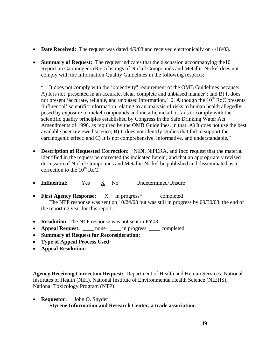- **Date Received:** The request was dated 4/9/03 and received electronically on 4/18/03.
- **Summary of Request:** The request indicates that the discussion accompanying the 10<sup>th</sup> Report on Carcinogens (RoC) listings of Nickel Compounds and Metallic Nickel does not comply with the Information Quality Guidelines in the following respects:

"1. It does not comply with the "objectivity" requirement of the OMB Guidelines because: A) It is not 'presented in an accurate, clear, complete and unbiased manner'; and B) It does not present 'accurate, reliable, and unbiased information.' 2. Although the  $10^{th}$  RoC presents 'influential' scientific information relating to an analysis of risks to human health allegedly posed by exposure to nickel compounds and metallic nickel, it fails to comply with the scientific quality principles established by Congress in the Safe Drinking Water Act Amendments of 1996, as required by the OMB Guidelines, in that: A) It does not use the best available peer reviewed science; B) It does not identify studies that fail to support the carcinogenic effect; and C) It is not comprehensive, informative, and understandable."

- **Description of Requested Correction:** "NiDi, NiPERA, and Inco request that the material identified in the request be corrected (as indicated herein) and that an appropriately revised discussion of Nickel Compounds and Metallic Nickel be published and disseminated as a correction to the  $10^{th}$  RoC."
- **Influential:** Yes X No Undetermined/Unsure
- **First Agency Response:**  $X$  in progress\* \_\_\_\_ completed The NTP response was sent on 10/24/03 but was still in progress by 09/30/03, the end of the reporting year for this report.
- **Resolution:** The NTP response was not sent in FY03.
- **Appeal Request:** \_\_\_\_ none \_\_\_\_ in progress \_\_\_\_ completed
- **Summary of Request for Reconsideration:**
- **Type of Appeal Process Used:**
- **Appeal Resolution:**

**Agency Receiving Correction Request:** Department of Health and Human Services, National Institutes of Health (NIH), National Institute of Environmental Health Science (NIEHS), National Toxicology Program (NTP)

• **Requestor:** John O. Snyder **Styrene Information and Research Center, a trade association.**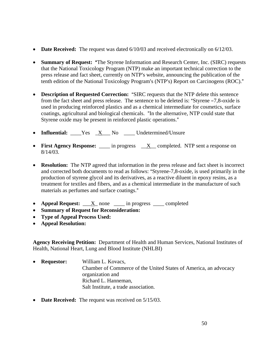- **Date Received:** The request was dated  $6/10/03$  and received electronically on  $6/12/03$ .
- **Summary of Request: "The Styrene Information and Research Center, Inc. (SIRC) requests** that the National Toxicology Program (NTP) make an important technical correction to the press release and fact sheet, currently on NTP's website, announcing the publication of the tenth edition of the National Toxicology Program's (NTP's) Report on Carcinogens (ROC)."
- **Description of Requested Correction:** "SIRC requests that the NTP delete this sentence from the fact sheet and press release. The sentence to be deleted is: "Styrene  $-7,8$ -oxide is used in producing reinforced plastics and as a chemical intermediate for cosmetics, surface coatings, agricultural and biological chemicals. "In the alternative, NTP could state that Styrene oxide may be present in reinforced plastic operations."
- **Influential:** <u>yes X</u> No \_\_\_ Undetermined/Unsure
- **First Agency Response:** \_\_\_\_ in progress \_\_X\_\_ completed. NTP sent a response on 8/14/03.
- **Resolution:** The NTP agreed that information in the press release and fact sheet is incorrect and corrected both documents to read as follows: "Styrene-7,8-oxide, is used primarily in the production of styrene glycol and its derivatives, as a reactive diluent in epoxy resins, as a treatment for textiles and fibers, and as a chemical intermediate in the manufacture of such materials as perfumes and surface coatings."
- **Appeal Request:** <u>X</u> none \_\_\_\_ in progress \_\_\_\_ completed
- **Summary of Request for Reconsideration:**
- **Type of Appeal Process Used:**
- **Appeal Resolution:**

**Agency Receiving Petition:** Department of Health and Human Services, National Institutes of Health, National Heart, Lung and Blood Institute (NHLBI)

- **Requestor:** William L. Kovacs, Chamber of Commerce of the United States of America, an advocacy organization and Richard L. Hanneman, Salt Institute, a trade association.
- **Date Received:** The request was received on  $\frac{5}{15}$ /03.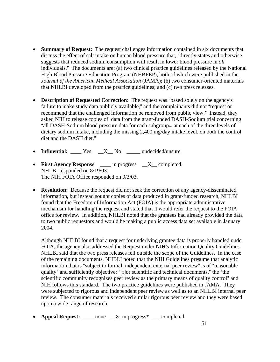- **Summary of Request:** The request challenges information contained in six documents that discuss the effect of salt intake on human blood pressure that, "directly states and otherwise suggests that reduced sodium consumption will result in lower blood pressure in *all* individuals." The documents are: (a) two clinical practice guidelines released by the National High Blood Pressure Education Program (NHBPEP), both of which were published in the *Journal of the American Medical Association* (JAMA); (b) two consumer-oriented materials that NHLBI developed from the practice guidelines; and (c) two press releases.
- Description of Requested Correction: The request was "based solely on the agency's failure to make study data publicly available," and the complainants did not "request or recommend that the challenged information be removed from public view." Instead, they asked NIH to release copies of data from the grant-funded DASH-Sodium trial concerning "all DASH-Sodium blood pressure data for each subgroup... at each of the three levels of dietary sodium intake, including the missing 2,400 mg/day intake level, on both the control diet and the DASH diet."
- **Influential:** Yes <u>X</u> No \_\_\_\_ undecided/unsure
- **First Agency Response** \_\_\_\_\_ in progress \_\_X\_\_ completed. NHLBI responded on 8/19/03. The NIH FOIA Office responded on 9/3/03.
- **Resolution:** Because the request did not seek the correction of any agency-disseminated information, but instead sought copies of data produced in grant-funded research, NHLBI found that the Freedom of Information Act (FOIA) is the appropriate administrative mechanism for handling the request and stated that it would refer the request to the FOIA office for review. In addition, NHLBI noted that the grantees had already provided the data to two public requestors and would be making a public access data set available in January 2004.

Although NHLBI found that a request for underlying grantee data is properly handled under FOIA, the agency also addressed the Request under NIH's Information Quality Guidelines. NHLBI said that the two press releases fell outside the scope of the Guidelines. In the case of the remaining documents, NHBLI noted that the NIH Guidelines presume that analytic information that is "subject to formal, independent external peer review" is of "reasonable quality" and sufficiently objective: "[f]or scientific and technical documents," the "the scientific community recognizes peer review as the primary means of quality control" and NIH follows this standard. The two practice guidelines were published in JAMA. They were subjected to rigorous and independent peer review as well as to an NHLBI internal peer review. The consumer materials received similar rigorous peer review and they were based upon a wide range of research.

**Appeal Request:** \_\_\_\_ none \_\_X\_in progress<sup>\*</sup> \_\_\_ completed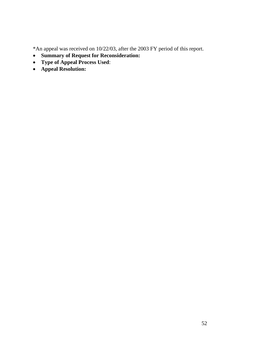\*An appeal was received on 10/22/03, after the 2003 FY period of this report.

- **Summary of Request for Reconsideration:**
- **Type of Appeal Process Used**:
- **Appeal Resolution:**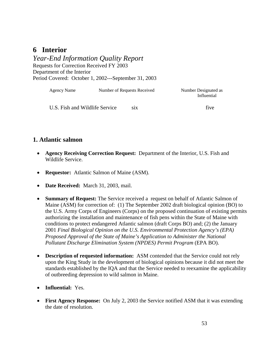## **6 Interior**

*Year-End Information Quality Report*  Requests for Correction Received FY 2003 Department of the Interior Period Covered: October 1, 2002---September 31, 2003

| Agency Name                    | Number of Requests Received |     | Number Designated as<br>Influential |
|--------------------------------|-----------------------------|-----|-------------------------------------|
| U.S. Fish and Wildlife Service |                             | S1X | five                                |

## **1. Atlantic salmon**

- **Agency Receiving Correction Request:** Department of the Interior, U.S. Fish and Wildlife Service.
- **Requestor:** Atlantic Salmon of Maine (ASM).
- **Date Received:** March 31, 2003, mail.
- **Summary of Request:** The Service received a request on behalf of Atlantic Salmon of Maine (ASM) for correction of: (1) The September 2002 draft biological opinion (BO) to the U.S. Army Corps of Engineers (Corps) on the proposed continuation of existing permits authorizing the installation and maintenance of fish pens within the State of Maine with conditions to protect endangered Atlantic salmon (draft Corps BO) and; (2) the January 2001 *Final Biological Opinion on the U.S. Environmental Protection Agency's (EPA) Proposed Approval of the State of Maine's Application to Administer the National Pollutant Discharge Elimination System (NPDES) Permit Program* (EPA BO).
- **Description of requested information:** ASM contended that the Service could not rely upon the King Study in the development of biological opinions because it did not meet the standards established by the IQA and that the Service needed to reexamine the applicability of outbreeding depression to wild salmon in Maine.
- **Influential:** Yes.
- **First Agency Response:** On July 2, 2003 the Service notified ASM that it was extending the date of resolution.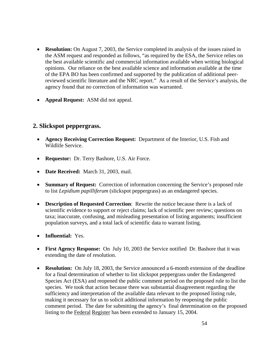- **Resolution:** On August 7, 2003, the Service completed its analysis of the issues raised in the ASM request and responded as follows, "as required by the ESA, the Service relies on the best available scientific and commercial information available when writing biological opinions. Our reliance on the best available science and information available at the time of the EPA BO has been confirmed and supported by the publication of additional peerreviewed scientific literature and the NRC report." As a result of the Service's analysis, the agency found that no correction of information was warranted.
- **Appeal Request:** ASM did not appeal.

### **2. Slickspot peppergrass.**

- **Agency Receiving Correction Request:** Department of the Interior, U.S. Fish and Wildlife Service.
- **Requestor:** Dr. Terry Bashore, U.S. Air Force.
- **Date Received:** March 31, 2003, mail.
- **Summary of Request:** Correction of information concerning the Service's proposed rule to list *Lepidium papilliferum* (slickspot peppergrass) as an endangered species.
- **Description of Requested Correction**: Rewrite the notice because there is a lack of scientific evidence to support or reject claims; lack of scientific peer review; questions on taxa; inaccurate, confusing, and misleading presentation of listing arguments; insufficient population surveys, and a total lack of scientific data to warrant listing.
- **Influential:** Yes.
- **First Agency Response:** On July 10, 2003 the Service notified Dr. Bashore that it was extending the date of resolution.
- **Resolution:** On July 18, 2003, the Service announced a 6-month extension of the deadline for a final determination of whether to list slickspot peppergrass under the Endangered Species Act (ESA) and reopened the public comment period on the proposed rule to list the species. We took that action because there was substantial disagreement regarding the sufficiency and interpretation of the available data relevant to the proposed listing rule, making it necessary for us to solicit additional information by reopening the public comment period. The date for submitting the agency's final determination on the proposed listing to the Federal Register has been extended to January 15, 2004.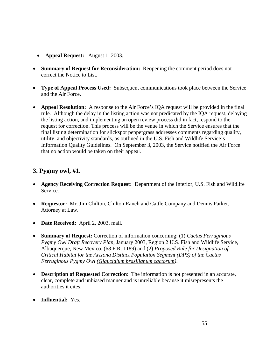- **Appeal Request:** August 1, 2003.
- **Summary of Request for Reconsideration:** Reopening the comment period does not correct the Notice to List.
- **Type of Appeal Process Used:** Subsequent communications took place between the Service and the Air Force.
- **Appeal Resolution:** A response to the Air Force's IQA request will be provided in the final rule. Although the delay in the listing action was not predicated by the IQA request, delaying the listing action, and implementing an open review process did in fact, respond to the request for correction. This process will be the venue in which the Service ensures that the final listing determination for slickspot peppergrass addresses comments regarding quality, utility, and objectivity standards, as outlined in the U.S. Fish and Wildlife Service's Information Quality Guidelines. On September 3, 2003, the Service notified the Air Force that no action would be taken on their appeal.

## **3. Pygmy owl, #1.**

- **Agency Receiving Correction Request:** Department of the Interior, U.S. Fish and Wildlife Service.
- **Requestor:** Mr. Jim Chilton, Chilton Ranch and Cattle Company and Dennis Parker, Attorney at Law.
- **Date Received:** April 2, 2003, mail.
- **Summary of Request:** Correction of information concerning: (1) *Cactus Ferruginous Pygmy Owl Draft Recovery Plan,* January 2003, Region 2 U.S. Fish and Wildlife Service, Albuquerque, New Mexico. (68 F.R. 1189) and (2) *Proposed Rule for Designation of Critical Habitat for the Arizona Distinct Population Segment (DPS) of the Cactus Ferruginous Pygmy Owl (Glaucidium brasilianum cactorum)*.
- **Description of Requested Correction**: The information is not presented in an accurate, clear, complete and unbiased manner and is unreliable because it misrepresents the authorities it cites.
- **Influential:** Yes.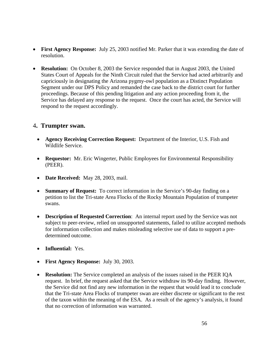- **First Agency Response:** July 25, 2003 notified Mr. Parker that it was extending the date of resolution.
- **Resolution:** On October 8, 2003 the Service responded that in August 2003, the United States Court of Appeals for the Ninth Circuit ruled that the Service had acted arbitrarily and capriciously in designating the Arizona pygmy-owl population as a Distinct Population Segment under our DPS Policy and remanded the case back to the district court for further proceedings. Because of this pending litigation and any action proceeding from it, the Service has delayed any response to the request. Once the court has acted, the Service will respond to the request accordingly.

### 4**. Trumpter swan.**

- **Agency Receiving Correction Request:** Department of the Interior, U.S. Fish and Wildlife Service.
- **Requestor:** Mr. Eric Wingerter, Public Employees for Environmental Responsibility (PEER).
- **Date Received:** May 28, 2003, mail.
- **Summary of Request:** To correct information in the Service's 90-day finding on a petition to list the Tri-state Area Flocks of the Rocky Mountain Population of trumpeter swans.
- **Description of Requested Correction**: An internal report used by the Service was not subject to peer-review, relied on unsupported statements, failed to utilize accepted methods for information collection and makes misleading selective use of data to support a predetermined outcome.
- **Influential:** Yes.
- **First Agency Response:** July 30, 2003.
- **Resolution:** The Service completed an analysis of the issues raised in the PEER IQA request. In brief, the request asked that the Service withdraw its 90-day finding. However, the Service did not find any new information in the request that would lead it to conclude that the Tri-state Area Flocks of trumpeter swan are either discrete or significant to the rest of the taxon within the meaning of the ESA. As a result of the agency's analysis, it found that no correction of information was warranted.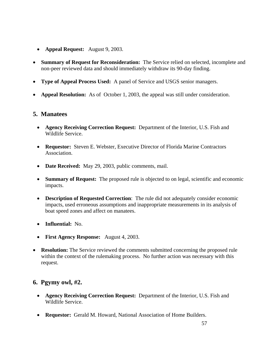- **Appeal Request:** August 9, 2003.
- **Summary of Request for Reconsideration:** The Service relied on selected, incomplete and non-peer reviewed data and should immediately withdraw its 90-day finding.
- **Type of Appeal Process Used:** A panel of Service and USGS senior managers.
- **Appeal Resolution:** As of October 1, 2003, the appeal was still under consideration.

## **5. Manatees**

- **Agency Receiving Correction Request:** Department of the Interior, U.S. Fish and Wildlife Service.
- **Requestor:** Steven E. Webster, Executive Director of Florida Marine Contractors Association.
- **Date Received:** May 29, 2003, public comments, mail.
- **Summary of Request:** The proposed rule is objected to on legal, scientific and economic impacts.
- **Description of Requested Correction**: The rule did not adequately consider economic impacts, used erroneous assumptions and inappropriate measurements in its analysis of boat speed zones and affect on manatees.
- **Influential:** No.
- **First Agency Response:** August 4, 2003.
- **Resolution:** The Service reviewed the comments submitted concerning the proposed rule within the context of the rulemaking process. No further action was necessary with this request.

## **6. Pgymy owl, #2.**

- **Agency Receiving Correction Request:** Department of the Interior, U.S. Fish and Wildlife Service.
- **Requestor:** Gerald M. Howard, National Association of Home Builders.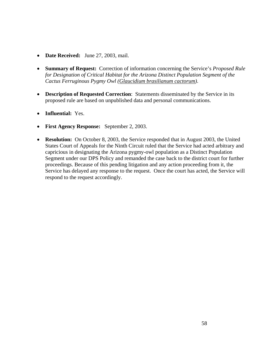- **Date Received:** June 27, 2003, mail.
- **Summary of Request:** Correction of information concerning the Service's *Proposed Rule for Designation of Critical Habitat for the Arizona Distinct Population Segment of the Cactus Ferruginous Pygmy Owl (Glaucidium brasilianum cactorum)*.
- **Description of Requested Correction**: Statements disseminated by the Service in its proposed rule are based on unpublished data and personal communications.
- **Influential:** Yes.
- **First Agency Response:** September 2, 2003.
- **Resolution:** On October 8, 2003, the Service responded that in August 2003, the United States Court of Appeals for the Ninth Circuit ruled that the Service had acted arbitrary and capricious in designating the Arizona pygmy-owl population as a Distinct Population Segment under our DPS Policy and remanded the case back to the district court for further proceedings. Because of this pending litigation and any action proceeding from it, the Service has delayed any response to the request. Once the court has acted, the Service will respond to the request accordingly.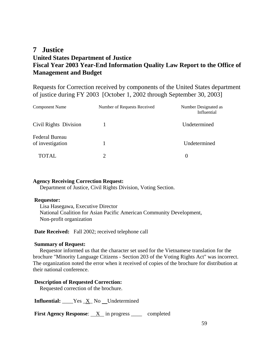## **7 Justice United States Department of Justice Fiscal Year 2003 Year-End Information Quality Law Report to the Office of Management and Budget**

Requests for Correction received by components of the United States department of justice during FY 2003 [October 1, 2002 through September 30, 2003]

| <b>Component Name</b>                     | Number of Requests Received | Number Designated as<br>Influential |
|-------------------------------------------|-----------------------------|-------------------------------------|
| Civil Rights Division                     |                             | Undetermined                        |
| <b>Federal Bureau</b><br>of investigation |                             | Undetermined                        |
| <b>TOTAL</b>                              | 2                           | $\theta$                            |

#### **Agency Receiving Correction Request:**

Department of Justice, Civil Rights Division, Voting Section.

#### **Requestor:**

 Lisa Hasegawa, Executive Director National Coalition for Asian Pacific American Community Development, Non-profit organization

**Date Received:** Fall 2002; received telephone call

#### **Summary of Request:**

 Requestor informed us that the character set used for the Vietnamese translation for the brochure "Minority Language Citizens - Section 203 of the Voting Rights Act" was incorrect. The organization noted the error when it received of copies of the brochure for distribution at their national conference.

#### **Description of Requested Correction:**

Requested correction of the brochure.

**Influential:** Yes X No Undetermined

**First Agency Response:** X in progress \_\_\_\_ completed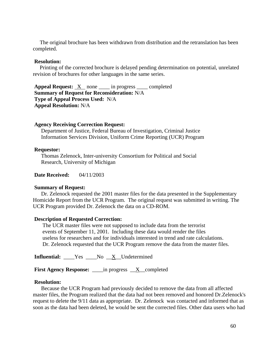The original brochure has been withdrawn from distribution and the retranslation has been completed.

#### **Resolution:**

 Printing of the corrected brochure is delayed pending determination on potential, unrelated revision of brochures for other languages in the same series.

**Appeal Request:** <u>X</u> none \_\_\_\_ in progress \_\_\_\_ completed **Summary of Request for Reconsideration:** N/A **Type of Appeal Process Used:** N/A **Appeal Resolution:** N/A

#### **Agency Receiving Correction Request:**

 Department of Justice, Federal Bureau of Investigation, Criminal Justice Information Services Division, Uniform Crime Reporting (UCR) Program

#### **Requestor:**

 Thomas Zelenock, Inter-university Consortium for Political and Social Research, University of Michigan

#### **Date Received:** 04/11/2003

#### **Summary of Request:**

 Dr. Zelenock requested the 2001 master files for the data presented in the Supplementary Homicide Report from the UCR Program. The original request was submitted in writing. The UCR Program provided Dr. Zelenock the data on a CD-ROM.

#### **Description of Requested Correction:**

 The UCR master files were not supposed to include data from the terrorist events of September 11, 2001. Including these data would render the files useless for researchers and for individuals interested in trend and rate calculations. Dr. Zelenock requested that the UCR Program remove the data from the master files.

**Influential:** \_\_\_\_Yes \_\_\_\_No \_\_X\_\_Undetermined

**First Agency Response:** \_\_\_\_in progress \_\_X\_\_completed

#### **Resolution:**

 Because the UCR Program had previously decided to remove the data from all affected master files, the Program realized that the data had not been removed and honored Dr.Zelenock's request to delete the 9/11 data as appropriate. Dr. Zelenock was contacted and informed that as soon as the data had been deleted, he would be sent the corrected files. Other data users who had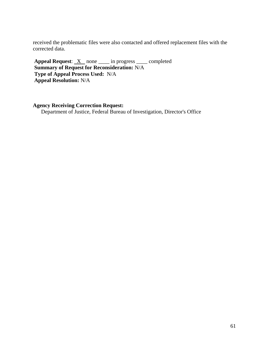received the problematic files were also contacted and offered replacement files with the corrected data.

**Appeal Request:** <u>X</u> none \_\_\_\_ in progress \_\_\_\_ completed  **Summary of Request for Reconsideration:** N/A **Type of Appeal Process Used:** N/A **Appeal Resolution:** N/A

#### **Agency Receiving Correction Request:**

Department of Justice, Federal Bureau of Investigation, Director's Office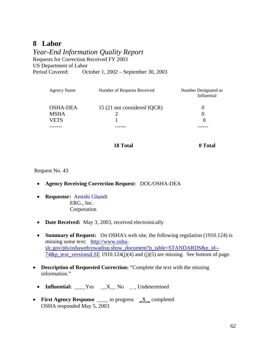## **8 Labor**

*Year-End Information Quality Report*  Requests for Correction Received FY 2003 US Department of Labor Period Covered: October 1, 2002 – September 30, 2003

| <b>Agency Name</b> | Number of Requests Received | Number Designated as<br>Influential |
|--------------------|-----------------------------|-------------------------------------|
| <b>OSHA-DEA</b>    | 15 (21 not considered IQCR) |                                     |
| <b>MSHA</b>        |                             | 0                                   |
| VETS               |                             |                                     |
|                    |                             |                                     |
|                    |                             |                                     |

Request No. 43

- **Agency Receiving Correction Request:** DOL/OSHA-DEA
- **Requestor:** Amishi Ghandi ERG., Inc. Corporation
- **Date Received:** May 3, 2003, received electronically
- **Summary of Request:** On OSHA's web site, the following regulation (1910.124) is missing some text: [http://www.osha](http://www.osha-slc.gov/pls/oshaweb/owadisp.show_document?p_table=STANDARDS&p_id--74&p_text_versionuLSE)[slc.gov/pls/oshaweb/owadisp.show\\_document?p\\_table=STANDARDS&p\\_id--](http://www.osha-slc.gov/pls/oshaweb/owadisp.show_document?p_table=STANDARDS&p_id--74&p_text_versionuLSE) [74&p\\_text\\_versionuLSE](http://www.osha-slc.gov/pls/oshaweb/owadisp.show_document?p_table=STANDARDS&p_id--74&p_text_versionuLSE) 1910.124(j)(4) and (j)(5) are missing. See bottom of page.
- **Description of Requested Correction:** "Complete the text with the missing information."
	- **Influential:** Yes  $X$  No \_ Undetermined
- **First Agency Response** \_\_\_\_\_ in progress \_X \_ completed OSHA responded May 5, 2003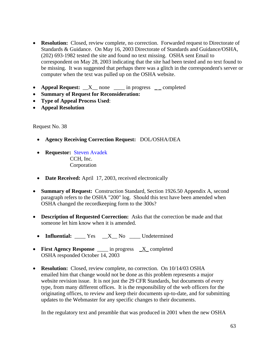- **Resolution:** Closed, review complete, no correction. Forwarded request to Directorate of Standards & Guidance. On May 16, 2003 Directorate of Standards and Guidance/OSHA, (202) 693-1982 tested the site and found no text missing. OSHA sent Email to correspondent on May 28, 2003 indicating that the site had been tested and no text found to be missing. It was suggested that perhaps there was a glitch in the correspondent's server or computer when the text was pulled up on the OSHA website.
- **Appeal Request:**  $X$  none <u>in progress</u> \_ completed
- **Summary of Request for Reconsideration:**
- **Type of Appeal Process Used**:
- **Appeal Resolution**

Request No. 38

- **Agency Receiving Correction Request:** DOL/OSHA/DEA
- **Requestor:** Steven Avadek CCH, Inc. Corporation
- **Date Received:** April 17, 2003, received electronically
- **Summary of Request:** Construction Standard, Section 1926.50 Appendix A, second paragraph refers to the OSHA "200" log. Should this text have been amended when OSHA changed the recordkeeping form to the 300s?
- **Description of Requested Correction:** Asks that the correction be made and that someone let him know when it is amended.
	- **Influential:** Yes X No Undetermined
- **First Agency Response** \_\_\_\_\_ in progress \_X\_ completed OSHA responded October 14, 2003
- **Resolution:** Closed, review complete, no correction. On  $10/14/03$  OSHA emailed him that change would not be done as this problem represents a major website revision issue. It is not just the 29 CFR Standards, but documents of every type, from many different offices. It is the responsibility of the web officers for the originating offices, to review and keep their documents up-to-date, and for submitting updates to the Webmaster for any specific changes to their documents.

In the regulatory text and preamble that was produced in 2001 when the new OSHA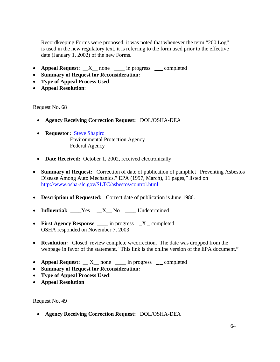Recordkeeping Forms were proposed, it was noted that whenever the term "200 Log" is used in the new regulatory text, it is referring to the form used prior to the effective date (January 1, 2002) of the new Forms.

- **Appeal Request:**  $X$  none in progress completed
- **Summary of Request for Reconsideration:**
- **Type of Appeal Process Used**:
- **Appeal Resolution**:

Request No. 68

- **Agency Receiving Correction Request:** DOL/OSHA-DEA
- **Requestor:** Steve Shapiro Environmental Protection Agency Federal Agency
- **Date Received:** October 1, 2002, received electronically
- **Summary of Request:** Correction of date of publication of pamphlet "Preventing Asbestos Disease Among Auto Mechanics," EPA (1997, March), 11 pages," listed on <http://www.osha-slc.gov/SLTC/asbestos/control.html>
- **Description of Requested:** Correct date of publication is June 1986.
- **Influential:** Yes  $X$  No  $\qquad$  Undetermined
- **First Agency Response** \_\_\_\_\_ in progress  $X$  completed OSHA responded on November 7, 2003
- **Resolution:** Closed, review complete w/correction. The date was dropped from the webpage in favor of the statement, "This link is the online version of the EPA document."
- **Appeal Request:**  $X$  none <u>\_\_\_\_</u> in progress \_\_completed
- **Summary of Request for Reconsideration:**
- **Type of Appeal Process Used**:
- **Appeal Resolution**

Request No. 49

• **Agency Receiving Correction Request:** DOL/OSHA-DEA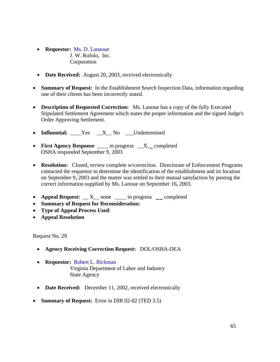- **Requestor:** Ms. D. Lanaoue J. W. Rufolo, Inc. Corporation
- **Date Received:** August 20, 2003, received electronically
- **Summary of Request:** In the Establishment Search Inspection Data, information regarding one of their clients has been incorrectly stated.
- **Description of Requested Correction:** Ms. Lanoue has a copy of the fully Executed Stipulated Settlement Agreement which states the proper information and the signed Judge's Order Approving Settlement.
- **Influential:** Yes X No Undetermined
- **First Agency Response** \_\_\_\_\_ in progress \_\_X\_\_ completed OSHA responded September 9, 2003
- **Resolution:** Closed, review complete w/correction. Directorate of Enforcement Programs contacted the requestor to determine the identification of the establishment and its location on September 9, 2003 and the matter was settled to their mutual satisfaction by posting the correct information supplied by Ms. Lanoue on September 16, 2003.
- **Appeal Request:**  $X$  none <u>\_\_\_\_</u> in progress \_\_ completed
- **Summary of Request for Reconsideration:**
- **Type of Appeal Process Used**:
- **Appeal Resolution**

Request No. 29

- **Agency Receiving Correction Request:** DOL/OSHA-DEA
- **Requestor:** Robert L. Rickman Virginia Department of Labor and Industry State Agency
- **Date Received:** December 11, 2002, received electronically
- **Summary of Request:** Error in DIR 02-02 (TED 3.5)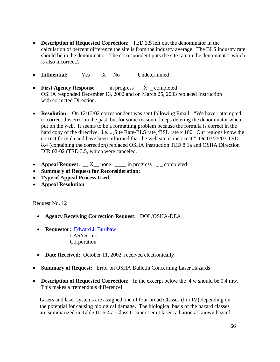- **Description of Requested Correction:** TED 3.5 left out the denominator in the calculation of percent difference the site is from the industry average. The BLS industry rate should be in the denominator. The correspondent puts the site rate in the denominator which is also incorrect.\
- **Influential:** Yes  $X$  No Undetermined
- **First Agency Response** \_\_\_\_\_ in progress \_\_X\_\_ completed OSHA responded December 13, 2002 and on March 25, 2003 replaced Instruction with corrected Direction.
- **Resolution:** On 12/13/02 correspondent was sent following Email: "We have attempted to correct this error in the past, but for some reason it keeps deleting the denominator when put on the web. It seems to be a formatting problem because the formula is correct in the hard copy of the directive. i.e....[Site Rate-BLS rate]/BSL rate x 100. Our regions know the correct formula and have been informed that the web site is incorrect." On 03/25/03 TED 8.4 (containing the correction) replaced OSHA Instruction TED 8.1a and OSHA Direction DIR 02-02 (TED 3.5, which were canceled.
- **Appeal Request:**  $X$  none \_\_\_\_ in progress \_\_ completed
- **Summary of Request for Reconsideration:**
- **Type of Appeal Process Used**:
- **Appeal Resolution**

Request No. 12

- **Agency Receiving Correction Request:** DOL/OSHA-DEA
- **Requestor:** Edward J. Burlbaw LASYS. Inc. Corporation
- **Date Received:** October 11, 2002, received electronically
- **Summary of Request:** Error on OSHA Bulletin Concerning Laser Hazards
- **Description of Requested Correction:** In the excerpt below the .4 w should be 0.4 mw. This makes a tremendous difference!

 Lasers and laser systems are assigned one of four broad Classes (I to IV) depending on the potential for causing biological damage. The biological basis of the hazard classes are summarized in Table III:6-4.a. Class I: cannot emit laser radiation at known hazard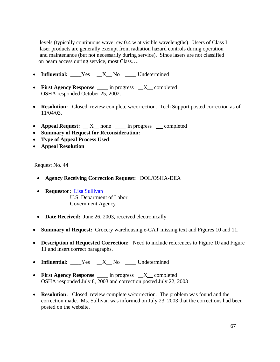levels (typically continuous wave: cw 0.4 w at visible wavelengths). Users of Class I laser products are generally exempt from radiation hazard controls during operation and maintenance (but not necessarily during service). Since lasers are not classified on beam access during service, most Class….

- **Influential:** Yes X No Undetermined
- **First Agency Response** \_\_\_\_ in progress \_\_X\_\_ completed OSHA responded October 25, 2002.
- **Resolution:** Closed, review complete w/correction. Tech Support posted correction as of 11/04/03.
- **Appeal Request:**  $X$  none <u>can in progress</u> completed
- **Summary of Request for Reconsideration:**
- **Type of Appeal Process Used**:
- **Appeal Resolution**

Request No. 44

- **Agency Receiving Correction Request:** DOL/OSHA-DEA
- **Requestor:** Lisa Sullivan U.S. Department of Labor Government Agency
- **Date Received:** June 26, 2003, received electronically
- **Summary of Request:** Grocery warehousing e-CAT missing text and Figures 10 and 11.
- **Description of Requested Correction:** Need to include references to Figure 10 and Figure 11 and insert correct paragraphs.
- **Influential:** Yes  $X$  No  $\qquad$  Undetermined
- **First Agency Response** \_\_\_\_ in progress \_\_X\_\_ completed OSHA responded July 8, 2003 and correction posted July 22, 2003
- **Resolution:** Closed, review complete w/correction. The problem was found and the correction made. Ms. Sullivan was informed on July 23, 2003 that the corrections had been posted on the website.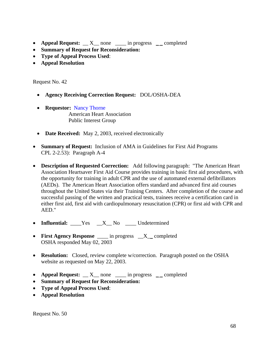- **Appeal Request:**  $X$  none \_\_\_\_ in progress \_\_ completed
- **Summary of Request for Reconsideration:**
- **Type of Appeal Process Used**:
- **Appeal Resolution**

Request No. 42

- **Agency Receiving Correction Request:** DOL/OSHA-DEA
- **Requestor:** Nancy Thorne American Heart Association Public Interest Group
- **Date Received:** May 2, 2003, received electronically
- **Summary of Request:** Inclusion of AMA in Guidelines for First Aid Programs CPL 2-2.53): Paragraph A-4
- **Description of Requested Correction:** Add following paragraph: "The American Heart Association Heartsaver First Aid Course provides training in basic first aid procedures, with the opportunity for training in adult CPR and the use of automated external defibrillators (AEDs). The American Heart Association offers standard and advanced first aid courses throughout the United States via their Training Centers. After completion of the course and successful passing of the written and practical tests, trainees receive a certification card in either first aid, first aid with cardiopulmonary resuscitation (CPR) or first aid with CPR and AED."
- **Influential:** Yes  $X_N$  No  $Y_N$  Undetermined
- **First Agency Response** \_\_\_\_ in progress \_\_X\_\_ completed OSHA responded May 02, 2003
- **Resolution:** Closed, review complete w/correction. Paragraph posted on the OSHA website as requested on May 22, 2003.
- **Appeal Request:**  $X$  none \_\_\_\_ in progress \_\_ completed
- **Summary of Request for Reconsideration:**
- **Type of Appeal Process Used**:
- **Appeal Resolution**

Request No. 50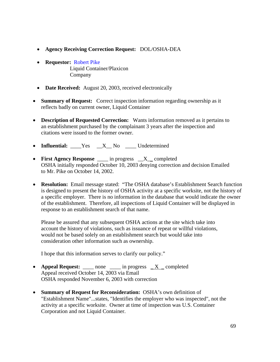- **Agency Receiving Correction Request:** DOL/OSHA-DEA
- **Requestor:** Robert Pike Liquid Container/Plaxicon Company
- **Date Received:** August 20, 2003, received electronically
- **Summary of Request:** Correct inspection information regarding ownership as it reflects badly on current owner, Liquid Container
- **Description of Requested Correction:** Wants information removed as it pertains to an establishment purchased by the complainant 3 years after the inspection and citations were issued to the former owner.
- **Influential:** Yes  $X$  No Undetermined
- **First Agency Response** in progress X completed OSHA initially responded October 10, 2003 denying correction and decision Emailed to Mr. Pike on October 14, 2002.
- **Resolution:** Email message stated: "The OSHA database's Establishment Search function is designed to present the history of OSHA activity at a specific worksite, not the history of a specific employer. There is no information in the database that would indicate the owner of the establishment. Therefore, all inspections of Liquid Container will be displayed in response to an establishment search of that name.

 Please be assured that any subsequent OSHA actions at the site which take into account the history of violations, such as issuance of repeat or willful violations, would not be based solely on an establishment search but would take into consideration other information such as ownership.

I hope that this information serves to clarify our policy."

- **Appeal Request:** none in progress X completed Appeal received October 14, 2003 via Email OSHA responded November 6, 2003 with correction
- **Summary of Request for Reconsideration:** OSHA's own definition of "Establishment Name"...states, "Identifies the employer who was inspected", not the activity at a specific worksite. Owner at time of inspection was U.S. Container Corporation and not Liquid Container.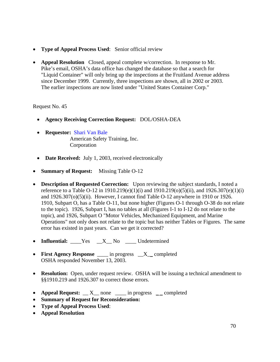- **Type of Appeal Process Used**: Senior official review
- **Appeal Resolution** Closed, appeal complete w/correction. In response to Mr. Pike's email, OSHA's data office has changed the database so that a search for "Liquid Container" will only bring up the inspections at the Fruitland Avenue address since December 1999. Currently, three inspections are shown, all in 2002 or 2003. The earlier inspections are now listed under "United States Container Corp."

#### Request No. 45

- **Agency Receiving Correction Request:** DOL/OSHA-DEA
- **Requestor:** Shari Van Bale American Safety Training, Inc. Corporation
- **Date Received:** July 1, 2003, received electronically
- **Summary of Request:** Missing Table O-12
- **Description of Requested Correction:** Upon reviewing the subject standards, I noted a reference to a Table O-12 in 1910.219(e)(1)(i) and 1910.219(o)(5)(ii), and 1926.307(e)(1)(i) and 1926.307(o)(5)(ii). However, I cannot find Table O-12 anywhere in 1910 or 1926. 1910, Subpart O, has a Table O-11, but none higher (Figures O-1 through O-38 do not relate to the topic). 1926, Subpart I, has no tables at all (Figures I-1 to I-12 do not relate to the topic), and 1926, Subpart O "Motor Vehicles, Mechanized Equipment, and Marine Operations" not only does not relate to the topic but has neither Tables or Figures. The same error has existed in past years. Can we get it corrected?
- **Influential:** Yes  $X_N$  No <u>Luidetermined</u>
- **First Agency Response** \_\_\_\_ in progress \_\_X\_\_ completed OSHA responded November 13, 2003.
- **Resolution:** Open, under request review. OSHA will be issuing a technical amendment to §§1910.219 and 1926.307 to correct those errors.
- **Appeal Request:**  $X$  none <u>\_\_\_\_</u> in progress \_\_completed
- **Summary of Request for Reconsideration:**
- **Type of Appeal Process Used**:
- **Appeal Resolution**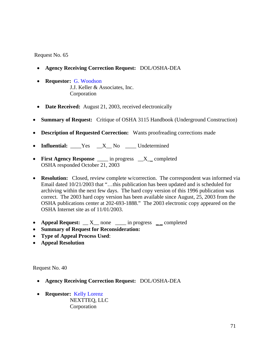Request No. 65

- **Agency Receiving Correction Request:** DOL/OSHA-DEA
- **Requestor:** G. Woodson J.J. Keller & Associates, Inc. Corporation
- **Date Received:** August 21, 2003, received electronically
- **Summary of Request:** Critique of OSHA 3115 Handbook (Underground Construction)
- **Description of Requested Correction:** Wants proofreading corrections made
- **Influential:** Yes X No Undetermined
- **First Agency Response** \_\_\_\_ in progress \_\_X\_\_ completed OSHA responded October 21, 2003
- **Resolution:** Closed, review complete w/correction. The correspondent was informed via Email dated 10/21/2003 that "…this publication has been updated and is scheduled for archiving within the next few days. The hard copy version of this 1996 publication was correct. The 2003 hard copy version has been available since August, 25, 2003 from the OSHA publications center at 202-693-1888." The 2003 electronic copy appeared on the OSHA Internet site as of 11/01/2003.
- **Appeal Request:**  $X$  none <u>cancel</u> in progress success completed
- **Summary of Request for Reconsideration:**
- **Type of Appeal Process Used**:
- **Appeal Resolution**

Request No. 40

- **Agency Receiving Correction Request:** DOL/OSHA-DEA
- **Requestor:** Kelly Lorenz NEXTTEQ, LLC Corporation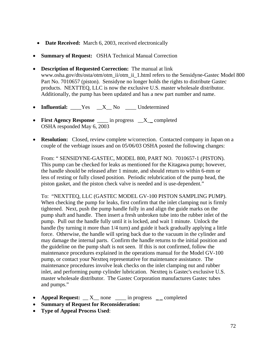- **Date Received:** March 6, 2003, received electronically
- **Summary of Request:** OSHA Technical Manual Correction
- **Description of Requested Correction:** The manual at link www.osha.gov/dts/osta/otm/otm\_ii/otm\_ii\_1.html refers to the Sensidyne-Gastec Model 800 Part No. 7010657 (piston). Sensidyne no longer holds the rights to distribute Gastec products. NEXTTEQ, LLC is now the exclusive U.S. master wholesale distributor. Additionally, the pump has been updated and has a new part number and name.
- **Influential:** Yes X No Undetermined
- **First Agency Response** \_\_\_\_ in progress \_\_X\_\_ completed OSHA responded May 6, 2003
- **Resolution:** Closed, review complete w/correction. Contacted company in Japan on a couple of the verbiage issues and on 05/06/03 OSHA posted the following changes:

 From: " SENSIDYNE-GASTEC, MODEL 800, PART NO. 7010657-1 (PISTON). This pump can be checked for leaks as mentioned for the Kitagawa pump; however, the handle should be released after 1 minute, and should return to within 6-mm or less of resting or fully closed position. Periodic relubrication of the pump head, the piston gasket, and the piston check valve is needed and is use-dependent."

 To: "NEXTTEQ, LLC (GASTEC MODEL GV-100 PISTON SAMPLING PUMP). When checking the pump for leaks, first confirm that the inlet clamping nut is firmly tightened. Next, push the pump handle fully in and align the guide marks on the pump shaft and handle. Then insert a fresh unbroken tube into the rubber inlet of the pump. Pull out the handle fully until it is locked, and wait 1 minute. Unlock the handle (by turning it more than 1/4 turn) and guide it back gradually applying a little force. Otherwise, the handle will spring back due to the vacuum in the cylinder and may damage the internal parts. Confirm the handle returns to the initial position and the guideline on the pump shaft is not seen. If this is not confirmed, follow the maintenance procedures explained in the operations manual for the Model GV-100 pump, or contact your Nextteq representative for maintenance assistance. The maintenance procedures involve leak checks on the inlet clamping nut and rubber inlet, and performing pump cylinder lubrication. Nextteq is Gastec's exclusive U.S. master wholesale distributor. The Gastec Corporation manufactures Gastec tubes and pumps."

- **Appeal Request:**  $X$  none <u>\_\_\_\_</u> in progress \_\_\_ completed
- **Summary of Request for Reconsideration:**
- **Type of Appeal Process Used**: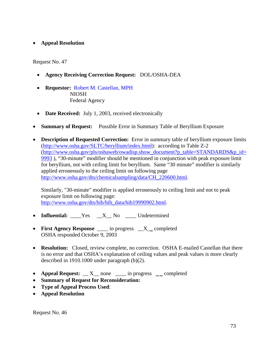#### • **Appeal Resolution**

Request No. 47

- **Agency Receiving Correction Request:** DOL/OSHA-DEA
- **Requestor:** Robert M. Castellan, MPH NIOSH Federal Agency
- **Date Received:** July 1, 2003, received electronically
- **Summary of Request:** Possible Error in Summary Table of Beryllium Exposure
- **Description of Requested Correction:** Error in summary table of beryllium exposure limits (<http://www.osha.gov/SLTC/beryllium/index.html>): according to Table Z-2 ([http://www.osha.gov/pls/oshaweb/owadisp.show\\_document?p\\_table=STANDARDS&p\\_id=](http://www.osha.gov/pls/oshaweb/owadisp.show_document?p_table=STANDARDS&p_id=9993) [9993](http://www.osha.gov/pls/oshaweb/owadisp.show_document?p_table=STANDARDS&p_id=9993) ), "30-minute" modifier should be mentioned in conjunction with peak exposure limit for beryllium, not with ceiling limit for beryllium. Same "30 minute" modifier is similarly applied erroneously to the ceiling limit on following page [http://www.osha.gov/dts/chemicalsampling/data/CH\\_220600.html.](http://www.osha.gov/dts/chemicalsampling/data/CH_220600.html)

 Similarly, "30-minute" modifier is applied erroneously to ceiling limit and not to peak exposure limit on following page: [http://www.osha.gov/dts/hib/hib\\_data/hib19990902.html.](http://www.osha.gov/dts/hib/hib_data/hib19990902.html)

- Influential: Yes X No Undetermined
- **First Agency Response** \_\_\_\_ in progress \_\_X\_\_ completed OSHA responded October 9, 2003
- **Resolution:** Closed, review complete, no correction. OSHA E-mailed Castellan that there is no error and that OSHA's explanation of ceiling values and peak values is more clearly described in 1910.1000 under paragraph (b)(2).
- **Appeal Request:**  $X$  none <u>\_\_\_\_</u> in progress \_\_ completed
- **Summary of Request for Reconsideration:**
- **Type of Appeal Process Used**:
- **Appeal Resolution**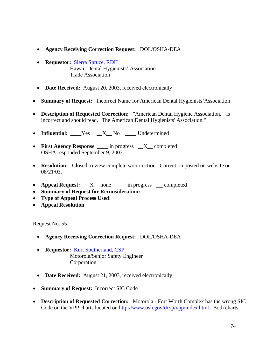- **Agency Receiving Correction Request:** DOL/OSHA-DEA
- **Requestor:** Sierra Spruce, RDH Hawaii Dental Hygienists' Association Trade Association
- **Date Received:** August 20, 2003, received electronically
- **Summary of Request:** Incorrect Name for American Dental Hygienists'Association
- **Description of Requested Correction:** "American Dental Hygiene Association." is incorrect and should read, "The American Dental Hygienists' Association."
- **Influential:** Yes  $X_N$  No  $Y_N$  Undetermined
- **First Agency Response** \_\_\_\_ in progress \_\_X\_\_ completed OSHA responded September 9, 2003
- **Resolution:** Closed, review complete w/correction. Correction posted on website on 08/21/03.
- **Appeal Request:**  $X$  none <u>can in progress</u>  $\overline{a}$  completed
- **Summary of Request for Reconsideration:**
- **Type of Appeal Process Used**:
- **Appeal Resolution**

- **Agency Receiving Correction Request:** DOL/OSHA-DEA
- **Requestor:** Kurt Southerland, CSP Motorola/Senior Safety Engineer Corporation
- **Date Received:** August 21, 2003, received electronically
- **Summary of Request:** Incorrect SIC Code
- **Description of Requested Correction:** Motorola Fort Worth Complex has the wrong SIC Code on the VPP charts located on<http://www.osh.gov/dcsp/vpp/index.html>. Both charts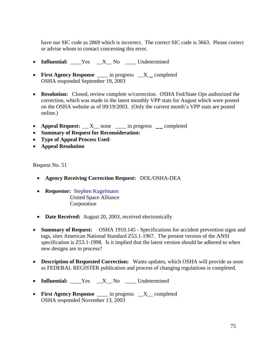have our SIC code as 2869 which is incorrect. The correct SIC code is 3663. Please correct or advise whom to contact concerning this error.

- **Influential:** Yes  $X_N$  No  $Y_N$  Undetermined
- **First Agency Response** \_\_\_\_ in progress \_\_X\_\_ completed OSHA responded September 19, 2003
- **Resolution:** Closed, review complete w/correction. OSHA Fed/State Ops authorized the correction, which was made in the latest monthly VPP stats for August which were posted on the OSHA website as of 09/19/2003. (Only the current month's VPP stats are posted online.)
- **Appeal Request:**  $X$  none \_\_\_\_ in progress \_\_ completed
- **Summary of Request for Reconsideration:**
- **Type of Appeal Process Used**:
- **Appeal Resolution**

- **Agency Receiving Correction Request:** DOL/OSHA-DEA
- **Requestor:** Stephen Kugelmann United Space Alliance Corporation
- **Date Received:** August 20, 2003, received electronically
- **Summary of Request:** OSHA 1910.145 Specifications for accident prevention signs and tags, sites American National Standard Z53.1-1967. The present version of the ANSI specification is Z53.1-1998. Is it implied that the latest version should be adhered to when new designs are in process?
- **Description of Requested Correction:** Wants updates, which OSHA will provide as soon as FEDERAL REGISTER publication and process of changing regulations is completed.
- **Influential:** Yes  $X_N$  No  $Y_N$  Undetermined
- **First Agency Response** \_\_\_\_ in progress \_\_X\_\_ completed OSHA responded November 13, 2003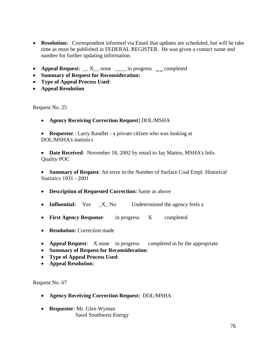- **Resolution:** Correspondent informed via Email that updates are scheduled, but will be take time as must be published in FEDERAL REGISTER. He was given a contact name and number for further updating information.
- **Appeal Request:**  $X$  none <u>can in progress</u> completed
- **Summary of Request for Reconsideration:**
- **Type of Appeal Process Used**:
- **Appeal Resolution**

Request No. 25

- **Agency Receiving Correction Request**] DOL/MSHA
- **Requestor** : Larry Randlet a private citizen who was looking at DOL/MSHA's statistics

• **Date Received**: November 18, 2002 by email to Jay Mattos, MSHA's Info. Quality POC

• **Summary of Request**: An error in the Number of Surface Coal Empl. Historical Statistics 1931 - 2001

- **Description of Requested Correction:** Same as above
- **Influential:** Yes \_X\_No Undetermined the agency feels a
- **First Agency Response**: in progress X completed
- **Resolution:** Correction made
- **Appeal Request**: X none in progress completed in by the appropriate
- **Summary of Request for Reconsideration**:
- **Type of Appeal Process Used**:
- **Appeal Resolution**:

- **Agency Receiving Correction Request:** DOL/MSHA
- **Requestor**: Mr. Glen Wyman Sasol Southwest Energy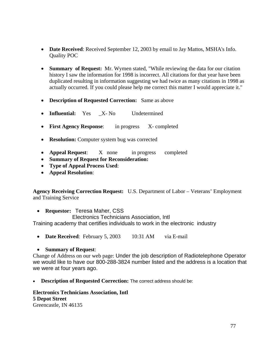- **Date Received**: Received September 12, 2003 by email to Jay Mattos, MSHA's Info. Quality POC
- **Summary of Request:** Mr. Wymen stated, "While reviewing the data for our citation history I saw the information for 1998 is incorrect. All citations for that year have been duplicated resulting in information suggesting we had twice as many citations in 1998 as actually occurred. If you could please help me correct this matter I would appreciate it."
- **Description of Requested Correction:** Same as above
- **Influential:** Yes X- No Undetermined
- **First Agency Response:** in progress X- completed
- **Resolution:** Computer system bug was corrected
- **Appeal Request**: X none in progress completed
- **Summary of Request for Reconsideration:**
- **Type of Appeal Process Used**:
- **Appeal Resolution**:

**Agency Receiving Correction Request:** U.S. Department of Labor – Veterans' Employment and Training Service

• **Requestor:** Teresa Maher, CSS

 Electronics Technicians Association, Intl Training academy that certifies individuals to work in the electronic industry

• **Date Received**: February 5, 2003 10:31 AM via E-mail

#### • **Summary of Request**:

Change of Address on our web page: Under the job description of Radiotelephone Operator we would like to have our 800-288-3824 number listed and the address is a location that we were at four years ago.

**Description of Requested Correction:** The correct address should be:

**Electronics Technicians Association, Intl 5 Depot Street**  Greencastle, IN 46135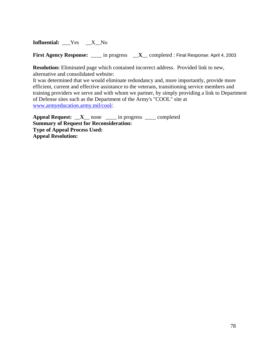**Influential:** \_\_\_Yes \_\_X\_\_No

First Agency Response: \_\_\_\_ in progress \_\_X\_\_ completed : Final Response: April 4, 2003

**Resolution:** Eliminated page which contained incorrect address. Provided link to new, alternative and consolidated website:

It was determined that we would eliminate redundancy and, more importantly, provide more efficient, current and effective assistance to the veterans, transitioning service members and training providers we serve and with whom we partner, by simply providing a link to Department of Defense sites such as the Department of the Army's "COOL" site at [www.armyeducation.army.mil/cool/](http://www.armyeducation.army.mil/cool/).

**Appeal Request:** \_\_**X**\_\_ none \_\_\_\_ in progress \_\_\_\_ completed **Summary of Request for Reconsideration: Type of Appeal Process Used: Appeal Resolution:**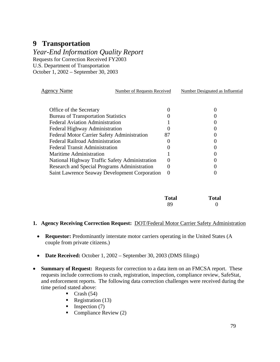# **9 Transportation**

### *Year-End Information Quality Report*

Requests for Correction Received FY2003 U.S. Department of Transportation October 1, 2002 – September 30, 2003

| <b>Agency Name</b>                             | Number of Requests Received | Number Designated as Influential |  |
|------------------------------------------------|-----------------------------|----------------------------------|--|
|                                                |                             |                                  |  |
| Office of the Secretary                        |                             |                                  |  |
| <b>Bureau of Transportation Statistics</b>     |                             |                                  |  |
| <b>Federal Aviation Administration</b>         |                             |                                  |  |
| Federal Highway Administration                 |                             |                                  |  |
| Federal Motor Carrier Safety Administration    | 87                          |                                  |  |
| <b>Federal Railroad Administration</b>         |                             |                                  |  |
| <b>Federal Transit Administration</b>          |                             |                                  |  |
| <b>Maritime Administration</b>                 |                             |                                  |  |
| National Highway Traffic Safety Administration |                             |                                  |  |
| Research and Special Programs Administration   |                             |                                  |  |
| Saint Lawrence Seaway Development Corporation  |                             |                                  |  |

| <b>Total</b> | <b>Total</b> |
|--------------|--------------|
| 89           |              |

#### **1. Agency Receiving Correction Request:** DOT/Federal Motor Carrier Safety Administration

- **Requestor:** Predominantly interstate motor carriers operating in the United States (A couple from private citizens.)
- **Date Received:** October 1, 2002 September 30, 2003 (DMS filings)
- **Summary of Request:** Requests for correction to a data item on an FMCSA report. These requests include corrections to crash, registration, inspection, compliance review, SafeStat, and enforcement reports. The following data correction challenges were received during the time period stated above:
	- $\blacksquare$  Crash (54)
	- Registration  $(13)$
	- Inspection  $(7)$
	- Compliance Review  $(2)$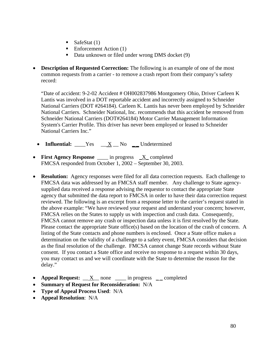- SafeStat  $(1)$
- $\blacksquare$  Enforcement Action (1)
- Data unknown or filed under wrong DMS docket (9)
- **Description of Requested Correction:** The following is an example of one of the most common requests from a carrier - to remove a crash report from their company's safety record:

"Date of accident: 9-2-02 Accident # OH002837986 Montgomery Ohio, Driver Carleen K Lantis was involved in a DOT reportable accident and incorrectly assigned to Schneider National Carriers (DOT #264184). Carleen K. Lantis has never been employed by Schneider National Carriers. Schneider National, Inc. recommends that this accident be removed from Schneider National Carriers (DOT#264184) Motor Carrier Management Information System's Carrier Profile. This driver has never been employed or leased to Schneider National Carriers Inc."

- **Influential:** Yes X No Undetermined
- **First Agency Response** \_\_\_\_ in progress  $X$  completed FMCSA responded from October 1, 2002 – September 30, 2003.
- **Resolution:** Agency responses were filed for all data correction requests. Each challenge to FMCSA data was addressed by an FMCSA staff member. Any challenge to State agencysupplied data received a response advising the requestor to contact the appropriate State agency that submitted the data report to FMCSA in order to have their data correction request reviewed. The following is an excerpt from a response letter to the carrier's request stated in the above example: "We have reviewed your request and understand your concern; however, FMCSA relies on the States to supply us with inspection and crash data. Consequently, FMCSA cannot remove any crash or inspection data unless it is first resolved by the State. Please contact the appropriate State office(s) based on the location of the crash of concern. A listing of the State contacts and phone numbers is enclosed. Once a State office makes a determination on the validity of a challenge to a safety event, FMCSA considers that decision as the final resolution of the challenge. FMCSA cannot change State records without State consent. If you contact a State office and receive no response to a request within 30 days, you may contact us and we will coordinate with the State to determine the reason for the delay."
- **Appeal Request:** <u>X</u> none \_\_\_\_ in progress \_\_ completed
- **Summary of Request for Reconsideration:** N/A
- **Type of Appeal Process Used**: N/A
- **Appeal Resolution**: N/A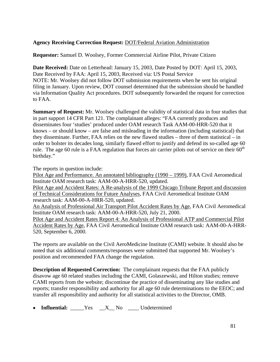#### **Agency Receiving Correction Request:** DOT/Federal Aviation Administration

**Requestor:** Samuel D. Woolsey, Former Commercial Airline Pilot, Private Citizen

**Date Received:** Date on Letterhead: January 15, 2003, Date Posted by DOT: April 15, 2003, Date Received by FAA: April 15, 2003, Received via: US Postal Service NOTE: Mr. Woolsey did not follow DOT submission requirements when he sent his original filing in January. Upon review, DOT counsel determined that the submission should be handled via Information Quality Act procedures. DOT subsequently forwarded the request for correction to FAA.

**Summary of Request:** Mr. Woolsey challenged the validity of statistical data in four studies that in part support 14 CFR Part 121. The complainant alleges: "FAA currently produces and disseminates four 'studies' produced under OAM research Task AAM-00-HRR-520 that it knows – or should know – are false and misleading in the information (including statistical) that they disseminate. Further, FAA relies on the new flawed studies – three of them statistical – in order to bolster its decades long, similarly flawed effort to justify and defend its so-called age 60 rule. The age 60 rule is a FAA regulation that forces air carrier pilots out of service on their  $60<sup>th</sup>$ birthday."

The reports in question include:

Pilot Age and Performance. An annotated bibliography (1990 – 1999), FAA Civil Aeromedical Institute OAM research task: AAM-00-A-HRR-520, updated.

Pilot Age and Accident Rates: A Re-analysis of the 1999 Chicago Tribune Report and discussion of Technical Considerations for Future Analyses, FAA Civil Aeromedical Institute OAM research task: AAM-00-A-HRR-520, updated.

An Analysis of Professional Air Transport Pilot Accident Rates by Age, FAA Civil Aeromedical Institute OAM research task: AAM-00-A-HRR-520, July 21, 2000.

Pilot Age and Accident Rates Report 4: An Analysis of Professional ATP and Commercial Pilot Accident Rates by Age, FAA Civil Aeromedical Institute OAM research task: AAM-00-A-HRR-520, September 6, 2000.

The reports are available on the Civil AeroMedicine Institute (CAMI) website. It should also be noted that six additional comments/responses were submitted that supported Mr. Woolsey's position and recommended FAA change the regulation.

**Description of Requested Correction:** The complainant requests that the FAA publicly disavow age 60 related studies including the CAMI, Golaszewski, and Hilton studies; remove CAMI reports from the website; discontinue the practice of disseminating any like studies and reports; transfer responsibility and authority for all age 60 rule determinations to the EEOC; and transfer all responsibility and authority for all statistical activities to the Director, OMB.

• **Influential:** \_\_\_\_\_Yes \_\_X\_\_ No \_\_\_\_ Undetermined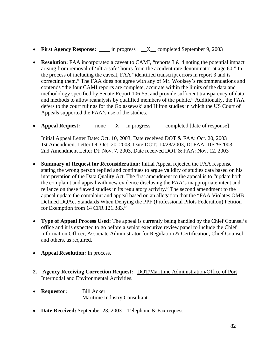- **First Agency Response:** \_\_\_\_ in progress \_\_X\_\_ completed September 9, 2003
- **Resolution:** FAA incorporated a caveat to CAMI, "reports 3 & 4 noting the potential impact arising from removal of 'ultra-safe' hours from the accident rate denominator at age 60." In the process of including the caveat, FAA "identified transcript errors in report 3 and is correcting them." The FAA does not agree with any of Mr. Woolsey's recommendations and contends "the four CAMI reports are complete, accurate within the limits of the data and methodology specified by Senate Report 106-55, and provide sufficient transparency of data and methods to allow reanalysis by qualified members of the public." Additionally, the FAA defers to the court rulings for the Golaszewski and Hilton studies in which the US Court of Appeals supported the FAA's use of the studies.
- **Appeal Request:** \_\_\_\_ none \_\_X\_\_ in progress \_\_\_\_ completed [date of response]

Initial Appeal Letter Date: Oct. 10, 2003, Date received DOT & FAA: Oct. 20, 2003 1st Amendment Letter Dt: Oct. 20, 2003, Date DOT: 10/28/2003, Dt FAA: 10/29/2003 2nd Amendment Letter Dt: Nov. 7, 2003, Date received DOT & FAA: Nov. 12, 2003

- **Summary of Request for Reconsideration:** Initial Appeal rejected the FAA response stating the wrong person replied and continues to argue validity of studies data based on his interpretation of the Data Quality Act. The first amendment to the appeal is to "update both the complaint and appeal with new evidence disclosing the FAA's inappropriate intent and reliance on these flawed studies in its regulatory activity." The second amendment to the appeal update the complaint and appeal based on an allegation that the "FAA Violates OMB Defined DQAct Standards When Denying the PPF (Professional Pilots Federation) Petition for Exemption from 14 CFR 121.383."
- **Type of Appeal Process Used:** The appeal is currently being handled by the Chief Counsel's office and it is expected to go before a senior executive review panel to include the Chief Information Officer, Associate Administrator for Regulation & Certification, Chief Counsel and others, as required.
- **Appeal Resolution:** In process.
- **2. Agency Receiving Correction Request:** DOT/Maritime Administration/Office of Port Intermodal and Environmental Activities.
- **Requestor:** Bill Acker Maritime Industry Consultant
- **Date Received:** September 23, 2003 Telephone & Fax request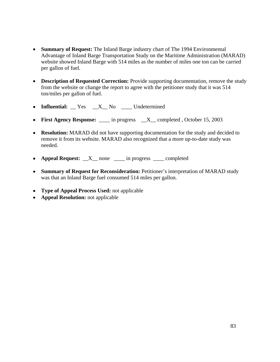- **Summary of Request:** The Inland Barge industry chart of The 1994 Environmental Advantage of Inland Barge Transportation Study on the Maritime Administration (MARAD) website showed Inland Barge with 514 miles as the number of miles one ton can be carried per gallon of fuel.
- **Description of Requested Correction:** Provide supporting documentation, remove the study from the website or change the report to agree with the petitioner study that it was 514 ton/miles per gallon of fuel.
- **Influential:** Yes  $X$  No  $\qquad$  Undetermined
- **First Agency Response:** \_\_\_\_ in progress \_\_X\_\_ completed , October 15, 2003
- **Resolution:** MARAD did not have supporting documentation for the study and decided to remove it from its website. MARAD also recognized that a more up-to-date study was needed.
- **Appeal Request:**  $X$  none \_\_\_\_ in progress \_\_\_\_ completed
- **Summary of Request for Reconsideration:** Petitioner's interpretation of MARAD study was that an Inland Barge fuel consumed 514 miles per gallon.
- **Type of Appeal Process Used:** not applicable
- **Appeal Resolution:** not applicable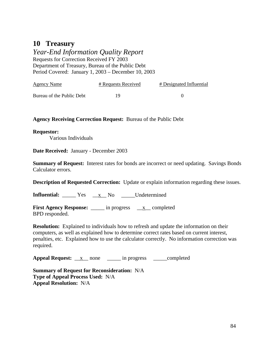## **10 Treasury**

*Year-End Information Quality Report* 

Requests for Correction Received FY 2003 Department of Treasury, Bureau of the Public Debt Period Covered: January 1, 2003 – December 10, 2003

| <b>Agency Name</b>        | # Requests Received | # Designated Influential |
|---------------------------|---------------------|--------------------------|
| Bureau of the Public Debt | 19                  |                          |

**Agency Receiving Correction Request:** Bureau of the Public Debt

**Requestor:**  Various Individuals

**Date Received:** January - December 2003

**Summary of Request:** Interest rates for bonds are incorrect or need updating. Savings Bonds Calculator errors.

**Description of Requested Correction:** Update or explain information regarding these issues.

**Influential:** \_\_\_\_\_ Yes \_\_x\_\_ No \_\_\_\_\_Undetermined

**First Agency Response:** \_\_\_\_\_ in progress \_\_<u>x\_\_</u> completed BPD responded.

**Resolution:** Explained to individuals how to refresh and update the information on their computers, as well as explained how to determine correct rates based on current interest, penalties, etc. Explained how to use the calculator correctly. No information correction was required.

**Appeal Request:** <u>\_x</u>\_ none \_\_\_\_\_ in progress \_\_\_\_\_completed

**Summary of Request for Reconsideration:** N/A **Type of Appeal Process Used:** N/A **Appeal Resolution:** N/A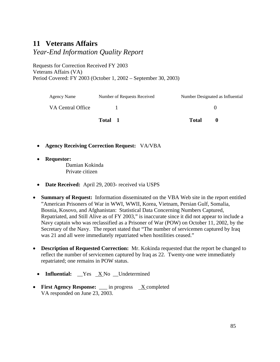# **11 Veterans Affairs**

### *Year-End Information Quality Report*

Requests for Correction Received FY 2003 Veterans Affairs (VA) Period Covered: FY 2003 (October 1, 2002 – September 30, 2003)

| <b>Agency Name</b> | Number of Requests Received | Number Designated as Influential |
|--------------------|-----------------------------|----------------------------------|
| VA Central Office  |                             |                                  |
|                    | Total<br>- 1                | Total<br>$\mathbf{0}$            |

- **Agency Receiving Correction Request:** VA/VBA
- **Requestor:**

Damian Kokinda Private citizen

- **Date Received:** April 29, 2003- received via USPS
- **Summary of Request:** Information disseminated on the VBA Web site in the report entitled "American Prisoners of War in WWI, WWII, Korea, Vietnam, Persian Gulf, Somalia, Bosnia, Kosovo, and Afghanistan: Statistical Data Concerning Numbers Captured, Repatriated, and Still Alive as of FY 2003," is inaccurate since it did not appear to include a Navy captain who was reclassified as a Prisoner of War (POW) on October 11, 2002, by the Secretary of the Navy. The report stated that "The number of servicemen captured by Iraq was 21 and all were immediately repatriated when hostilities ceased."
- **Description of Requested Correction:** Mr. Kokinda requested that the report be changed to reflect the number of servicemen captured by Iraq as 22. Twenty-one were immediately repatriated; one remains in POW status.
	- **Influential:** Yes X No Undetermined
- **First Agency Response:** \_\_\_ in progress X completed VA responded on June 23, 2003.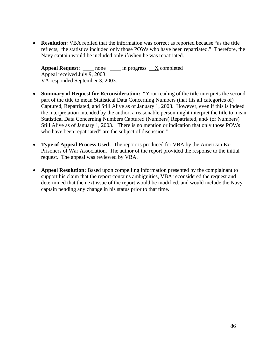• **Resolution:** VBA replied that the information was correct as reported because "as the title reflects, the statistics included only those POWs who have been repatriated." Therefore, the Navy captain would be included only if/when he was repatriated.

**Appeal Request:** \_\_\_\_\_ none \_\_\_\_\_ in progress X completed Appeal received July 9, 2003. VA responded September 3, 2003.

- **Summary of Request for Reconsideration: "**Your reading of the title interprets the second part of the title to mean Statistical Data Concerning Numbers (that fits all categories of) Captured, Repatriated, and Still Alive as of January 1, 2003. However, even if this is indeed the interpretation intended by the author, a reasonable person might interpret the title to mean Statistical Data Concerning Numbers Captured (Numbers) Repatriated, and/ (or Numbers) Still Alive as of January 1, 2003. There is no mention or indication that only those POWs who have been repatriated" are the subject of discussion."
- **Type of Appeal Process Used:** The report is produced for VBA by the American Ex-Prisoners of War Association. The author of the report provided the response to the initial request. The appeal was reviewed by VBA.
- **Appeal Resolution:** Based upon compelling information presented by the complainant to support his claim that the report contains ambiguities, VBA reconsidered the request and determined that the next issue of the report would be modified, and would include the Navy captain pending any change in his status prior to that time.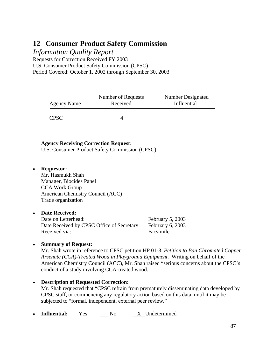# **12 Consumer Product Safety Commission**

*Information Quality Report* 

Requests for Correction Received FY 2003

U.S. Consumer Product Safety Commission (CPSC)

Period Covered: October 1, 2002 through September 30, 2003

| <b>Agency Name</b> | Number of Requests<br>Received | Number Designated<br>Influential |  |
|--------------------|--------------------------------|----------------------------------|--|
| <b>CPSC</b>        |                                |                                  |  |

#### **Agency Receiving Correction Request:**

U.S. Consumer Product Safety Commission (CPSC)

#### • **Requestor:**

Mr. Hasmukh Shah Manager, Biocides Panel CCA Work Group American Chemistry Council (ACC) Trade organization

#### • **Date Received:**

Date on Letterhead: February 5, 2003 Date Received by CPSC Office of Secretary: February 6, 2003 Received via: Facsimile

#### • **Summary of Request:**

Mr. Shah wrote in reference to CPSC petition HP 01-3, *Petition to Ban Chromated Copper Arsenate (CCA)-Treated Wood in Playground Equipment*. Writing on behalf of the American Chemistry Council (ACC), Mr. Shah raised "serious concerns about the CPSC's conduct of a study involving CCA-treated wood."

#### • **Description of Requested Correction:**

Mr. Shah requested that "CPSC refrain from prematurely disseminating data developed by CPSC staff, or commencing any regulatory action based on this data, until it may be subjected to "formal, independent, external peer review."

• **Influential:** Yes No X Undetermined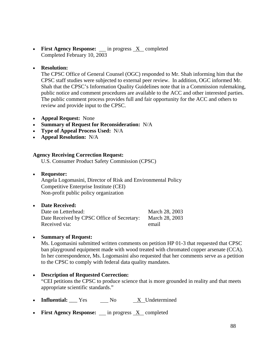• First Agency Response: <u>jin progress X</u> completed Completed February 10, 2003

#### • **Resolution:**

The CPSC Office of General Counsel (OGC) responded to Mr. Shah informing him that the CPSC staff studies were subjected to external peer review. In addition, OGC informed Mr. Shah that the CPSC's Information Quality Guidelines note that in a Commission rulemaking, public notice and comment procedures are available to the ACC and other interested parties. The public comment process provides full and fair opportunity for the ACC and others to review and provide input to the CPSC.

- **Appeal Request:** None
- **Summary of Request for Reconsideration:** N/A
- **Type of Appeal Process Used:** N/A
- **Appeal Resolution:** N/A

#### **Agency Receiving Correction Request:**

U.S. Consumer Product Safety Commission (CPSC)

- **Requestor:**  Angela Logomasini, Director of Risk and Environmental Policy Competitive Enterprise Institute (CEI) Non-profit public policy organization
- **Date Received:**  Date on Letterhead: March 28, 2003 Date Received by CPSC Office of Secretary: March 28, 2003 Received via: email

#### • **Summary of Request:**

Ms. Logomasini submitted written comments on petition HP 01-3 that requested that CPSC ban playground equipment made with wood treated with chromated copper arsenate (CCA). In her correspondence, Ms. Logomasini also requested that her comments serve as a petition to the CPSC to comply with federal data quality mandates.

#### • **Description of Requested Correction:**  "CEI petitions the CPSC to produce science that is more grounded in reality and that meets appropriate scientific standards."

- **Influential:** Yes No X Undetermined
- **First Agency Response:** \_\_ in progress <u>X</u> completed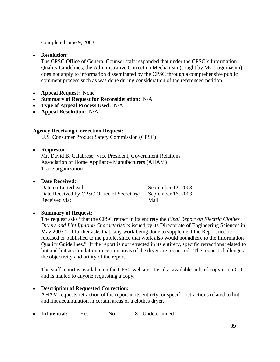Completed June 9, 2003

#### • **Resolution:**

The CPSC Office of General Counsel staff responded that under the CPSC's Information Quality Guidelines, the Administrative Correction Mechanism (sought by Ms. Logomasini) does not apply to information disseminated by the CPSC through a comprehensive public comment process such as was done during consideration of the referenced petition.

- **Appeal Request:** None
- **Summary of Request for Reconsideration:** N/A
- **Type of Appeal Process Used:** N/A
- **Appeal Resolution:** N/A

#### **Agency Receiving Correction Request:**

U.S. Consumer Product Safety Commission (CPSC)

### • **Requestor:**

Mr. David B. Calabrese, Vice President, Government Relations Association of Home Appliance Manufacturers (AHAM) Trade organization

• **Date Received:** 

Date on Letterhead: September 12, 2003 Date Received by CPSC Office of Secretary: September 16, 2003 Received via: Mail

#### • **Summary of Request:**

The request asks "that the CPSC retract in its entirety the *Final Report on Electric Clothes Dryers and Lint Ignition Characteristics* issued by its Directorate of Engineering Sciences in May 2003." It further asks that "any work being done to supplement the Report not be released or published to the public, since that work also would not adhere to the Information Quality Guidelines." If the report is not retracted in its entirety, specific retractions related to lint and lint accumulation in certain areas of the dryer are requested. The request challenges the objectivity and utility of the report.

The staff report is available on the CPSC website; it is also available in hard copy or on CD and is mailed to anyone requesting a copy.

#### • **Description of Requested Correction:**  AHAM requests retraction of the report in its entirety, or specific retractions related to lint and lint accumulation in certain areas of a clothes dryer.

• **Influential:** Yes \_\_\_ No X Undetermined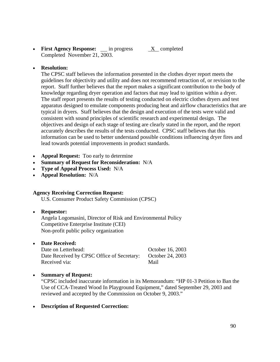• **First Agency Response:** \_\_ in progress X completed Completed November 21, 2003.

#### • **Resolution:**

The CPSC staff believes the information presented in the clothes dryer report meets the guidelines for objectivity and utility and does not recommend retraction of, or revision to the report. Staff further believes that the report makes a significant contribution to the body of knowledge regarding dryer operation and factors that may lead to ignition within a dryer. The staff report presents the results of testing conducted on electric clothes dryers and test apparatus designed to emulate components producing heat and airflow characteristics that are typical in dryers. Staff believes that the design and execution of the tests were valid and consistent with sound principles of scientific research and experimental design. The objectives and design of each stage of testing are clearly stated in the report, and the report accurately describes the results of the tests conducted. CPSC staff believes that this information can be used to better understand possible conditions influencing dryer fires and lead towards potential improvements in product standards.

- **Appeal Request:** Too early to determine
- **Summary of Request for Reconsideration:** N/A
- **Type of Appeal Process Used:** N/A
- **Appeal Resolution:** N/A

#### **Agency Receiving Correction Request:**

U.S. Consumer Product Safety Commission (CPSC)

#### • **Requestor:**  Angela Logomasini, Director of Risk and Environmental Policy Competitive Enterprise Institute (CEI) Non-profit public policy organization

• **Date Received:** 

Date on Letterhead: Corollary Corollary Corollary October 16, 2003 Date Received by CPSC Office of Secretary: October 24, 2003 Received via: Mail

#### • **Summary of Request:**

"CPSC included inaccurate information in its Memorandum: "HP 01-3 Petition to Ban the Use of CCA-Treated Wood In Playground Equipment," dated September 29, 2003 and reviewed and accepted by the Commission on October 9, 2003."

• **Description of Requested Correction:**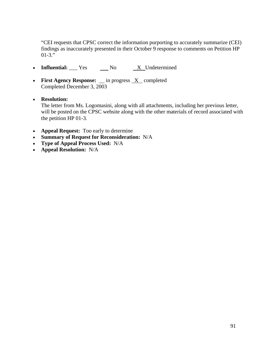"CEI requests that CPSC correct the information purporting to accurately summarize (CEI) findings as inaccurately presented in their October 9 response to comments on Petition HP  $01-3$ ."

- **Influential:** Yes No X Undetermined
- **First Agency Response:** \_ in progress <u>X</u> completed Completed December 3, 2003
- **Resolution:**

The letter from Ms. Logomasini, along with all attachments, including her previous letter, will be posted on the CPSC website along with the other materials of record associated with the petition HP 01-3.

- **Appeal Request:** Too early to determine
- **Summary of Request for Reconsideration:** N/A
- **Type of Appeal Process Used:** N/A
- **Appeal Resolution:** N/A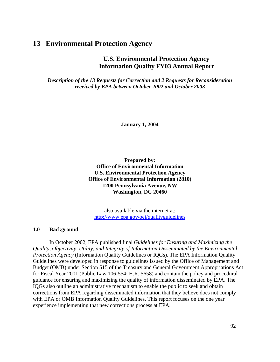### **13 Environmental Protection Agency**

#### **U.S. Environmental Protection Agency Information Quality FY03 Annual Report**

*Description of the 13 Requests for Correction and 2 Requests for Reconsideration received by EPA between October 2002 and October 2003*

**January 1, 2004**

**Prepared by: Office of Environmental Information U.S. Environmental Protection Agency Office of Environmental Information (2810) 1200 Pennsylvania Avenue, NW Washington, DC 20460** 

also available via the internet at: <http://www.epa.gov/oei/qualityguidelines>

#### **1.0 Background**

 In October 2002, EPA published final *Guidelines for Ensuring and Maximizing the Quality, Objectivity, Utility, and Integrity of Information Disseminated by the Environmental Protection Agency* (Information Quality Guidelines or IQGs). The EPA Information Quality Guidelines were developed in response to guidelines issued by the Office of Management and Budget (OMB) under Section 515 of the Treasury and General Government Appropriations Act for Fiscal Year 2001 (Public Law 106-554; H.R. 5658) and contain the policy and procedural guidance for ensuring and maximizing the quality of information disseminated by EPA. The IQGs also outline an administrative mechanism to enable the public to seek and obtain corrections from EPA regarding disseminated information that they believe does not comply with EPA or OMB Information Quality Guidelines. This report focuses on the one year experience implementing that new corrections process at EPA.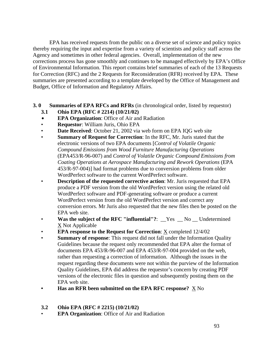EPA has received requests from the public on a diverse set of science and policy topics thereby requiring the input and expertise from a variety of scientists and policy staff across the Agency and sometimes in other federal agencies. Overall, implementation of the new corrections process has gone smoothly and continues to be managed effectively by EPA's Office of Environmental Information. This report contains brief summaries of each of the 13 Requests for Correction (RFC) and the 2 Requests for Reconsideration (RFR) received by EPA. These summaries are presented according to a template developed by the Office of Management and Budget, Office of Information and Regulatory Affairs.

- **3. 0 Summaries of EPA RFCs and RFRs** (in chronological order, listed by requestor)
	- **3.1 Ohio EPA (RFC # 2214) (10/21/02)**
	- **EPA Organization:** Office of Air and Radiation
	- **Requestor**: William Juris, Ohio EPA
	- **Date Received**: October 21, 2002 via web form on EPA IQG web site
	- **Summary of Request for Correction**: In the RFC, Mr. Juris stated that the electronic versions of two EPA documents [*Control of Volatile Organic Compound Emissions from Wood Furniture Manufacturing Operations* (EPA453/R-96-007) and *Control of Volatile Organic Compound Emissions from Coating Operations at Aerospace Manufacturing and Rework Operations* (EPA 453/R-97-004)] had format problems due to conversion problems from older WordPerfect software to the current WordPerfect software.
	- **Description of the requested corrective action**: Mr. Juris requested that EPA produce a PDF version from the old WordPerfect version using the related old WordPerfect software and PDF-generating software or produce a current WordPerfect version from the old WordPerfect version and correct any conversion errors. Mr Juris also requested that the new files then be posted on the EPA web site.
	- **Was the subject of the RFC "influential"?**: \_\_Yes \_\_ No \_\_ Undetermined X Not Applicable
	- **EPA response to the Request for Correction:** <u>X</u> completed  $12/4/02$
	- **Summary of response:** This request did not fall under the Information Quality Guidelines because the request only recommended that EPA alter the format of documents EPA 453/R-96-007 and EPA 453/R-97-004 provided on the web, rather than requesting a correction of information. Although the issues in the request regarding these documents were not within the purview of the Information Quality Guidelines, EPA did address the requestor's concern by creating PDF versions of the electronic files in question and subsequently posting them on the EPA web site.
	- **Has an RFR been submitted on the EPA RFC response?** X No

#### **3.2 Ohio EPA (RFC # 2215) (10/21/02)**

**EPA Organization:** Office of Air and Radiation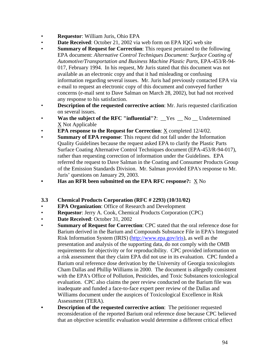- **Requestor**: William Juris, Ohio EPA
- **Date Received**: October 21, 2002 via web form on EPA IQG web site
- **Summary of Request for Correction:** This request pertained to the following EPA document: *Alternative Control Techniques Document: Surface Coating of Automotive/Transportation and Business Machine Plastic Parts*, EPA-453/R-94- 017, February 1994. In his request, Mr Juris stated that this document was not available as an electronic copy and that it had misleading or confusing information regarding several issues. Mr. Juris had previously contacted EPA via e-mail to request an electronic copy of this document and conveyed further concerns (e-mail sent to Dave Salman on March 28, 2002), but had not received any response to his satisfaction.
- **Description of the requested corrective action**: Mr. Juris requested clarification on several issues.
- **Was the subject of the RFC "influential"?**: \_\_Yes \_\_ No \_\_ Undetermined X Not Applicable
- **EPA response to the Request for Correction**: X completed 12/4/02.
- **Summary of EPA response**: This request did not fall under the Information Quality Guidelines because the request asked EPA to clarify the Plastic Parts Surface Coating Alternative Control Techniques document (EPA-453/R-94-017), rather than requesting correction of information under the Guidelines. EPA referred the request to Dave Salman in the Coating and Consumer Products Group of the Emission Standards Division. Mr. Salman provided EPA's response to Mr. Juris' questions on January 29, 2003.
- **Has an RFR been submitted on the EPA RFC response?:** X No
- **3.3 Chemical Products Corporation (RFC # 2293) (10/31/02)**
- **EPA Organization**: Office of Research and Development
- **Requestor**: Jerry A. Cook, Chemical Products Corporation (CPC)
- **Date Received**: October 31, 2002
- **Summary of Request for Correction: CPC** stated that the oral reference dose for Barium derived in the Barium and Compounds Substance File in EPA's Integrated Risk Information System (IRIS) [\(http://www.epa.gov/iris](http://www.epa.gov/iris)), as well as the presentation and analysis of the supporting data, do not comply with the OMB requirements for objectivity or for reproducibility. CPC provided information on a risk assessment that they claim EPA did not use in its evaluation. CPC funded a Barium oral reference dose derivation by the University of Georgia toxicologists Cham Dallas and Phillip Williams in 2000. The document is allegedly consistent with the EPA's Office of Pollution, Pesticides, and Toxic Substances toxicological evaluation. CPC also claims the peer review conducted on the Barium file was inadequate and funded a face-to-face expert peer review of the Dallas and Williams document under the auspices of Toxicological Excellence in Risk Assessment (TERA).
- **Description of the requested corrective action**: The petitioner requested reconsideration of the reported Barium oral reference dose because CPC believed that an objective scientific evaluation would determine a different critical effect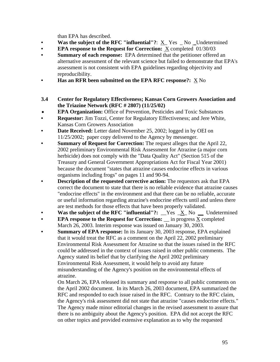than EPA has described.

- Was the subject of the RFC "influential"?: <u>X</u> Yes No Undetermined
- **EPA response to the Request for Correction:** X completed 01/30/03
- **Summary of each response:** EPA determined that the petitioner offered an alternative assessment of the relevant science but failed to demonstrate that EPA's assessment is not consistent with EPA guidelines regarding objectivity and reproducibility.
- **Has an RFR been submitted on the EPA RFC response?:** X No
- **3.4 Center for Regulatory Effectiveness; Kansas Corn Growers Association and the Triazine Network (RFC # 2807) (11/25/02)**
- **EPA Organization:** Office of Prevention, Pesticides and Toxic Substances
- **Requestor:** Jim Tozzi, Center for Regulatory Effectiveness; and Jere White, Kansas Corn Growers Association
- **Date Received:** Letter dated November 25, 2002; logged in by OEI on 11/25/2002; paper copy delivered to the Agency by messenger.
- **Summary of Request for Correction:** The request alleges that the April 22, 2002 preliminary Environmental Risk Assessment for Atrazine (a major corn herbicide) does not comply with the "Data Quality Act" (Section 515 of the Treasury and General Government Appropriations Act for Fiscal Year 2001) because the document "states that atrazine causes endocrine effects in various organisms including frogs" on pages 11 and 90-94.
- **Description of the requested corrective action:** The requestors ask that EPA correct the document to state that there is no reliable evidence that atrazine causes "endocrine effects" in the environment and that there can be no reliable, accurate or useful information regarding atrazine's endocrine effects until and unless there are test methods for those effects that have been properly validated.
- **Was the subject of the RFC "influential"?:** Yes X No Undetermined
- **EPA response to the Request for Correction:** \_\_ in progress X completed March 26, 2003. Interim response was issued on January 30, 2003.
- **Summary of EPA response:** In its January 30, 2003 response, EPA explained that it would treat the RFC as a comment on the April 22, 2002 preliminary Environmental Risk Assessment for Atrazine so that the issues raised in the RFC could be addressed in the context of issues raised in other public comments. The Agency stated its belief that by clarifying the April 2002 preliminary Environmental Risk Assessment, it would help to avoid any future misunderstanding of the Agency's position on the environmental effects of atrazine.

On March 26, EPA released its summary and response to all public comments on the April 2002 document. In its March 26, 2003 document, EPA summarized the RFC and responded to each issue raised in the RFC. Contrary to the RFC claim, the Agency's risk assessment did not state that atrazine "causes endocrine effects." The Agency made minor editorial changes in the revised assessment to assure that there is no ambiguity about the Agency's position. EPA did not accept the RFC on other topics and provided extensive explanation as to why the requested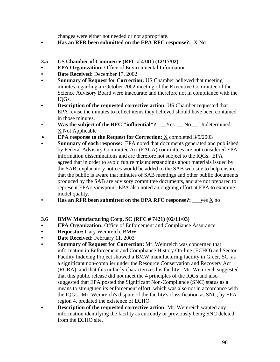changes were either not needed or not appropriate.

- **Has an RFR been submitted on the EPA RFC response?:** X No
- **3.5 US Chamber of Commerce (RFC # 4301) (12/17/02)**
- **EPA Organization:** Office of Environmental Information
- **Date Received:** December 17, 2002
- **Summary of Request for Correction:** US Chamber believed that meeting minutes regarding an October 2002 meeting of the Executive Committee of the Science Advisory Board were inaccurate and therefore not in compliance with the IQGs.
- **Description of the requested corrective action:** US Chamber requested that EPA revise the minutes to reflect items they believed should have been contained in those minutes.
- Was the subject of the RFC "influential"?: <u>Yes Noullectermined</u> X Not Applicable
- \$ **EPA response to the Request for Correction:** X completed 3/5/2003
- **Summary of each response:** EPA noted that documents generated and published by Federal Advisory Committee Act (FACA) committees are not considered EPA information disseminations and are therefore not subject to the IQGs. EPA agreed that in order to avoid future misunderstandings about materials issued by the SAB, explanatory notices would be added to the SAB web site to help ensure that the public is aware that minutes of SAB meetings and other public documents produced by the SAB are advisory committee documents, and are not prepared to represent EPA's viewpoint. EPA also noted an ongoing effort at EPA to examine model quality.
- **• Has an RFR been submitted on the EPA RFC response?:**  $\frac{\times}{\times}$  no
- **3.6 BMW Manufacturing Corp, SC (RFC # 7421) (02/11/03)**
- **EPA Organization:** Office of Enforcement and Compliance Assurance
- **Requestor:** Gary Weinreich, BMW
- **Date Received:** February 11, 2003
- **Summary of Request for Correction:** Mr. Weinreich was concerned that information in Enforcement and Compliance History On-line (ECHO) and Sector Facility Indexing Project showed a BMW manufacturing facility in Greer, SC, as a significant non-complier under the Resource Conservation and Recovery Act (RCRA), and that this unfairly characterizes his facility. Mr. Weinreich suggested that this public release did not meet the 4 principles of the IQGs and also suggested that EPA posted the Significant Non-Compliance (SNC) status as a means to strengthen its enforcement effort, which was also not in accordance with the IQGs. Mr. Weinreich's dispute of the facility's classification as SNC, by EPA region 4, predated the existence of ECHO.
- **Description of the requested corrective action:** Mr. Weinreich wanted any information identifying the facility as currently or previously being SNC deleted from the ECHO site.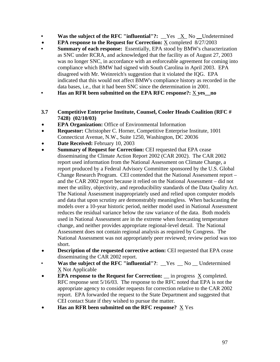- **Was the subject of the RFC "influential"?:** \_Yes \_X\_No \_Undetermined
- **EPA response to the Request for Correction:** X completed 8/27/2003
- **Summary of each response:** Essentially, EPA stood by BMW's characterization as SNC under RCRA, and acknowledged that the facility as of August 27, 2003 was no longer SNC, in accordance with an enforceable agreement for coming into compliance which BMW had signed with South Carolina in April 2003. EPA disagreed with Mr. Weinreich's suggestion that it violated the IQG. EPA indicated that this would not affect BMW's compliance history as recorded in the data bases, i.e., that it had been SNC since the determination in 2001.
- **Has an RFR been submitted on the EPA RFC response?:** X **yes\_\_no**
- **3.7 Competitive Enterprise Institute, Counsel, Cooler Heads Coalition (RFC # 7428) (02/10/03)**
- **EPA Organization:** Office of Environmental Information
- **Requestor:** Christopher C. Horner, Competitive Enterprise Institute, 1001 Connecticut Avenue, N.W., Suite 1250, Washington, DC 20036
- Date Received: February 10, 2003
- **Summary of Request for Correction: CEI requested that EPA cease** disseminating the Climate Action Report 2002 (CAR 2002). The CAR 2002 report used information from the National Assessment on Climate Change, a report produced by a Federal Advisory Committee sponsored by the U.S. Global Change Research Program. CEI contended that the National Assessment report – and the CAR 2002 report because it relied on the National Assessment – did not meet the utility, objectivity, and reproducibility standards of the Data Quality Act. The National Assessment inappropriately used and relied upon computer models and data that upon scrutiny are demonstrably meaningless. When backcasting the models over a 10-year historic period, neither model used in National Assessment reduces the residual variance below the raw variance of the data. Both models used in National Assessment are in the extreme when forecasting temperature change, and neither provides appropriate regional-level detail. The National Assessment does not contain regional analysis as required by Congress. The National Assessment was not appropriately peer reviewed; review period was too short.
- **Description of the requested corrective action:** CEI requested that EPA cease disseminating the CAR 2002 report.
- **Was the subject of the RFC "influential"?**: \_\_Yes \_\_ No \_\_ Undetermined X Not Applicable
- **EPA response to the Request for Correction:**  $\equiv$  in progress  $\overline{X}$  completed. RFC response sent 5/16/03. The response to the RFC noted that EPA is not the appropriate agency to consider requests for correction relative to the CAR 2002 report. EPA forwarded the request to the State Department and suggested that CEI contact State if they wished to pursue the matter.
- \$ **Has an RFR been submitted on the RFC response?** X Yes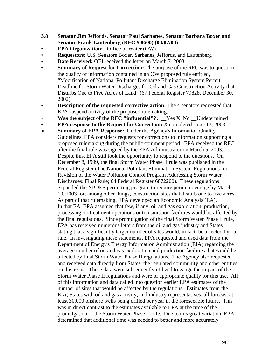- **3.8 Senator Jim Jeffords, Senator Paul Sarbanes, Senator Barbara Boxer and Senator Frank Lautenberg (RFC # 8600) (03/07/03)**
- **EPA Organization:** Office of Water (OW)
- **Requestors:** U.S. Senators Boxer, Sarbanes, Jeffords, and Lautenberg
- **Date Received:** OEI received the letter on March 7, 2003
- **Summary of Request for Correction:** The purpose of the RFC was to question the quality of information contained in an OW proposed rule entitled, "Modification of National Pollutant Discharge Elimination System Permit Deadline for Storm Water Discharges for Oil and Gas Construction Activity that Disturbs One to Five Acres of Land" (67 Federal Register 79828, December 30, 2002).
- **Description of the requested corrective action:** The 4 senators requested that EPA suspend activity of the proposed rulemaking.
- Was the subject of the RFC "influential"?: \_Yes <u>X</u> No \_Undetermined
- **EPA response to the Request for Correction:** X completed June 13, 2003
- **Summary of EPA Response:** Under the Agency's Information Quality Guidelines, EPA considers requests for corrections to information supporting a proposed rulemaking during the public comment period. EPA received the RFC after the final rule was signed by the EPA Administrator on March 5, 2003. Despite this, EPA still took the opportunity to respond to the questions. On December 8, 1999, the final Storm Water Phase II rule was published in the Federal Register (The National Pollutant Elimination System-Regulations for Revision of the Water Pollution Control Program Addressing Storm Water Discharges: Final Rule; 64 Federal Register 6872200). These regulations expanded the NPDES permitting program to require permit coverage by March 10, 2003 for, among other things, construction sites that disturb one to five acres. As part of that rulemaking, EPA developed an Economic Analysis (EA). In that EA, EPA assumed that few, if any, oil and gas exploration, production, processing, or treatment operations or transmission facilities would be affected by the final regulations. Since promulgation of the final Storm Water Phase II rule, EPA has received numerous letters from the oil and gas industry and States stating that a significantly larger number of sites would, in fact, be affected by our rule. In investigating these statements, EPA requested and used data from the Department of Energy's Energy Information Administration (EIA) regarding the average number of oil and gas exploration and production facilities that would be affected by final Storm Water Phase II regulations. The Agency also requested and received data directly from States, the regulated community and other entities on this issue. These data were subsequently utilized to gauge the impact of the Storm Water Phase II regulations and were of appropriate quality for this use. All of this information and data called into question earlier EPA estimates of the number of sites that would be affected by the regulations. Estimates from the EIA, States with oil and gas activity, and industry representatives, all forecast at least 30,000 onshore wells being drilled per year in the foreseeable future. This was in direct contrast to the estimates available to EPA at the time of the promulgation of the Storm Water Phase II rule. Due to this great variation, EPA determined that additional time was needed to better and more accurately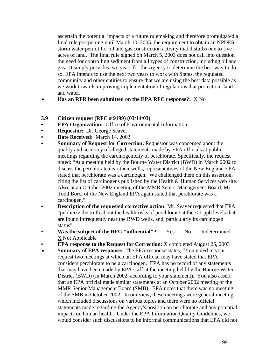ascertain the potential impacts of a future rulemaking and therefore promulgated a final rule postponing until March 10, 2005, the requirement to obtain an NPDES storm water permit for oil and gas construction activity that disturbs one to five acres of land. The final rule signed on March 5, 2003 does not call into question the need for controlling sediment from all types of construction, including oil and gas. It simply provides two years for the Agency to determine the best way to do so. EPA intends to use the next two years to work with States, the regulated community and other entities to ensure that we are using the best data possible as we work towards improving implementation of regulations that protect our land and water.

- **Has an RFR been submitted on the EPA RFC response?:** X No
- **3.9 Citizen request (RFC # 9199) (03/14/03)**
- **EPA Organization:** Office of Environmental Information
- **Requestor:** Dr. George Seaver
- **Date Received:** March 14, 2003
- **Summary of Request for Correction:** Requestor was concerned about the quality and accuracy of alleged statements made by EPA officials at public meetings regarding the carcinogenicity of perchlorate. Specifically, the request noted: "At a meeting held by the Bourne Water District (BWD) in March 2002 to discuss the perchlorate near their wells, representatives of the New England EPA stated that perchlorate was a carcinogen. We challenged them on this assertion, citing the list of carcinogens published by the Health & Human Services web site. Also, at an October 2002 meeting of the MMR Senior Management Board, Mr. Todd Borci of the New England EPA again stated that perchlorate was a carcinogen."
- **Description of the requested corrective action:** Mr. Seaver requested that EPA "publicize the truth about the health risks of perchlorate at the  $\lt 1$  ppb levels that are found infrequently near the BWD wells, and, particularly its carcinogen status".
- **Was the subject of the RFC "influential"?**: \_\_Yes \_\_ No \_\_ Undetermined  $\underline{X}$  Not Applicable
- **EPA response to the Request for Correction:** X completed August 25, 2003
- **Summary of EPA response:** The EPA response states, "You noted in your request two meetings at which an EPA official may have stated that EPA considers perchlorate to be a carcinogen. EPA has no record of any statements that may have been made by EPA staff at the meeting held by the Bourne Water District (BWD) (in March 2002, according to your statement). You also assert that an EPA official made similar statements at an October 2002 meeting of the MMR Senior Management Board (SMB). EPA notes that there was no meeting of the SMB in October 2002. In our view, these meetings were general meetings which included discussions on various topics and there were no official statements made regarding the Agency's position on perchlorate and any potential impacts on human health. Under the EPA Information Quality Guidelines, we would consider such discussions to be informal communications that EPA did not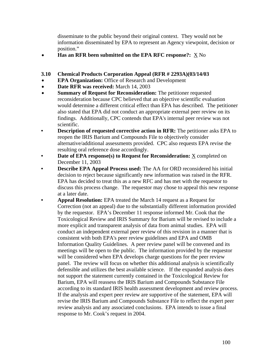disseminate to the public beyond their original context. They would not be information disseminated by EPA to represent an Agency viewpoint, decision or position."

**Has an RFR been submitted on the EPA RFC response?:** X No

#### **3.10 Chemical Products Corporation Appeal (RFR # 2293A)(03/14/03**

- **EPA Organization:** Office of Research and Development
- \$ **Date RFR was received:** March 14, 2003
- **Summary of Request for Reconsideration:** The petitioner requested reconsideration because CPC believed that an objective scientific evaluation would determine a different critical effect than EPA has described. The petitioner also stated that EPA did not conduct an appropriate external peer review on its findings. Additionally, CPC contends that EPA's internal peer review was not scientific.
- **Description of requested corrective action in RFR:** The petitioner asks EPA to reopen the IRIS Barium and Compounds File to objectively consider alternative/additional assessments provided. CPC also requests EPA revise the resulting oral reference dose accordingly.
- **Date of EPA response(s) to Request for Reconsideration:** X completed on December 11, 2003
- **Describe EPA Appeal Process used:** The AA for ORD reconsidered his initial decision to reject because significantly new information was raised in the RFR. EPA has decided to treat this as a new RFC and has met with the requestor to discuss this process change. The requestor may chose to appeal this new response at a later date.
- **Appeal Resolution:** EPA treated the March 14 request as a Request for Correction (not an appeal) due to the substantially different information provided by the requestor. EPA's December 11 response informed Mr. Cook that the Toxicological Review and IRIS Summary for Barium will be revised to include a more explicit and transparent analysis of data from animal studies. EPA will conduct an independent external peer review of this revision in a manner that is consistent with both EPA's peer review guidelines and EPA and OMB Information Quality Guidelines. A peer review panel will be convened and its meetings will be open to the public. The information provided by the requestor will be considered when EPA develops charge questions for the peer review panel. The review will focus on whether this additional analysis is scientifically defensible and utilizes the best available science. If the expanded analysis does not support the statement currently contained in the Toxicological Review for Barium, EPA will reassess the IRIS Barium and Compounds Substance File according to its standard IRIS health assessment development and review process. If the analysis and expert peer review are supportive of the statement, EPA will revise the IRIS Barium and Compounds Substance File to reflect the expert peer review analysis and any associated conclusions. EPA intends to issue a final response to Mr. Cook's request in 2004.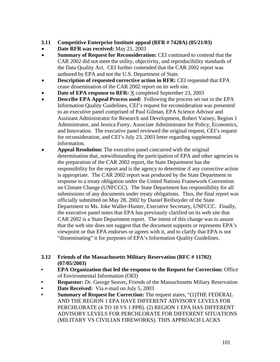- **3.11 Competitive Enterprise Institute appeal (RFR # 7428A) (05/21/03)**
- \$ **Date RFR was received:** May 21, 2003
- **Summary of Request for Reconsideration:** CEI continued to contend that the CAR 2002 did not meet the utility, objectivity, and reproducibility standards of the Data Quality Act. CEI further contended that the CAR 2002 report was authored by EPA and not the U.S. Department of State.
- **Description of requested corrective action in RFR: CEI requested that EPA** cease dissemination of the CAR 2002 report on its web site.
- **Date of EPA response to RFR:** X completed September 23, 2003
- **Describe EPA Appeal Process used:** Following the process set out in the EPA Information Quality Guidelines, CEI's request for reconsideration was presented to an executive panel comprised of Paul Gilman, EPA Science Advisor and Assistant Administrator for Research and Development, Robert Varney, Region 1 Administrator, and Jessica Furey, Associate Administrator for Policy, Economics, and Innovation. The executive panel reviewed the original request, CEI's request for reconsideration, and CEI's July 23, 2003 letter regarding supplemental information.
- Appeal Resolution: The executive panel concurred with the original determination that, notwithstanding the participation of EPA and other agencies in the preparation of the CAR 2002 report, the State Department has the responsibility for the report and is the agency to determine if any corrective action is appropriate. The CAR 2002 report was produced by the State Department in response to a treaty obligation under the United Nations Framework Convention on Climate Change (UNFCCC). The State Department has responsibility for all submissions of any documents under treaty obligations. Thus, the final report was officially submitted on May 28, 2002 by Daniel Reifsnyder of the State Department to Ms. Joke Waller-Hunter, Executive Secretary, UNFCCC. Finally, the executive panel notes that EPA has previously clarified on its web site that CAR 2002 is a State Department report. The intent of this change was to assure that the web site does not suggest that the document supports or represents EPA's viewpoint or that EPA endorses or agrees with it, and to clarify that EPA is not "disseminating" it for purposes of EPA's Information Quality Guidelines.
- **3.12 Friends of the Massachusetts Military Reservation (RFC # 11702) (07/05/2003)**
- **EPA Organization that led the response to the Request for Correction:** Office of Environmental Information (OEI)
- **Requestor:** Dr. George Seaver**,** Friends of the Massachusetts Miliary Reservation
- **Date Received:** Via e-mail on July 5, 2003
- **Summary of Request for Correction:** The request states, "(1)THE FEDERAL AND THE REGION 1 EPA HAVE DIFFERENT ADVISORY LEVELS FOR PERCHLORATE (4 TO 18 VS 1 PPB). (2) REGION 1 EPA HAS DIFFERENT ADVISORY LEVELS FOR PERCHLORATE FOR DIFFERENT SITUATIONS (MILITARY VS CIVILIAN FIREWORKS). THIS APPROACH LACKS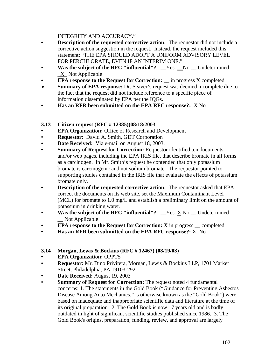INTEGRITY AND ACCURACY."

- **Description of the requested corrective action:** The requestor did not include a corrective action suggestion in the request. Instead, the request included this statement: "THE EPA SHOULD ADOPT A UNIFORM ADVISORY LEVEL FOR PERCHLORATE, EVEN IF AN INTERIM ONE."
- Was the subject of the RFC "influential"?:  $Y$ es  $N_0$  Undetermined \_X\_ Not Applicable
- **EPA response to the Request for Correction:** \_\_ in progress X completed
- **Summary of EPA response:** Dr. Seaver's request was deemed incomplete due to the fact that the request did not include reference to a specific piece of information disseminated by EPA per the IQGs.
- **Has an RFR been submitted on the EPA RFC response?:** X No

#### **3.13 Citizen request (RFC # 12385)(08/18/2003**

- **EPA Organization:** Office of Research and Development
- **Requestor:** David A. Smith, GDT Corporation
- **Date Received:** Via e-mail on August 18, 2003.
- **Summary of Request for Correction: Requestor identified ten documents** and/or web pages, including the EPA IRIS file, that describe bromate in all forms as a carcinogen. In Mr. Smith's request he contended that only potassium bromate is carcinogenic and not sodium bromate. The requestor pointed to supporting studies contained in the IRIS file that evaluate the effects of potassium bromate only.
- **Description of the requested corrective action:** The requestor asked that EPA correct the documents on its web site, set the Maximum Contaminant Level (MCL) for bromate to 1.0 mg/L and establish a preliminary limit on the amount of potassium in drinking water.
- **Was the subject of the RFC "influential"?**:  $\angle$ Yes  $X$  No  $\angle$  Undetermined \_\_ Not Applicable
- **EPA response to the Request for Correction:** X in progress \_\_ completed
- **Has an RFR been submitted on the EPA RFC response?:** X\_No
- **3.14 Morgan, Lewis & Bockius (RFC # 12467) (08/19/03)**
- **EPA Organization:** OPPTS
- **Requestor:** Mr. Dino Privitera, Morgan, Lewis & Bockius LLP, 1701 Market Street, Philadelphia, PA 19103-2921
- **Date Received:** August 19, 2003
- **Summary of Request for Correction:** The request noted 4 fundamental concerns: 1. The statements in the Gold Book ("Guidance for Preventing Asbestos Disease Among Auto Mechanics," is otherwise known as the "Gold Book") were based on inadequate and inappropriate scientific data and literature at the time of its original preparation. 2. The Gold Book is now 17 years old and is badly outdated in light of significant scientific studies published since 1986. 3. The Gold Book's origins, preparation, funding, review, and approval are largely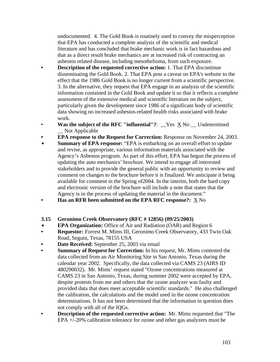undocumented. 4. The Gold Book is routinely used to convey the misperception that EPA has conducted a complete analysis of the scientific and medical literature and has concluded that brake mechanic work is in fact hazardous and that as a direct result brake mechanics are at increased risk of contracting an asbestos related disease, including mesothelioma, from such exposure.

- **Description of the requested corrective action:** 1. That EPA discontinue disseminating the Gold Book. 2. That EPA post a caveat on EPA's website to the effect that the 1986 Gold Book is no longer current from a scientific perspective. 3. In the alternative, they request that EPA engage in an analysis of the scientific information contained in the Gold Book and update it so that it reflects a complete assessment of the extensive medical and scientific literature on the subject, particularly given the development since 1986 of a significant body of scientific data showing no increased asbestos-related health risks associated with brake work.
- Was the subject of the RFC "influential"?: <u>Yes XNo</u> Undetermined \_\_ Not Applicable
- **EPA response to the Request for Correction:** Response on November 24, 2003.
- **Summary of EPA response: "EPA** is embarking on an overall effort to update and revise, as appropriate, various information materials associated with the Agency's Asbestos program. As part of this effort, EPA has begun the process of updating the auto mechanics' brochure. We intend to engage all interested stakeholders and to provide the general public with an opportunity to review and comment on changes to the brochure before it is finalized. We anticipate it being available for comment in the Spring of2004. In the interim, both the hard copy and electronic version of the brochure will include a note that states that the Agency is in the process of updating the material in the document."
- **Has an RFR been submitted on the EPA RFC response?:** X No
- **3.15 Geronimo Creek Observatory (RFC # 12856) (09/25/2003)**
- **EPA Organization:** Office of Air and Radiation (OAR) and Region 6
- **Requestor:** Forrest M. Mims III, Geronimo Creek Observatory, 433 Twin Oak Road, Seguin, Texas, 78155 USA
- **Date Received:** September 25, 2003 via email
- **Summary of Request for Correction:** In his request, Mr. Mims contested the data collected from an Air Monitoring Site in San Antonio, Texas during the calendar year 2002. Specifically, the data collected via CAMS 23 (AIRS ID 480290032). Mr. Mims' request stated "Ozone concentrations measured at CAMS 23 in San Antonio, Texas, during summer 2002 were accepted by EPA, despite protests from me and others that the ozone analyzer was faulty and provided data that does meet acceptable scientific standards." He also challenged the calibration, the calculations and the model used in the ozone concentration determinations. It has not been determined that the information in question does not comply with all of the IQGs.
- **Description of the requested corrective action:** Mr. Mims requested that "The EPA +/-20% calibration tolerance for ozone and other gas analyzers must be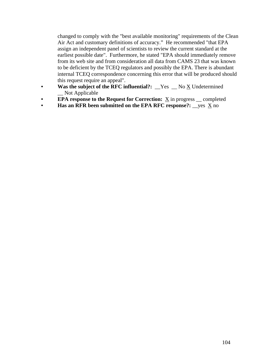changed to comply with the "best available monitoring" requirements of the Clean Air Act and customary definitions of accuracy." He recommended "that EPA assign an independent panel of scientists to review the current standard at the earliest possible date". Furthermore, he stated "EPA should immediately remove from its web site and from consideration all data from CAMS 23 that was known to be deficient by the TCEQ regulators and possibly the EPA. There is abundant internal TCEQ correspondence concerning this error that will be produced should this request require an appeal".

- Was the subject of the RFC influential?: \_Yes \_ No <u>X</u> Undetermined \_\_ Not Applicable
- **EPA response to the Request for Correction:** <u>X</u> in progress secompleted
- **• Has an RFR been submitted on the EPA RFC response?:** yes  $\underline{X}$  no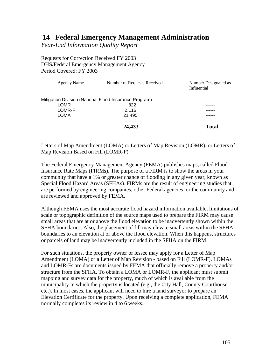## **14 Federal Emergency Management Administration**

*Year-End Information Quality Report* 

Requests for Correction Received FY 2003 DHS/Federal Emergency Management Agency Period Covered: FY 2003

| <b>Agency Name</b> | Number of Requests Received                            | Number Designated as<br>Influential |
|--------------------|--------------------------------------------------------|-------------------------------------|
|                    | Mitigation Division (National Flood Insurance Program) |                                     |
| <b>LOMR</b>        | 822                                                    |                                     |
| LOMR-F             | 2.116                                                  |                                     |
| <b>LOMA</b>        | 21,495                                                 |                                     |
|                    |                                                        |                                     |
|                    | 24,433                                                 | <b>Total</b>                        |
|                    |                                                        |                                     |

Letters of Map Amendment (LOMA) or Letters of Map Revision (LOMR), or Letters of Map Revision Based on Fill (LOMR-F)

The Federal Emergency Management Agency (FEMA) publishes maps, called Flood Insurance Rate Maps (FIRMs). The purpose of a FIRM is to show the areas in your community that have a 1% or greater chance of flooding in any given year, known as Special Flood Hazard Areas (SFHAs). FIRMs are the result of engineering studies that are performed by engineering companies, other Federal agencies, or the community and are reviewed and approved by FEMA.

Although FEMA uses the most accurate flood hazard information available, limitations of scale or topographic definition of the source maps used to prepare the FIRM may cause small areas that are at or above the flood elevation to be inadvertently shown within the SFHA boundaries. Also, the placement of fill may elevate small areas within the SFHA boundaries to an elevation at or above the flood elevation. When this happens, structures or parcels of land may be inadvertently included in the SFHA on the FIRM.

For such situations, the property owner or lessee may apply for a Letter of Map Amendment (LOMA) or a Letter of Map Revision - based on Fill (LOMR-F). LOMAs and LOMR-Fs are documents issued by FEMA that officially remove a property and/or structure from the SFHA. To obtain a LOMA or LOMR-F, the applicant must submit mapping and survey data for the property, much of which is available from the municipality in which the property is located (e.g., the City Hall, County Courthouse, etc.). In most cases, the applicant will need to hire a land surveyor to prepare an Elevation Certificate for the property. Upon receiving a complete application, FEMA normally completes its review in 4 to 6 weeks.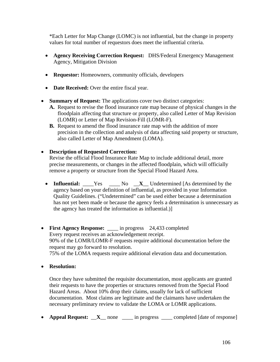\*Each Letter for Map Change (LOMC) is not influential, but the change in property values for total number of requestors does meet the influential criteria.

- **Agency Receiving Correction Request:** DHS/Federal Emergency Management Agency, Mitigation Division
- **Requestor:** Homeowners, community officials, developers
- **Date Received:** Over the entire fiscal year.
- **Summary of Request:** The applications cover two distinct categories:
	- **A.** Request to revise the flood insurance rate map because of physical changes in the floodplain affecting that structure or property, also called Letter of Map Revision (LOMR) or Letter of Map Revision-Fill (LOMR-F).
	- **B.** Request to amend the flood insurance rate map with the addition of more precision in the collection and analysis of data affecting said property or structure, also called Letter of Map Amendment (LOMA).
- **Description of Requested Correction:**

Revise the official Flood Insurance Rate Map to include additional detail, more precise measurements, or changes in the affected floodplain, which will officially remove a property or structure from the Special Flood Hazard Area.

- **Influential:** Yes \_\_\_\_No \_**X**\_\_Undetermined [As determined by the agency based on your definition of influential, as provided in your Information Quality Guidelines. ("Undetermined" can be used either because a determination has not yet been made or because the agency feels a determination is unnecessary as the agency has treated the information as influential.)]
- **First Agency Response:** \_\_\_\_ in progress 24,433 completed Every request receives an acknowledgement receipt. 90% of the LOMR/LOMR-F requests require additional documentation before the request may go forward to resolution. 75% of the LOMA requests require additional elevation data and documentation.
- **Resolution:**

Once they have submitted the requisite documentation, most applicants are granted their requests to have the properties or structures removed from the Special Flood Hazard Areas. About 10% drop their claims, usually for lack of sufficient documentation. Most claims are legitimate and the claimants have undertaken the necessary preliminary review to validate the LOMA or LOMR applications.

• **Appeal Request:**  $X$  none \_\_\_\_ in progress \_\_\_\_ completed [date of response]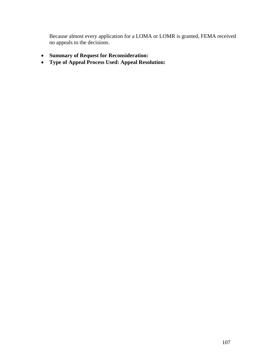Because almost every application for a LOMA or LOMR is granted, FEMA received no appeals to the decisions.

- **Summary of Request for Reconsideration:**
- **Type of Appeal Process Used: Appeal Resolution:**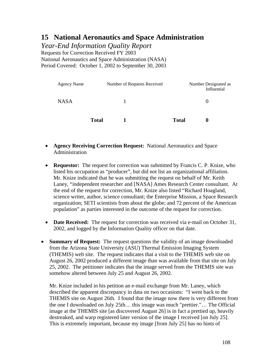## **15 National Aeronautics and Space Administration**

*Year-End Information Quality Report* 

Requests for Correction Received FY 2003 National Aeronautics and Space Administration (NASA) Period Covered: October 1, 2002 to September 30, 2003

| <b>Agency Name</b> |              | Number of Requests Received |              | Number Designated as<br>Influential |
|--------------------|--------------|-----------------------------|--------------|-------------------------------------|
| <b>NASA</b>        |              |                             |              |                                     |
|                    | <b>Total</b> |                             | <b>Total</b> |                                     |

- **Agency Receiving Correction Request:** National Aeronautics and Space Administration
- **Requestor:** The request for correction was submitted by Francis C. P. Knize, who listed his occupation as "producer", but did not list an organizational affiliation. Mr. Knize indicated that he was submitting the request on behalf of Mr. Keith Laney, "independent researcher and [NASA] Ames Research Center consultant. At the end of the request for correction, Mr. Knize also listed "Richard Hoagland, science writer, author, science consultant; the Enterprise Mission, a Space Research organization; SETI scientists from about the globe; and 72 percent of the American population" as parties interested in the outcome of the request for correction.
- **Date Received:** The request for correction was received via e-mail on October 31, 2002, and logged by the Information Quality officer on that date.
- **Summary of Request:** The request questions the validity of an image downloaded from the Arizona State University (ASU) Thermal Emission Imaging System (THEMIS) web site. The request indicates that a visit to the THEMIS web site on August 26, 2002 produced a different image than was available from that site on July 25, 2002. The petitioner indicates that the image served from the THEMIS site was somehow altered between July 25 and August 26, 2002.

Mr. Knize included in his petition an e-mail exchange from Mr. Laney, which described the apparent discrepancy in data on two occasions: "I went back to the THEMIS site on August 26th. I found that the image now there is very different from the one I downloaded on July 25th… this image was much "prettier."… The Official image at the THEMIS site [as discovered August 26] is in fact a prettied up, heavily destreaked, and warp registered later version of the image I received [on July 25]. This is extremely important, because my image [from July 25] has no hints of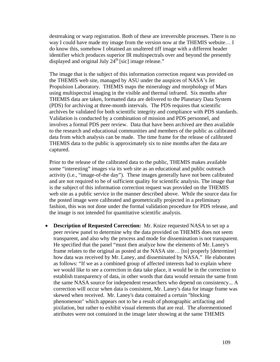destreaking or warp registration. Both of these are irreversible processes. There is no way I could have made my image from the version now at the THEMIS website… I do know this, somehow I obtained an unaltered tiff image with a different header identifier which produces superior IR multispectrals over and beyond the presently displayed and original July  $24<sup>th</sup>$  [sic] image release."

The image that is the subject of this information correction request was provided on the THEMIS web site, managed by ASU under the auspices of NASA's Jet Propulsion Laboratory. THEMIS maps the mineralogy and morphology of Mars using multispectral imaging in the visible and thermal infrared. Six months after THEMIS data are taken, formatted data are delivered to the Planetary Data System (PDS) for archiving at three-month intervals. The PDS requires that scientific archives be validated for both scientific integrity and compliance with PDS standards. Validation is conducted by a combination of mission and PDS personnel, and involves a formal PDS peer review. Data that have been archived are then available to the research and educational communities and members of the public as calibrated data from which analysis can be made. The time frame for the release of calibrated THEMIS data to the public is approximately six to nine months after the data are captured.

Prior to the release of the calibrated data to the public, THEMIS makes available some "interesting" images via its web site as an educational and public outreach activity (i.e., "image-of-the day"). These images generally have not been calibrated and are not required to be of sufficient quality for scientific analysis. The image that is the subject of this information correction request was provided on the THEMIS web site as a public service in the manner described above. While the source data for the posted image were calibrated and geometrically projected in a preliminary fashion, this was not done under the formal validation procedure for PDS release, and the image is not intended for quantitative scientific analysis.

• **Description of Requested Correction:** Mr. Knize requested NASA to set up a peer review panel to determine why the data provided on THEMIS does not seem transparent, and also why the process and mode for dissemination is not transparent. He specified that the panel "must then analyze how the elements of Mr. Laney's frame relates to the original as posted at the NASA site… [to] properly [determine] how data was received by Mr. Laney, and disseminated by NASA." He elaborates as follows: "If we as a combined group of affected interests had to explain where we would like to see a correction in data take place, it would be in the correction to establish transparency of data, in other words that data would remain the same from the same NASA source for independent researchers who depend on consistency... A correction will occur when data is consistent, Mr. Laney's data for image frame was skewed when received. Mr. Laney's data contained a certain "blocking phenomenon" which appears not to be a result of photographic artifacting and pixilation, but rather to exhibit visual elements that are real. The aforementioned attributes were not contained in the image later showing at the same THEMIS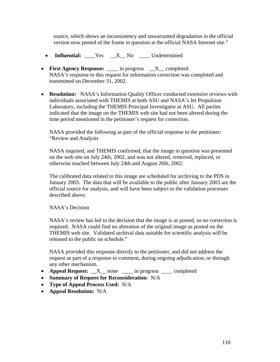source, which shows an inconsistency and unwarranted degradation in the official version now posted of the frame in question at the official NASA Internet site."

- Influential: Yes X No Undetermined
- **First Agency Response:** in progress  $X$  completed NASA's response to this request for information correction was completed and transmitted on December 31, 2002.
- **Resolution:** NASA's Information Quality Officer conducted extensive reviews with individuals associated with THEMIS at both ASU and NASA's Jet Propulsion Laboratory, including the THEMIS Principal Investigator at ASU. All parties indicated that the image on the THEMIS web site had not been altered during the time period mentioned in the petitioner's request for correction.

NASA provided the following as part of the official response to the petitioner: "Review and Analysis

NASA inquired, and THEMIS confirmed, that the image in question was presented on the web site on July 24th, 2002, and was not altered, removed, replaced, or otherwise touched between July 24th and August 26th, 2002.

The calibrated data related to this image are scheduled for archiving to the PDS in January 2003. The data that will be available to the public after January 2003 are the official source for analysis, and will have been subject to the validation processes described above.

NASA's Decision

NASA's review has led to the decision that the image is as posted, so no correction is required. NASA could find no alteration of the original image as posted on the THEMIS web site. Validated archival data suitable for scientific analysis will be released to the public on schedule."

NASA provided this response directly to the petitioner, and did not address the request as part of a response to comment, during ongoing adjudication, or through any other mechanism.

- **Appeal Request:**  $X$  none <u>\_\_\_\_</u> in progress \_\_\_\_ completed
- **Summary of Request for Reconsideration**: N/A
- **Type of Appeal Process Used:** N/A
- **Appeal Resolution:** N/A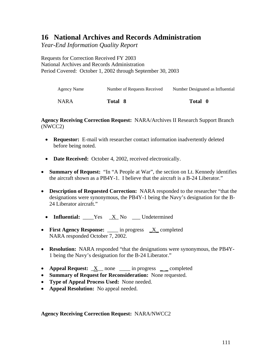## **16 National Archives and Records Administration**

*Year-End Information Quality Report* 

Requests for Correction Received FY 2003 National Archives and Records Administration Period Covered: October 1, 2002 through September 30, 2003

| Agency Name | Number of Requests Received | Number Designated as Influential |
|-------------|-----------------------------|----------------------------------|
| <b>NARA</b> | Total 8                     | Total 0                          |

### **Agency Receiving Correction Request:** NARA/Archives II Research Support Branch (NWCC2)

- **Requestor:** E-mail with researcher contact information inadvertently deleted before being noted.
- **Date Received:** October 4, 2002, received electronically.
- **Summary of Request:** "In "A People at War", the section on Lt. Kennedy identifies the aircraft shown as a PB4Y-1. I believe that the aircraft is a B-24 Liberator."
- **Description of Requested Correction:** NARA responded to the researcher "that the designations were synonymous, the PB4Y-1 being the Navy's designation for the B-24 Liberator aircraft."
	- **Influential:** Yes X No Undetermined
- **First Agency Response:** \_\_\_\_ in progress  $X$  completed NARA responded October 7, 2002.
- **Resolution:** NARA responded "that the designations were synonymous, the PB4Y-1 being the Navy's designation for the B-24 Liberator."
- **Appeal Request:**  $X$  none \_\_\_\_ in progress \_ \_ completed
- **Summary of Request for Reconsideration:** None requested.
- **Type of Appeal Process Used:** None needed.
- **Appeal Resolution:** No appeal needed.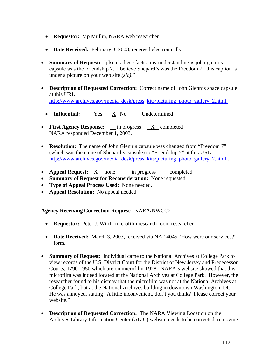- **Requestor:** Mp Mullin, NARA web researcher
- **Date Received:** February 3, 2003, received electronically.
- **Summary of Request:** "plse ck these facts: my understanding is john glenn's capsule was the Friendship 7. I believe Shepard's was the Freedom 7. this caption is under a picture on your web site *(sic)*."
- **Description of Requested Correction:** Correct name of John Glenn's space capsule at this URL [http://www.archives.gov/media\\_desk/press](http://www.archives.gov/media_desk/press_kits/picturing_photo_gallery_2.html)\_kits/picturing\_photo\_gallery\_2.html.
	- **Influential:** Yes X No Undetermined
- **First Agency Response:** \_ in progress \_ X \_ completed NARA responded December 1, 2003.
- **Resolution:** The name of John Glenn's capsule was changed from "Freedom 7" (which was the name of Shepard's capsule) to "Friendship 7" at this URL [http://www.archives.gov/media\\_desk/press](http://www.archives.gov/media_desk/press)\_kits/picturing\_photo\_gallery\_2.html .
- **Appeal Request:**  $\overline{X}$  none \_\_\_\_ in progress \_ \_ completed
- **Summary of Request for Reconsideration:** None requested.
- **Type of Appeal Process Used:** None needed.
- **Appeal Resolution:** No appeal needed.

- **Requestor:** Peter J. Wirth, microfilm research room researcher
- **Date Received:** March 3, 2003, received via NA 14045 "How were our services?" form.
- **Summary of Request:** Individual came to the National Archives at College Park to view records of the U.S. District Court for the District of New Jersey and Predecessor Courts, 1790-1950 which are on microfilm T928. NARA's website showed that this microfilm was indeed located at the National Archives at College Park. However, the researcher found to his dismay that the microfilm was not at the National Archives at College Park, but at the National Archives building in downtown Washington, DC. He was annoyed, stating "A little inconvenient, don't you think? Please correct your website."
- **Description of Requested Correction:** The NARA Viewing Location on the Archives Library Information Center (ALIC) website needs to be corrected, removing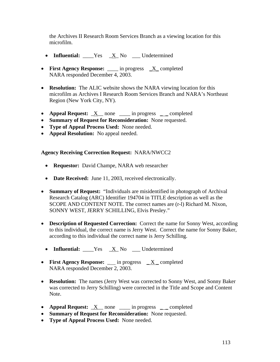the Archives II Research Room Services Branch as a viewing location for this microfilm.

- **Influential:** Yes  $X$  No Undetermined
- **First Agency Response:** in progress X completed NARA responded December 4, 2003.
- **Resolution:** The ALIC website shows the NARA viewing location for this microfilm as Archives I Research Room Services Branch and NARA's Northeast Region (New York City, NY).
- **Appeal Request:**  $X$  none \_\_\_\_ in progress \_ \_ completed
- **Summary of Request for Reconsideration:** None requested.
- **Type of Appeal Process Used:** None needed.
- **Appeal Resolution:** No appeal needed.

- **Requestor:** David Champe, NARA web researcher
- **Date Received:** June 11, 2003, received electronically.
- **Summary of Request:** "Individuals are misidentified in photograph of Archival Research Catalog (ARC) Identifier 194704 in TITLE description as well as the SCOPE AND CONTENT NOTE. The correct names are (r-l) Richard M. Nixon, SONNY WEST, JERRY SCHILLING, Elvis Presley."
- **Description of Requested Correction:** Correct the name for Sonny West, according to this individual, the correct name is Jerry West. Correct the name for Sonny Baker, according to this individual the correct name is Jerry Schilling.
	- **Influential:** Yes X No Undetermined
- **First Agency Response:** \_\_ in progress \_ <u>X</u> \_ completed NARA responded December 2, 2003.
- **Resolution:** The names (Jerry West was corrected to Sonny West, and Sonny Baker was corrected to Jerry Schilling) were corrected in the Title and Scope and Content Note.
- **Appeal Request:**  $\overline{X}$  none \_\_\_\_ in progress \_ \_ completed
- **Summary of Request for Reconsideration:** None requested.
- **Type of Appeal Process Used:** None needed.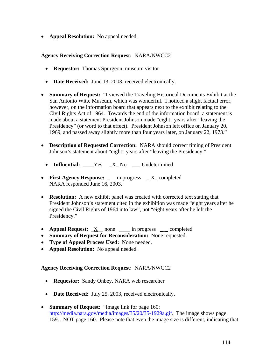• **Appeal Resolution:** No appeal needed.

### **Agency Receiving Correction Request:** NARA/NWCC2

- **Requestor:** Thomas Spurgeon, museum visitor
- **Date Received:** June 13, 2003, received electronically.
- **Summary of Request:** "I viewed the Traveling Historical Documents Exhibit at the San Antonio Witte Museum, which was wonderful. I noticed a slight factual error, however, on the information board that appears next to the exhibit relating to the Civil Rights Act of 1964. Towards the end of the information board, a statement is made about a statement President Johnson made "eight" years after "leaving the Presidency" (or word to that effect). President Johnson left office on January 20, 1969, and passed away slightly more than four years later, on January 22, 1973."
- **Description of Requested Correction:** NARA should correct timing of President Johnson's statement about "eight" years after "leaving the Presidency."
	- **Influential:** Yes  $X$  No \_\_ Undetermined
- **First Agency Response:** \_\_ in progress \_ <u>X</u>\_ completed NARA responded June 16, 2003.
- **Resolution:** A new exhibit panel was created with corrected text stating that President Johnson's statement cited in the exhibition was made "eight years after he signed the Civil Rights of 1964 into law", not "eight years after he left the Presidency."
- **Appeal Request:** <u>X</u> none \_\_\_ in progress \_\_ completed
- **Summary of Request for Reconsideration:** None requested.
- **Type of Appeal Process Used:** None needed.
- **Appeal Resolution:** No appeal needed.

- **Requestor:** Sandy Onbey, NARA web researcher
- **Date Received:** July 25, 2003, received electronically.
- **Summary of Request:** "Image link for page 160: <http://media.nara.gov/media/images/35/20/35-1929a.gif>. The image shows page 159…NOT page 160. Please note that even the image size is different, indicating that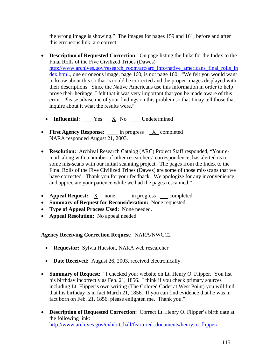the wrong image is showing." The images for pages 159 and 161, before and after this erroneous link, are correct.

- **Description of Requested Correction:** On page listing the links for the Index to the Final Rolls of the Five Civilized Tribes (Dawes) [http://www.archives.gov/research\\_room/arc/arc\\_info/native\\_americans\\_final\\_rolls\\_in](http://www.archives.gov/research_room/arc/arc_info/native_americans_final_rolls_index.html) [dex.html](http://www.archives.gov/research_room/arc/arc_info/native_americans_final_rolls_index.html)., one erroneous image, page 160, is not page 160. "We felt you would want to know about this so that is could be corrected and the proper images displayed with their descriptions. Since the Native Americans use this information in order to help prove their heritage, I felt that it was very important that you be made aware of this error. Please advise me of your findings on this problem so that I may tell those that inquire about it what the results were."
- **Influential:** Yes X No Undetermined
- **First Agency Response:** \_\_\_\_ in progress \_<u>X\_</u> completed NARA responded August 21, 2003.
- **Resolution:** Archival Research Catalog (ARC) Project Staff responded, "Your email, along with a number of other researchers' correspondence, has alerted us to some mis-scans with our initial scanning project. The pages from the Index to the Final Rolls of the Five Civilized Tribes (Dawes) are some of those mis-scans that we have corrected. Thank you for your feedback. We apologize for any inconvenience and appreciate your patience while we had the pages rescanned."
- **Appeal Request:** <u>X</u> none \_\_\_\_ in progress \_\_\_ completed
- **Summary of Request for Reconsideration:** None requested.
- **Type of Appeal Process Used:** None needed.
- **Appeal Resolution:** No appeal needed.

- **Requestor:** Sylvia Hueston, NARA web researcher
- **Date Received:** August 26, 2003, received electronically.
- **Summary of Request:** "I checked your website on Lt. Henry O. Flipper. You list his birthday incorrectly as Feb. 21, 1856. I think if you check primary sources including Lt. Flipper's own writing (The Colored Cadet at West Point) you will find that his birthday is in fact March 21, 1856. If you can find evidence that he was in fact born on Feb. 21, 1856, please enlighten me. Thank you."
- **Description of Requested Correction:** Correct Lt. Henry O. Flipper's birth date at the following link: [http://www.archives.gov/exhibit\\_hall/feartured\\_documents/henry\\_o\\_flipper/.](http://www.archives.gov/exhibit_hall/feartured_documents/henry_o_flipper/)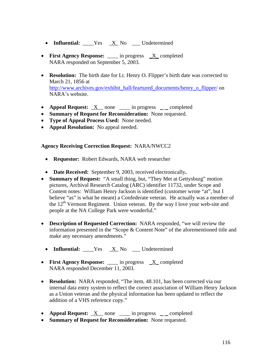- **Influential:** Yes X No Undetermined
- **First Agency Response:** \_\_\_\_ in progress \_X\_ completed NARA responded on September 5, 2003.
- **Resolution:** The birth date for Lt. Henry O. Flipper's birth date was corrected to March 21, 1856 at [http://www.archives.gov/exhibit\\_hall/feartured\\_documents/henry\\_o\\_flipper/](http://www.archives.gov/exhibit_hall/feartured_documents/henry_o_flipper/) on NARA's website.
- **Appeal Request:**  $X$  none \_\_\_\_ in progress \_\_\_ completed
- **Summary of Request for Reconsideration:** None requested.
- **Type of Appeal Process Used:** None needed.
- **Appeal Resolution:** No appeal needed.

- **Requestor:** Robert Edwards, NARA web researcher
- **Date Received:** September 9, 2003, received electronically**.**
- **Summary of Request:** "A small thing, but, "They Met at Gettysburg" motion pictures, Archival Research Catalog (ARC) identifier 11732, under Scope and Content notes: William Henry Jackson is identified (customer wrote "at", but I believe "as" is what he meant) a Confederate veteran. He actually was a member of the  $12<sup>th</sup>$  Vermont Regiment. Union veteran. By the way I love your web-site and people at the NA College Park were wonderful."
- **Description of Requested Correction:** NARA responded, "we will review the information presented in the "Scope & Content Note" of the aforementioned title and make any necessary amendments."
	- **Influential:** Yes X No Undetermined
- **First Agency Response:** \_\_\_\_ in progress  $X$  completed NARA responded December 11, 2003.
- **Resolution:** NARA responded, "The item, 48.101, has been corrected via our internal data entry system to reflect the correct association of William Henry Jackson as a Union veteran and the physical information has been updated to reflect the addition of a VHS reference copy."
- **Appeal Request:**  $X$  none \_\_\_\_ in progress \_ \_ completed
- **Summary of Request for Reconsideration:** None requested.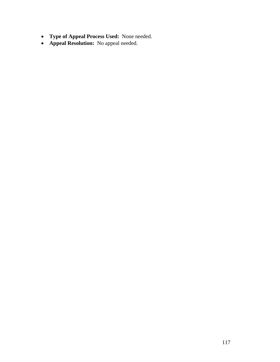- **Type of Appeal Process Used:** None needed.
- **Appeal Resolution:** No appeal needed.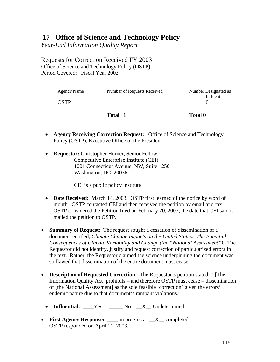## **17 Office of Science and Technology Policy**

*Year-End Information Quality Report* 

Requests for Correction Received FY 2003 Office of Science and Technology Policy (OSTP) Period Covered: Fiscal Year 2003

| <b>Agency Name</b> | Number of Requests Received | Number Designated as<br>Influential |
|--------------------|-----------------------------|-------------------------------------|
| OSTP               |                             |                                     |
|                    | Total 1                     | <b>Total 0</b>                      |

- **Agency Receiving Correction Request:** Office of Science and Technology Policy (OSTP), Executive Office of the President
- **Requestor:** Christopher Horner, Senior Fellow Competitive Enterprise Institute (CEI) 1001 Connecticut Avenue, NW, Suite 1250 Washington, DC 20036

CEI is a public policy institute

- **Date Received:** March 14, 2003. OSTP first learned of the notice by word of mouth. OSTP contacted CEI and then received the petition by email and fax. OSTP considered the Petition filed on February 20, 2003, the date that CEI said it mailed the petition to OSTP.
- **Summary of Request:** The request sought a cessation of dissemination of a document entitled, *Climate Change Impacts on the United States: The Potential Consequences of Climate Variability and Change (the "National Assessment").* The Requestor did not identify, justify and request correction of particularized errors in the text. Rather, the Requestor claimed the science underpinning the document was so flawed that dissemination of the entire document must cease.
- **Description of Requested Correction:** The Requestor's petition stated: "**[**The Information Quality Act] prohibits – and therefore OSTP must cease – dissemination of [the National Assessment] as the sole feasible 'correction' given the errors' endemic nature due to that document's rampant violations."
	- **Influential:** Yes \_\_\_\_\_No \_<u>X</u>\_ Undetermined
- **First Agency Response:** \_\_\_\_ in progress \_\_X\_ completed OSTP responded on April 21, 2003.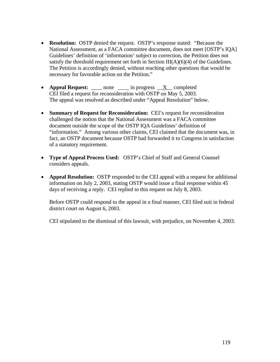- **Resolution:** OSTP denied the request. OSTP's response stated: "Because the National Assessment, as a FACA committee document, does not meet [OSTP's IQA] Guidelines' definition of 'information' subject to correction, the Petition does not satisfy the threshold requirement set forth in Section  $III(A)(6)(4)$  of the Guidelines. The Petition is accordingly denied, without reaching other questions that would be necessary for favorable action on the Petition."
- **Appeal Request:** \_\_\_\_ none \_\_\_\_ in progress \_X\_ completed CEI filed a request for reconsideration with OSTP on May 5, 2003. The appeal was resolved as described under "Appeal Resolution" below.
- **Summary of Request for Reconsideration:** CEI's request for reconsideration challenged the notion that the National Assessment was a FACA committee document outside the scope of the OSTP IQA Guidelines' definition of "information." Among various other claims, CEI claimed that the document was, in fact, an OSTP document because OSTP had forwarded it to Congress in satisfaction of a statutory requirement.
- **Type of Appeal Process Used:** OSTP's Chief of Staff and General Counsel considers appeals.
- **Appeal Resolution:** OSTP responded to the CEI appeal with a request for additional information on July 2, 2003, stating OSTP would issue a final response within 45 days of receiving a reply. CEI replied to this request on July 8, 2003.

Before OSTP could respond to the appeal in a final manner, CEI filed suit in federal district court on August 6, 2003.

CEI stipulated to the dismissal of this lawsuit, with prejudice, on November 4, 2003.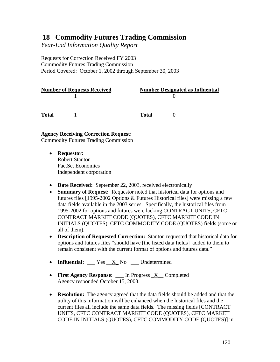## **18 Commodity Futures Trading Commission**

*Year-End Information Quality Report* 

Requests for Correction Received FY 2003 Commodity Futures Trading Commission Period Covered: October 1, 2002 through September 30, 2003

| <b>Number of Requests Received</b> |  | <b>Number Designated as Influential</b> |  |  |
|------------------------------------|--|-----------------------------------------|--|--|
|                                    |  |                                         |  |  |
|                                    |  |                                         |  |  |
| <b>Total</b>                       |  | Total                                   |  |  |

### **Agency Receiving Correction Request:**

Commodity Futures Trading Commission

- **Requestor:**  Robert Stanton FactSet Economics Independent corporation
- **Date Received:** September 22, 2003, received electronically
- **Summary of Request:** Requestor noted that historical data for options and futures files [1995-2002 Options & Futures Historical files] were missing a few data fields available in the 2003 series. Specifically, the historical files from 1995-2002 for options and futures were lacking CONTRACT UNITS, CFTC CONTRACT MARKET CODE (QUOTES), CFTC MARKET CODE IN INITIALS (QUOTES), CFTC COMMODITY CODE (QUOTES) fields (some or all of them).
- **Description of Requested Correction:** Stanton requested that historical data for options and futures files "should have [the listed data fields] added to them to remain consistent with the current format of options and futures data."
- **Influential:** <u>Conserverse X</u> No Condetermined
- **First Agency Response:** \_\_\_ In Progress  $X$  Completed Agency responded October 15, 2003.
- **Resolution:** The agency agreed that the data fields should be added and that the utility of this information will be enhanced when the historical files and the current files all include the same data fields. The missing fields [CONTRACT UNITS, CFTC CONTRACT MARKET CODE (QUOTES), CFTC MARKET CODE IN INITIALS (QUOTES), CFTC COMMODITY CODE (QUOTES)] in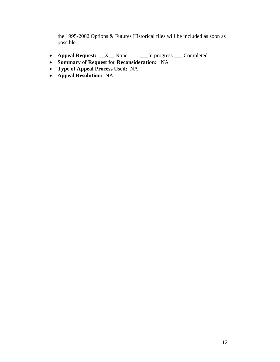the 1995-2002 Options & Futures Historical files will be included as soon as possible.

- **Appeal Request:** <u>X</u> None In progress Completed
- **Summary of Request for Reconsideration:** NA
- **Type of Appeal Process Used:** NA
- **Appeal Resolution:** NA